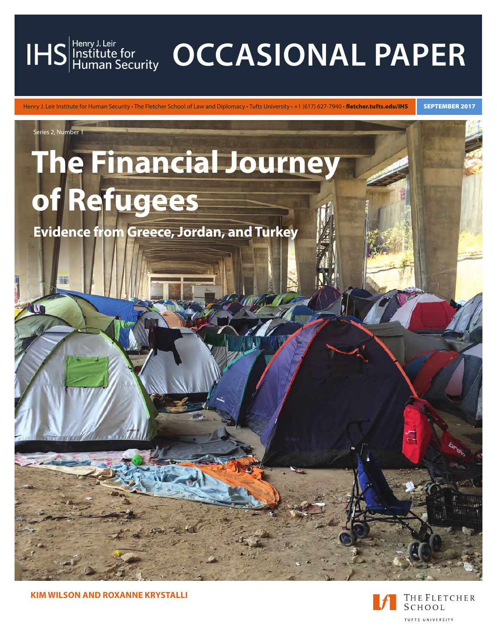

# IHS Henry J. Leir **CCCASIONAL PAPER**

Henry J. Leir Institute for Human Security • The Fletcher School of Law and Diplomacy • Tufts University • +1 (617) 627-7940 • fletcher.tufts.edu/IHS SEPTEMBER 2017



**KIM WILSON AND ROXANNE KRYSTALLI**

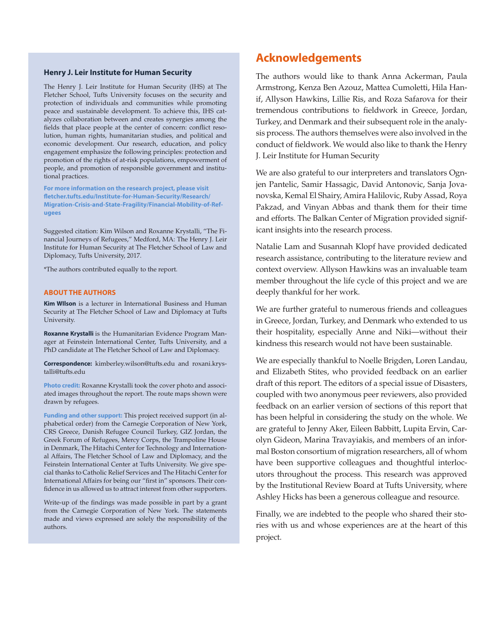#### **Henry J. Leir Institute for Human Security**

The Henry J. Leir Institute for Human Security (IHS) at The Fletcher School, Tufts University focuses on the security and protection of individuals and communities while promoting peace and sustainable development. To achieve this, IHS catalyzes collaboration between and creates synergies among the fields that place people at the center of concern: conflict resolution, human rights, humanitarian studies, and political and economic development. Our research, education, and policy engagement emphasize the following principles: protection and promotion of the rights of at-risk populations, empowerment of people, and promotion of responsible government and institutional practices.

**For more information on the research project, please visit [fletcher.tufts.edu/Institute-for-Human-Security/Research/](http://fletcher.tufts.edu/Institute-for-Human-Security/Research/Migration-Crisis-and-State-Fragility/Financial-Mobility-of-Refugees) [Migration-Crisis-and-State-Fragility/Financial-Mobility-of-Ref](http://fletcher.tufts.edu/Institute-for-Human-Security/Research/Migration-Crisis-and-State-Fragility/Financial-Mobility-of-Refugees)[ugees](http://fletcher.tufts.edu/Institute-for-Human-Security/Research/Migration-Crisis-and-State-Fragility/Financial-Mobility-of-Refugees)**

Suggested citation: Kim Wilson and Roxanne Krystalli, "The Financial Journeys of Refugees," Medford, MA: The Henry J. Leir Institute for Human Security at The Fletcher School of Law and Diplomacy, Tufts University, 2017.

\*The authors contributed equally to the report.

#### **ABOUT THE AUTHORS**

**Kim WIlson** is a lecturer in International Business and Human Security at The Fletcher School of Law and Diplomacy at Tufts University.

**Roxanne Krystalli** is the Humanitarian Evidence Program Manager at Feinstein International Center, Tufts University, and a PhD candidate at The Fletcher School of Law and Diplomacy.

**Correspondence:** [kimberley.wilson@tufts.edu](mailto:kimberley.wilson@tufts.edu) and [roxani.krys](mailto:roxani.krystalli@tufts.edu)[talli@tufts.edu](mailto:roxani.krystalli@tufts.edu)

**Photo credit:** Roxanne Krystalli took the cover photo and associated images throughout the report. The route maps shown were drawn by refugees.

**Funding and other support:** This project received support (in alphabetical order) from the Carnegie Corporation of New York, CRS Greece, Danish Refugee Council Turkey, GIZ Jordan, the Greek Forum of Refugees, Mercy Corps, the Trampoline House in Denmark, The Hitachi Center for Technology and International Affairs, The Fletcher School of Law and Diplomacy, and the Feinstein International Center at Tufts University. We give special thanks to Catholic Relief Services and The Hitachi Center for International Affairs for being our "first in" sponsors. Their confidence in us allowed us to attract interest from other supporters.

Write-up of the findings was made possible in part by a grant from the Carnegie Corporation of New York. The statements made and views expressed are solely the responsibility of the authors.

#### **Acknowledgements**

The authors would like to thank Anna Ackerman, Paula Armstrong, Kenza Ben Azouz, Mattea Cumoletti, Hila Hanif, Allyson Hawkins, Lillie Ris, and Roza Safarova for their tremendous contributions to fieldwork in Greece, Jordan, Turkey, and Denmark and their subsequent role in the analysis process. The authors themselves were also involved in the conduct of fieldwork. We would also like to thank the Henry J. Leir Institute for Human Security

We are also grateful to our interpreters and translators Ognjen Pantelic, Samir Hassagic, David Antonovic, Sanja Jovanovska, Kemal El Shairy, Amira Halilovic, Ruby Assad, Roya Pakzad, and Vinyan Abbas and thank them for their time and efforts. The Balkan Center of Migration provided significant insights into the research process.

Natalie Lam and Susannah Klopf have provided dedicated research assistance, contributing to the literature review and context overview. Allyson Hawkins was an invaluable team member throughout the life cycle of this project and we are deeply thankful for her work.

We are further grateful to numerous friends and colleagues in Greece, Jordan, Turkey, and Denmark who extended to us their hospitality, especially Anne and Niki—without their kindness this research would not have been sustainable.

We are especially thankful to Noelle Brigden, Loren Landau, and Elizabeth Stites, who provided feedback on an earlier draft of this report. The editors of a special issue of Disasters, coupled with two anonymous peer reviewers, also provided feedback on an earlier version of sections of this report that has been helpful in considering the study on the whole. We are grateful to Jenny Aker, Eileen Babbitt, Lupita Ervin, Carolyn Gideon, Marina Travayiakis, and members of an informal Boston consortium of migration researchers, all of whom have been supportive colleagues and thoughtful interlocutors throughout the process. This research was approved by the Institutional Review Board at Tufts University, where Ashley Hicks has been a generous colleague and resource.

Finally, we are indebted to the people who shared their stories with us and whose experiences are at the heart of this project.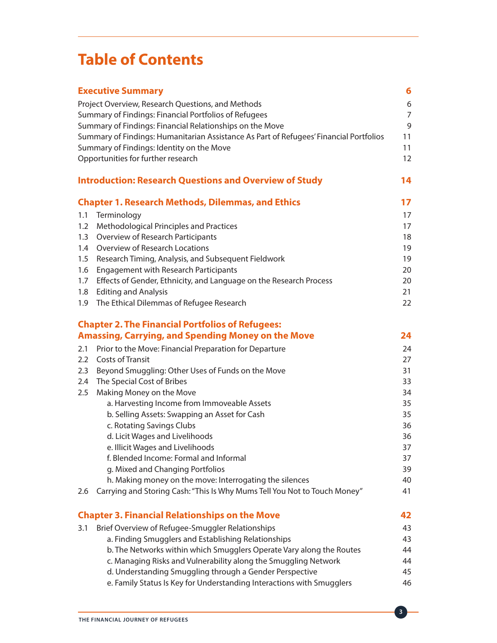# **Table of Contents**

|                  | <b>Executive Summary</b>                                                               | 6              |
|------------------|----------------------------------------------------------------------------------------|----------------|
|                  | Project Overview, Research Questions, and Methods                                      | 6              |
|                  | Summary of Findings: Financial Portfolios of Refugees                                  | $\overline{7}$ |
|                  | Summary of Findings: Financial Relationships on the Move                               | 9              |
|                  | Summary of Findings: Humanitarian Assistance As Part of Refugees' Financial Portfolios | 11             |
|                  | Summary of Findings: Identity on the Move                                              | 11             |
|                  | Opportunities for further research                                                     | 12             |
|                  | <b>Introduction: Research Questions and Overview of Study</b>                          | 14             |
|                  | <b>Chapter 1. Research Methods, Dilemmas, and Ethics</b>                               | 17             |
| 1.1              | Terminology                                                                            | 17             |
| 1.2              | Methodological Principles and Practices                                                | 17             |
| 1.3              | Overview of Research Participants                                                      | 18             |
| 1.4              | Overview of Research Locations                                                         | 19             |
| 1.5              | Research Timing, Analysis, and Subsequent Fieldwork                                    | 19             |
| 1.6              | <b>Engagement with Research Participants</b>                                           | 20             |
| 1.7              | Effects of Gender, Ethnicity, and Language on the Research Process                     | 20             |
| 1.8              | <b>Editing and Analysis</b>                                                            | 21             |
| 1.9              | The Ethical Dilemmas of Refugee Research                                               | 22             |
|                  | <b>Chapter 2. The Financial Portfolios of Refugees:</b>                                |                |
|                  | <b>Amassing, Carrying, and Spending Money on the Move</b>                              | 24             |
| 2.1              | Prior to the Move: Financial Preparation for Departure                                 | 24             |
| $2.2\phantom{0}$ | <b>Costs of Transit</b>                                                                | 27             |
| 2.3              | Beyond Smuggling: Other Uses of Funds on the Move                                      | 31             |
| 2.4              | The Special Cost of Bribes                                                             | 33             |
| 2.5              | Making Money on the Move                                                               | 34             |
|                  | a. Harvesting Income from Immoveable Assets                                            | 35             |
|                  | b. Selling Assets: Swapping an Asset for Cash                                          | 35             |
|                  | c. Rotating Savings Clubs                                                              | 36             |
|                  | d. Licit Wages and Livelihoods                                                         | 36             |
|                  | e. Illicit Wages and Livelihoods                                                       | 37             |
|                  | f. Blended Income: Formal and Informal                                                 | 37             |
|                  | g. Mixed and Changing Portfolios                                                       | 39             |
|                  | h. Making money on the move: Interrogating the silences                                | 40             |
| 2.6              | Carrying and Storing Cash: "This Is Why Mums Tell You Not to Touch Money"              | 41             |
|                  | <b>Chapter 3. Financial Relationships on the Move</b>                                  | 42             |
| 3.1              | Brief Overview of Refugee-Smuggler Relationships                                       | 43             |
|                  | a. Finding Smugglers and Establishing Relationships                                    | 43             |
|                  | b. The Networks within which Smugglers Operate Vary along the Routes                   | 44             |
|                  | c. Managing Risks and Vulnerability along the Smuggling Network                        | 44             |
|                  | d. Understanding Smuggling through a Gender Perspective                                | 45             |
|                  | e. Family Status Is Key for Understanding Interactions with Smugglers                  | 46             |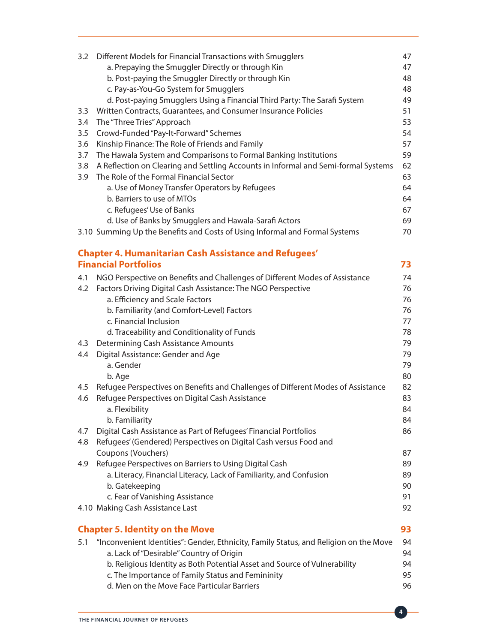|     | 3.2 Different Models for Financial Transactions with Smugglers                        | 47 |
|-----|---------------------------------------------------------------------------------------|----|
|     | a. Prepaying the Smuggler Directly or through Kin                                     | 47 |
|     | b. Post-paying the Smuggler Directly or through Kin                                   | 48 |
|     | c. Pay-as-You-Go System for Smugglers                                                 | 48 |
|     | d. Post-paying Smugglers Using a Financial Third Party: The Sarafi System             | 49 |
| 3.3 | Written Contracts, Guarantees, and Consumer Insurance Policies                        | 51 |
| 3.4 | The "Three Tries" Approach                                                            | 53 |
| 3.5 | Crowd-Funded "Pay-It-Forward" Schemes                                                 | 54 |
| 3.6 | Kinship Finance: The Role of Friends and Family                                       | 57 |
| 3.7 | The Hawala System and Comparisons to Formal Banking Institutions                      | 59 |
| 3.8 | A Reflection on Clearing and Settling Accounts in Informal and Semi-formal Systems    | 62 |
| 3.9 | The Role of the Formal Financial Sector                                               | 63 |
|     | a. Use of Money Transfer Operators by Refugees                                        | 64 |
|     | b. Barriers to use of MTOs                                                            | 64 |
|     | c. Refugees' Use of Banks                                                             | 67 |
|     | d. Use of Banks by Smugglers and Hawala-Sarafi Actors                                 | 69 |
|     | 3.10 Summing Up the Benefits and Costs of Using Informal and Formal Systems           | 70 |
|     |                                                                                       |    |
|     | <b>Chapter 4. Humanitarian Cash Assistance and Refugees'</b>                          |    |
|     | <b>Financial Portfolios</b>                                                           | 73 |
| 4.1 | NGO Perspective on Benefits and Challenges of Different Modes of Assistance           | 74 |
| 4.2 | Factors Driving Digital Cash Assistance: The NGO Perspective                          | 76 |
|     | a. Efficiency and Scale Factors                                                       | 76 |
|     | b. Familiarity (and Comfort-Level) Factors                                            | 76 |
|     | c. Financial Inclusion                                                                | 77 |
|     | d. Traceability and Conditionality of Funds                                           | 78 |
| 4.3 | <b>Determining Cash Assistance Amounts</b>                                            | 79 |
| 4.4 | Digital Assistance: Gender and Age                                                    | 79 |
|     | a. Gender                                                                             | 79 |
|     | b. Age                                                                                | 80 |
| 4.5 | Refugee Perspectives on Benefits and Challenges of Different Modes of Assistance      | 82 |
| 4.6 | Refugee Perspectives on Digital Cash Assistance                                       | 83 |
|     | a. Flexibility                                                                        | 84 |
|     | b. Familiarity                                                                        | 84 |
| 4.7 | Digital Cash Assistance as Part of Refugees' Financial Portfolios                     | 86 |
| 4.8 | Refugees' (Gendered) Perspectives on Digital Cash versus Food and                     |    |
|     | Coupons (Vouchers)                                                                    | 87 |
| 4.9 | Refugee Perspectives on Barriers to Using Digital Cash                                | 89 |
|     | a. Literacy, Financial Literacy, Lack of Familiarity, and Confusion                   | 89 |
|     | b. Gatekeeping                                                                        | 90 |
|     | c. Fear of Vanishing Assistance                                                       | 91 |
|     | 4.10 Making Cash Assistance Last                                                      | 92 |
|     |                                                                                       |    |
|     | <b>Chapter 5. Identity on the Move</b>                                                | 93 |
| 5.1 | "Inconvenient Identities": Gender, Ethnicity, Family Status, and Religion on the Move | 94 |
|     | a. Lack of "Desirable" Country of Origin                                              | 94 |
|     | b. Religious Identity as Both Potential Asset and Source of Vulnerability             | 94 |
|     | c. The Importance of Family Status and Femininity                                     | 95 |
|     | d. Men on the Move Face Particular Barriers                                           | 96 |
|     |                                                                                       |    |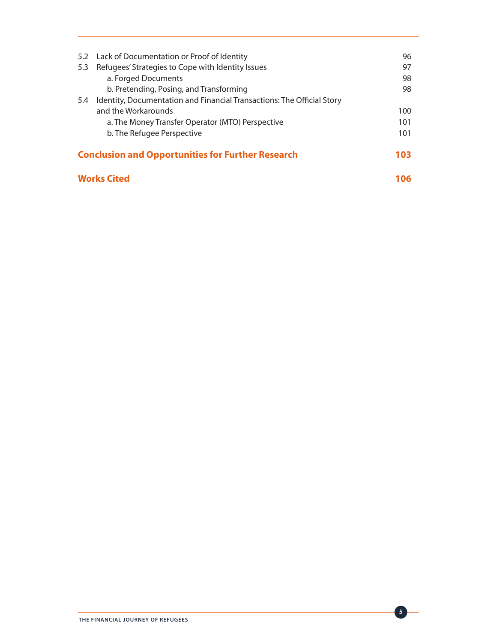| <b>Works Cited</b>                                              |                                                                        |     |  |
|-----------------------------------------------------------------|------------------------------------------------------------------------|-----|--|
| <b>Conclusion and Opportunities for Further Research</b><br>103 |                                                                        |     |  |
|                                                                 | b. The Refugee Perspective                                             | 101 |  |
|                                                                 | a. The Money Transfer Operator (MTO) Perspective                       | 101 |  |
|                                                                 | and the Workarounds                                                    | 100 |  |
| 5.4                                                             | Identity, Documentation and Financial Transactions: The Official Story |     |  |
|                                                                 | b. Pretending, Posing, and Transforming                                | 98  |  |
|                                                                 | a. Forged Documents                                                    | 98  |  |
| 5.3                                                             | Refugees' Strategies to Cope with Identity Issues                      | 97  |  |
|                                                                 | 5.2 Lack of Documentation or Proof of Identity                         | 96  |  |
|                                                                 |                                                                        |     |  |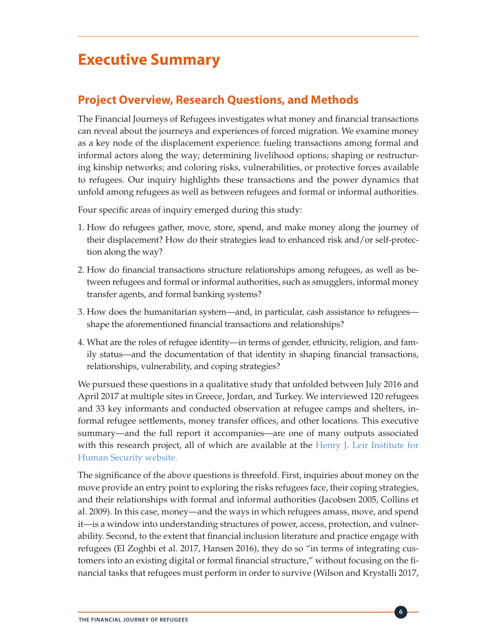# **Executive Summary**

# **Project Overview, Research Questions, and Methods**

The Financial Journeys of Refugees investigates what money and financial transactions can reveal about the journeys and experiences of forced migration. We examine money as a key node of the displacement experience: fueling transactions among formal and informal actors along the way; determining livelihood options; shaping or restructuring kinship networks; and coloring risks, vulnerabilities, or protective forces available to refugees. Our inquiry highlights these transactions and the power dynamics that unfold among refugees as well as between refugees and formal or informal authorities.

Four specific areas of inquiry emerged during this study:

- 1. How do refugees gather, move, store, spend, and make money along the journey of their displacement? How do their strategies lead to enhanced risk and/or self-protection along the way?
- 2. How do financial transactions structure relationships among refugees, as well as between refugees and formal or informal authorities, such as smugglers, informal money transfer agents, and formal banking systems?
- 3. How does the humanitarian system—and, in particular, cash assistance to refugees shape the aforementioned financial transactions and relationships?
- 4. What are the roles of refugee identity—in terms of gender, ethnicity, religion, and family status—and the documentation of that identity in shaping financial transactions, relationships, vulnerability, and coping strategies?

We pursued these questions in a qualitative study that unfolded between July 2016 and April 2017 at multiple sites in Greece, Jordan, and Turkey. We interviewed 120 refugees and 33 key informants and conducted observation at refugee camps and shelters, informal refugee settlements, money transfer offices, and other locations. This executive summary—and the full report it accompanies—are one of many outputs associated with this research project, all of which are available at the [Henry J. Leir Institute for](http://fletcher.tufts.edu/Institute-for-Human-Security/Research/Financial-Mobility-of-Refugees) [Human Security web](http://fletcher.tufts.edu/Institute-for-Human-Security/Research/Financial-Mobility-of-Refugees)site.

The significance of the above questions is threefold. First, inquiries about money on the move provide an entry point to exploring the risks refugees face, their coping strategies, and their relationships with formal and informal authorities (Jacobsen 2005, Collins et al. 2009). In this case, money—and the ways in which refugees amass, move, and spend it—is a window into understanding structures of power, access, protection, and vulnerability. Second, to the extent that financial inclusion literature and practice engage with refugees (El Zoghbi et al. 2017, Hansen 2016), they do so "in terms of integrating customers into an existing digital or formal financial structure," without focusing on the financial tasks that refugees must perform in order to survive (Wilson and Krystalli 2017,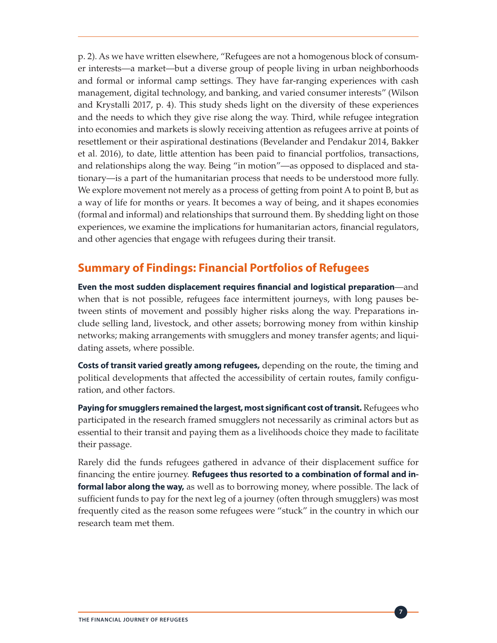p. 2). As we have written elsewhere, "Refugees are not a homogenous block of consumer interests—a market—but a diverse group of people living in urban neighborhoods and formal or informal camp settings. They have far-ranging experiences with cash management, digital technology, and banking, and varied consumer interests" (Wilson and Krystalli 2017, p. 4). This study sheds light on the diversity of these experiences and the needs to which they give rise along the way. Third, while refugee integration into economies and markets is slowly receiving attention as refugees arrive at points of resettlement or their aspirational destinations (Bevelander and Pendakur 2014, Bakker et al. 2016), to date, little attention has been paid to financial portfolios, transactions, and relationships along the way. Being "in motion"—as opposed to displaced and stationary—is a part of the humanitarian process that needs to be understood more fully. We explore movement not merely as a process of getting from point A to point B, but as a way of life for months or years. It becomes a way of being, and it shapes economies (formal and informal) and relationships that surround them. By shedding light on those experiences, we examine the implications for humanitarian actors, financial regulators, and other agencies that engage with refugees during their transit.

## **Summary of Findings: Financial Portfolios of Refugees**

**Even the most sudden displacement requires financial and logistical preparation**—and when that is not possible, refugees face intermittent journeys, with long pauses between stints of movement and possibly higher risks along the way. Preparations include selling land, livestock, and other assets; borrowing money from within kinship networks; making arrangements with smugglers and money transfer agents; and liquidating assets, where possible.

**Costs of transit varied greatly among refugees,** depending on the route, the timing and political developments that affected the accessibility of certain routes, family configuration, and other factors.

**Paying for smugglers remained the largest, most significant cost of transit.** Refugees who participated in the research framed smugglers not necessarily as criminal actors but as essential to their transit and paying them as a livelihoods choice they made to facilitate their passage.

Rarely did the funds refugees gathered in advance of their displacement suffice for financing the entire journey. **Refugees thus resorted to a combination of formal and informal labor along the way,** as well as to borrowing money, where possible. The lack of sufficient funds to pay for the next leg of a journey (often through smugglers) was most frequently cited as the reason some refugees were "stuck" in the country in which our research team met them.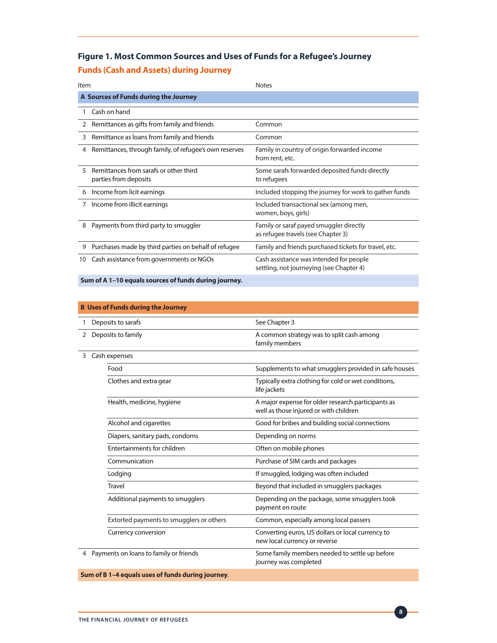#### **Figure 1. Most Common Sources and Uses of Funds for a Refugee's Journey**

#### **Funds (Cash and Assets) during Journey**

| Item |                                                                 | <b>Notes</b>                                                                        |  |  |  |
|------|-----------------------------------------------------------------|-------------------------------------------------------------------------------------|--|--|--|
|      | A Sources of Funds during the Journey                           |                                                                                     |  |  |  |
|      | Cash on hand                                                    |                                                                                     |  |  |  |
| 2    | Remittances as gifts from family and friends                    | Common                                                                              |  |  |  |
| 3    | Remittance as loans from family and friends                     | Common                                                                              |  |  |  |
| 4    | Remittances, through family, of refugee's own reserves          | Family in country of origin forwarded income<br>from rent, etc.                     |  |  |  |
| 5    | Remittances from sarafs or other third<br>parties from deposits | Some sarafs forwarded deposited funds directly<br>to refugees                       |  |  |  |
| 6    | Income from licit earnings                                      | Included stopping the journey for work to gather funds                              |  |  |  |
| 7    | Income from illicit earnings                                    | Included transactional sex (among men,<br>women, boys, girls)                       |  |  |  |
| 8    | Payments from third party to smuggler                           | Family or saraf payed smuggler directly<br>as refugee travels (see Chapter 3)       |  |  |  |
| 9    | Purchases made by third parties on behalf of refugee            | Family and friends purchased tickets for travel, etc.                               |  |  |  |
| 10   | Cash assistance from governments or NGOs                        | Cash assistance was intended for people<br>settling, not journeying (see Chapter 4) |  |  |  |
|      | Sum of A 1-10 equals sources of funds during journey.           |                                                                                     |  |  |  |

|                                        | <b>B</b> Uses of Funds during the Journey |                                                                                              |  |  |  |
|----------------------------------------|-------------------------------------------|----------------------------------------------------------------------------------------------|--|--|--|
| 1                                      | Deposits to sarafs                        | See Chapter 3                                                                                |  |  |  |
| $\overline{2}$                         | Deposits to family                        | A common strategy was to split cash among<br>family members                                  |  |  |  |
| 3                                      | Cash expenses                             |                                                                                              |  |  |  |
|                                        | Food                                      | Supplements to what smugglers provided in safe houses                                        |  |  |  |
|                                        | Clothes and extra gear                    | Typically extra clothing for cold or wet conditions,<br>life jackets                         |  |  |  |
|                                        | Health, medicine, hygiene                 | A major expense for older research participants as<br>well as those injured or with children |  |  |  |
|                                        | Alcohol and cigarettes                    | Good for bribes and building social connections                                              |  |  |  |
|                                        | Diapers, sanitary pads, condoms           | Depending on norms                                                                           |  |  |  |
|                                        | Entertainments for children               | Often on mobile phones                                                                       |  |  |  |
|                                        | Communication                             | Purchase of SIM cards and packages                                                           |  |  |  |
|                                        | Lodging                                   | If smuggled, lodging was often included                                                      |  |  |  |
|                                        | <b>Travel</b>                             | Beyond that included in smugglers packages                                                   |  |  |  |
|                                        | Additional payments to smugglers          | Depending on the package, some smugglers took<br>payment en route                            |  |  |  |
|                                        | Extorted payments to smugglers or others  | Common, especially among local passers                                                       |  |  |  |
|                                        | Currency conversion                       | Converting euros, US dollars or local currency to<br>new local currency or reverse           |  |  |  |
| Payments on loans to family or friends |                                           | Some family members needed to settle up before<br>journey was completed                      |  |  |  |

**8**

 **Sum of B 1–4 equals uses of funds during journey**.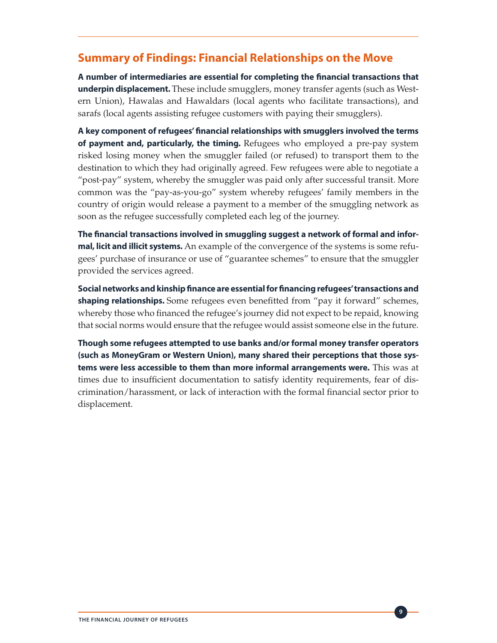#### **Summary of Findings: Financial Relationships on the Move**

**A number of intermediaries are essential for completing the financial transactions that underpin displacement.** These include smugglers, money transfer agents (such as Western Union), Hawalas and Hawaldars (local agents who facilitate transactions), and sarafs (local agents assisting refugee customers with paying their smugglers).

**A key component of refugees' financial relationships with smugglers involved the terms of payment and, particularly, the timing.** Refugees who employed a pre-pay system risked losing money when the smuggler failed (or refused) to transport them to the destination to which they had originally agreed. Few refugees were able to negotiate a "post-pay" system, whereby the smuggler was paid only after successful transit. More common was the "pay-as-you-go" system whereby refugees' family members in the country of origin would release a payment to a member of the smuggling network as soon as the refugee successfully completed each leg of the journey.

**The financial transactions involved in smuggling suggest a network of formal and informal, licit and illicit systems.** An example of the convergence of the systems is some refugees' purchase of insurance or use of "guarantee schemes" to ensure that the smuggler provided the services agreed.

**Social networks and kinship finance are essential for financing refugees' transactions and shaping relationships.** Some refugees even benefitted from "pay it forward" schemes, whereby those who financed the refugee's journey did not expect to be repaid, knowing that social norms would ensure that the refugee would assist someone else in the future.

**Though some refugees attempted to use banks and/or formal money transfer operators (such as MoneyGram or Western Union), many shared their perceptions that those systems were less accessible to them than more informal arrangements were.** This was at times due to insufficient documentation to satisfy identity requirements, fear of discrimination/harassment, or lack of interaction with the formal financial sector prior to displacement.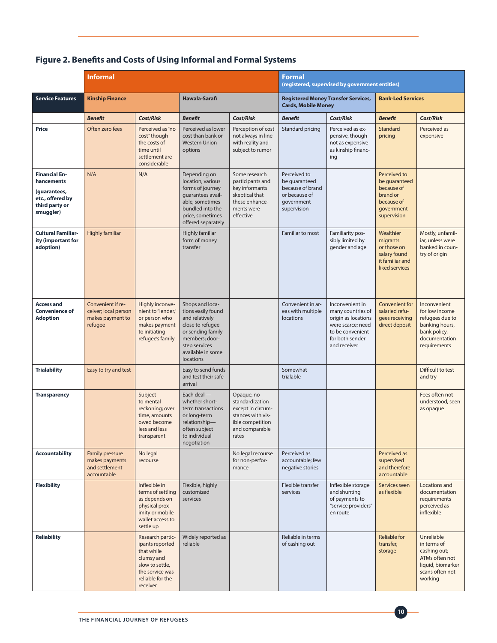#### **Figure 2. Benefits and Costs of Using Informal and Formal Systems**

|                                                                                                       | <b>Informal</b>                                                          |                                                                                                                                       |                                                                                                                                                                       | Formal<br>(registered, supervised by government entities)                                                              |                                                                                                 |                                                                                                                                         |                                                                                                    |                                                                                                                      |
|-------------------------------------------------------------------------------------------------------|--------------------------------------------------------------------------|---------------------------------------------------------------------------------------------------------------------------------------|-----------------------------------------------------------------------------------------------------------------------------------------------------------------------|------------------------------------------------------------------------------------------------------------------------|-------------------------------------------------------------------------------------------------|-----------------------------------------------------------------------------------------------------------------------------------------|----------------------------------------------------------------------------------------------------|----------------------------------------------------------------------------------------------------------------------|
| <b>Service Features</b>                                                                               | <b>Kinship Finance</b>                                                   |                                                                                                                                       | Hawala-Sarafi                                                                                                                                                         |                                                                                                                        | <b>Registered Money Transfer Services,</b><br><b>Cards, Mobile Money</b>                        |                                                                                                                                         | <b>Bank-Led Services</b>                                                                           |                                                                                                                      |
|                                                                                                       | <b>Benefit</b>                                                           | <b>Cost/Risk</b>                                                                                                                      | <b>Benefit</b>                                                                                                                                                        | Cost/Risk                                                                                                              | <b>Benefit</b>                                                                                  | Cost/Risk                                                                                                                               | <b>Benefit</b>                                                                                     | Cost/Risk                                                                                                            |
| <b>Price</b>                                                                                          | Often zero fees                                                          | Perceived as "no<br>cost" though<br>the costs of<br>time until<br>settlement are<br>considerable                                      | Perceived as lower<br>cost than bank or<br><b>Western Union</b><br>options                                                                                            | Perception of cost<br>not always in line<br>with reality and<br>subject to rumor                                       | Standard pricing                                                                                | Perceived as ex-<br>pensive, though<br>not as expensive<br>as kinship financ-<br>ing                                                    | Standard<br>pricing                                                                                | Perceived as<br>expensive                                                                                            |
| <b>Financial En-</b><br>hancements<br>(guarantees,<br>etc., offered by<br>third party or<br>smuggler) | N/A                                                                      | N/A                                                                                                                                   | Depending on<br>location, various<br>forms of journey<br>quarantees avail-<br>able, sometimes<br>bundled into the<br>price, sometimes<br>offered separately           | Some research<br>participants and<br>key informants<br>skeptical that<br>these enhance-<br>ments were<br>effective     | Perceived to<br>be guaranteed<br>because of brand<br>or because of<br>government<br>supervision |                                                                                                                                         | Perceived to<br>be quaranteed<br>because of<br>brand or<br>because of<br>government<br>supervision |                                                                                                                      |
| <b>Cultural Familiar-</b><br>ity (important for<br>adoption)                                          | <b>Highly familiar</b>                                                   |                                                                                                                                       | Highly familiar<br>form of money<br>transfer                                                                                                                          |                                                                                                                        | Familiar to most                                                                                | Familiarity pos-<br>sibly limited by<br>gender and age                                                                                  | Wealthier<br>migrants<br>or those on<br>salary found<br>it familiar and<br>liked services          | Mostly, unfamil-<br>iar, unless were<br>banked in coun-<br>try of origin                                             |
| <b>Access and</b><br><b>Convenience of</b><br><b>Adoption</b>                                         | Convenient if re-<br>ceiver; local person<br>makes payment to<br>refugee | Highly inconve-<br>nient to "lender,"<br>or person who<br>makes payment<br>to initiating<br>refugee's family                          | Shops and loca-<br>tions easily found<br>and relatively<br>close to refugee<br>or sending family<br>members; door-<br>step services<br>available in some<br>locations |                                                                                                                        | Convenient in ar-<br>eas with multiple<br>locations                                             | Inconvenient in<br>many countries of<br>origin as locations<br>were scarce; need<br>to be convenient<br>for both sender<br>and receiver | <b>Convenient for</b><br>salaried refu-<br>gees receiving<br>direct deposit                        | Inconvenient<br>for low income<br>refugees due to<br>banking hours,<br>bank policy,<br>documentation<br>requirements |
| <b>Trialability</b>                                                                                   | Easy to try and test                                                     |                                                                                                                                       | Easy to send funds<br>and test their safe<br>arrival                                                                                                                  |                                                                                                                        | Somewhat<br>trialable                                                                           |                                                                                                                                         |                                                                                                    | Difficult to test<br>and try                                                                                         |
| <b>Transparency</b>                                                                                   |                                                                          | Subject<br>to mental<br>reckoning; over<br>time, amounts<br>owed become<br>less and less<br>transparent                               | Each deal -<br>whether short-<br>term transactions<br>or long-term<br>relationship-<br>often subject<br>to individual<br>negotiation                                  | Opaque, no<br>standardization<br>except in circum-<br>stances with vis-<br>ible competition<br>and comparable<br>rates |                                                                                                 |                                                                                                                                         |                                                                                                    | Fees often not<br>understood, seen<br>as opaque                                                                      |
| <b>Accountability</b>                                                                                 | Family pressure<br>makes payments<br>and settlement<br>accountable       | No legal<br>recourse                                                                                                                  |                                                                                                                                                                       | No legal recourse<br>for non-perfor-<br>mance                                                                          | Perceived as<br>accountable; few<br>negative stories                                            |                                                                                                                                         | Perceived as<br>supervised<br>and therefore<br>accountable                                         |                                                                                                                      |
| <b>Flexibility</b>                                                                                    |                                                                          | Inflexible in<br>terms of settling<br>as depends on<br>physical prox-<br>imity or mobile<br>wallet access to<br>settle up             | Flexible, highly<br>customized<br>services                                                                                                                            |                                                                                                                        | Flexible transfer<br>services                                                                   | Inflexible storage<br>and shunting<br>of payments to<br>"service providers"<br>en route                                                 | Services seen<br>as flexible                                                                       | Locations and<br>documentation<br>requirements<br>perceived as<br>inflexible                                         |
| <b>Reliability</b>                                                                                    |                                                                          | Research partic-<br>ipants reported<br>that while<br>clumsy and<br>slow to settle,<br>the service was<br>reliable for the<br>receiver | Widely reported as<br>reliable                                                                                                                                        |                                                                                                                        | Reliable in terms<br>of cashing out                                                             |                                                                                                                                         | <b>Reliable for</b><br>transfer,<br>storage                                                        | Unreliable<br>in terms of<br>cashing out;<br>ATMs often not<br>liquid, biomarker<br>scans often not<br>working       |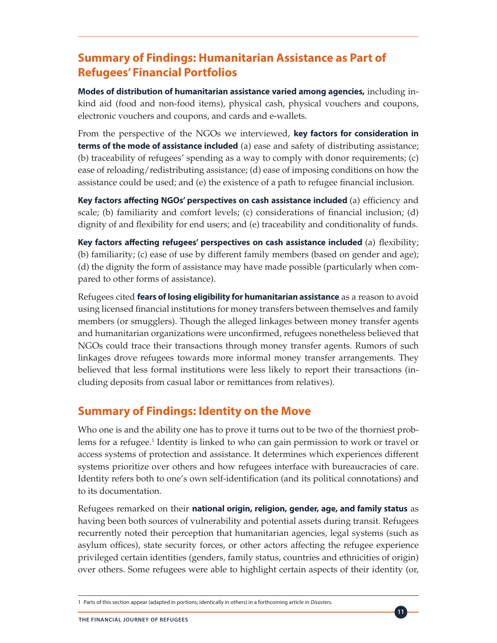# **Summary of Findings: Humanitarian Assistance as Part of Refugees' Financial Portfolios**

**Modes of distribution of humanitarian assistance varied among agencies,** including inkind aid (food and non-food items), physical cash, physical vouchers and coupons, electronic vouchers and coupons, and cards and e-wallets.

From the perspective of the NGOs we interviewed, **key factors for consideration in terms of the mode of assistance included** (a) ease and safety of distributing assistance; (b) traceability of refugees' spending as a way to comply with donor requirements; (c) ease of reloading/redistributing assistance; (d) ease of imposing conditions on how the assistance could be used; and (e) the existence of a path to refugee financial inclusion.

**Key factors affecting NGOs' perspectives on cash assistance included** (a) efficiency and scale; (b) familiarity and comfort levels; (c) considerations of financial inclusion; (d) dignity of and flexibility for end users; and (e) traceability and conditionality of funds.

**Key factors affecting refugees' perspectives on cash assistance included** (a) flexibility; (b) familiarity; (c) ease of use by different family members (based on gender and age); (d) the dignity the form of assistance may have made possible (particularly when compared to other forms of assistance).

Refugees cited **fears of losing eligibility for humanitarian assistance** as a reason to avoid using licensed financial institutions for money transfers between themselves and family members (or smugglers). Though the alleged linkages between money transfer agents and humanitarian organizations were unconfirmed, refugees nonetheless believed that NGOs could trace their transactions through money transfer agents. Rumors of such linkages drove refugees towards more informal money transfer arrangements. They believed that less formal institutions were less likely to report their transactions (including deposits from casual labor or remittances from relatives).

#### **Summary of Findings: Identity on the Move**

Who one is and the ability one has to prove it turns out to be two of the thorniest problems for a refugee.<sup>1</sup> Identity is linked to who can gain permission to work or travel or access systems of protection and assistance. It determines which experiences different systems prioritize over others and how refugees interface with bureaucracies of care. Identity refers both to one's own self-identification (and its political connotations) and to its documentation.

Refugees remarked on their **national origin, religion, gender, age, and family status** as having been both sources of vulnerability and potential assets during transit. Refugees recurrently noted their perception that humanitarian agencies, legal systems (such as asylum offices), state security forces, or other actors affecting the refugee experience privileged certain identities (genders, family status, countries and ethnicities of origin) over others. Some refugees were able to highlight certain aspects of their identity (or,

<sup>1</sup> Parts of this section appear (adapted in portions; identically in others) in a forthcoming article in *Disasters.*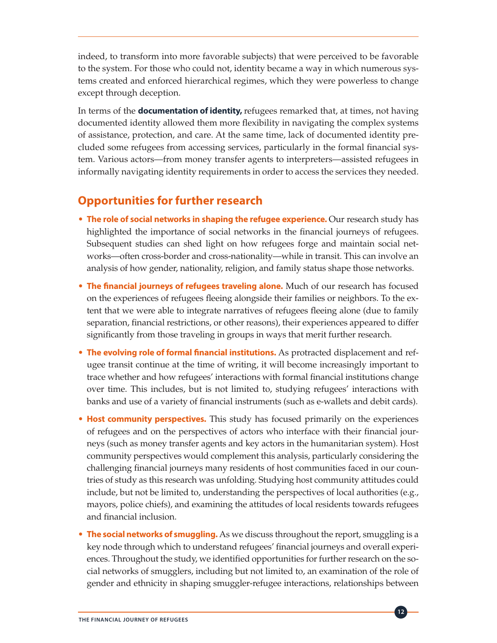indeed, to transform into more favorable subjects) that were perceived to be favorable to the system. For those who could not, identity became a way in which numerous systems created and enforced hierarchical regimes, which they were powerless to change except through deception.

In terms of the **documentation of identity,** refugees remarked that, at times, not having documented identity allowed them more flexibility in navigating the complex systems of assistance, protection, and care. At the same time, lack of documented identity precluded some refugees from accessing services, particularly in the formal financial system. Various actors—from money transfer agents to interpreters—assisted refugees in informally navigating identity requirements in order to access the services they needed.

# **Opportunities for further research**

- **The role of social networks in shaping the refugee experience.** Our research study has highlighted the importance of social networks in the financial journeys of refugees. Subsequent studies can shed light on how refugees forge and maintain social networks—often cross-border and cross-nationality—while in transit. This can involve an analysis of how gender, nationality, religion, and family status shape those networks.
- **The financial journeys of refugees traveling alone.** Much of our research has focused on the experiences of refugees fleeing alongside their families or neighbors. To the extent that we were able to integrate narratives of refugees fleeing alone (due to family separation, financial restrictions, or other reasons), their experiences appeared to differ significantly from those traveling in groups in ways that merit further research.
- **The evolving role of formal financial institutions.** As protracted displacement and refugee transit continue at the time of writing, it will become increasingly important to trace whether and how refugees' interactions with formal financial institutions change over time. This includes, but is not limited to, studying refugees' interactions with banks and use of a variety of financial instruments (such as e-wallets and debit cards).
- **Host community perspectives.** This study has focused primarily on the experiences of refugees and on the perspectives of actors who interface with their financial journeys (such as money transfer agents and key actors in the humanitarian system). Host community perspectives would complement this analysis, particularly considering the challenging financial journeys many residents of host communities faced in our countries of study as this research was unfolding. Studying host community attitudes could include, but not be limited to, understanding the perspectives of local authorities (e.g., mayors, police chiefs), and examining the attitudes of local residents towards refugees and financial inclusion.
- **The social networks of smuggling.** As we discuss throughout the report, smuggling is a key node through which to understand refugees' financial journeys and overall experiences. Throughout the study, we identified opportunities for further research on the social networks of smugglers, including but not limited to, an examination of the role of gender and ethnicity in shaping smuggler-refugee interactions, relationships between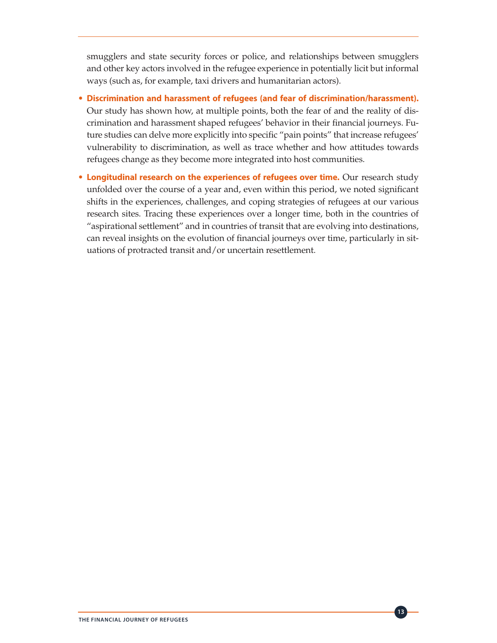smugglers and state security forces or police, and relationships between smugglers and other key actors involved in the refugee experience in potentially licit but informal ways (such as, for example, taxi drivers and humanitarian actors).

- **Discrimination and harassment of refugees (and fear of discrimination/harassment).** Our study has shown how, at multiple points, both the fear of and the reality of discrimination and harassment shaped refugees' behavior in their financial journeys. Future studies can delve more explicitly into specific "pain points" that increase refugees' vulnerability to discrimination, as well as trace whether and how attitudes towards refugees change as they become more integrated into host communities.
- **Longitudinal research on the experiences of refugees over time.** Our research study unfolded over the course of a year and, even within this period, we noted significant shifts in the experiences, challenges, and coping strategies of refugees at our various research sites. Tracing these experiences over a longer time, both in the countries of "aspirational settlement" and in countries of transit that are evolving into destinations, can reveal insights on the evolution of financial journeys over time, particularly in situations of protracted transit and/or uncertain resettlement.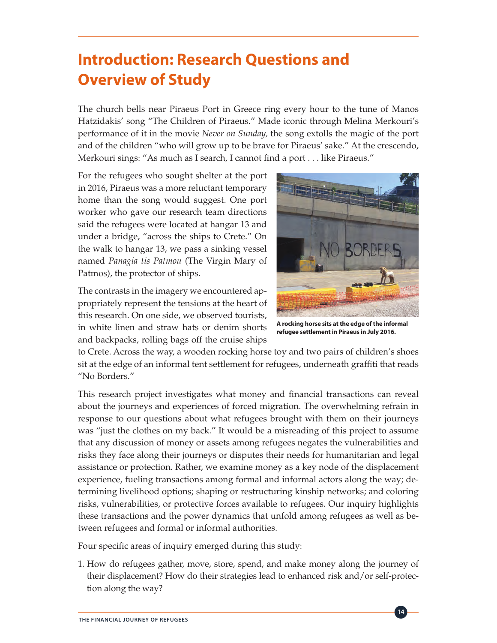# **Introduction: Research Questions and Overview of Study**

The church bells near Piraeus Port in Greece ring every hour to the tune of Manos Hatzidakis' song "The Children of Piraeus." Made iconic through Melina Merkouri's performance of it in the movie *Never on Sunday,* the song extolls the magic of the port and of the children "who will grow up to be brave for Piraeus' sake." At the crescendo, Merkouri sings: "As much as I search, I cannot find a port . . . like Piraeus."

For the refugees who sought shelter at the port in 2016, Piraeus was a more reluctant temporary home than the song would suggest. One port worker who gave our research team directions said the refugees were located at hangar 13 and under a bridge, "across the ships to Crete." On the walk to hangar 13, we pass a sinking vessel named *Panagia tis Patmou* (The Virgin Mary of Patmos), the protector of ships.

The contrasts in the imagery we encountered appropriately represent the tensions at the heart of this research. On one side, we observed tourists, in white linen and straw hats or denim shorts and backpacks, rolling bags off the cruise ships



**A rocking horse sits at the edge of the informal refugee settlement in Piraeus in July 2016.**

to Crete. Across the way, a wooden rocking horse toy and two pairs of children's shoes sit at the edge of an informal tent settlement for refugees, underneath graffiti that reads "No Borders."

This research project investigates what money and financial transactions can reveal about the journeys and experiences of forced migration. The overwhelming refrain in response to our questions about what refugees brought with them on their journeys was "just the clothes on my back." It would be a misreading of this project to assume that any discussion of money or assets among refugees negates the vulnerabilities and risks they face along their journeys or disputes their needs for humanitarian and legal assistance or protection. Rather, we examine money as a key node of the displacement experience, fueling transactions among formal and informal actors along the way; determining livelihood options; shaping or restructuring kinship networks; and coloring risks, vulnerabilities, or protective forces available to refugees. Our inquiry highlights these transactions and the power dynamics that unfold among refugees as well as between refugees and formal or informal authorities.

Four specific areas of inquiry emerged during this study:

1. How do refugees gather, move, store, spend, and make money along the journey of their displacement? How do their strategies lead to enhanced risk and/or self-protection along the way?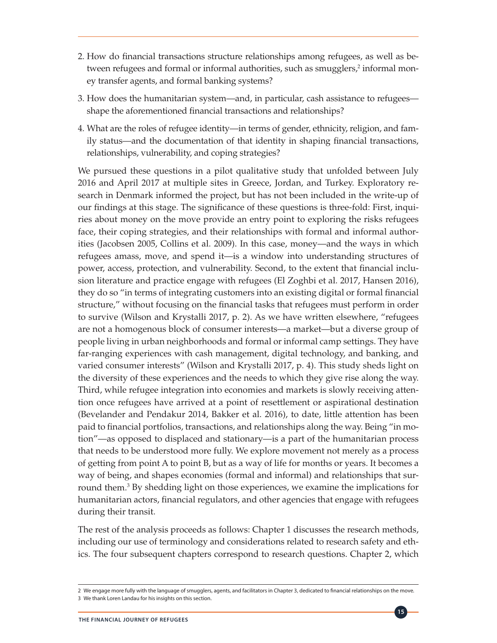- 2. How do financial transactions structure relationships among refugees, as well as between refugees and formal or informal authorities, such as smugglers,<sup>2</sup> informal money transfer agents, and formal banking systems?
- 3. How does the humanitarian system—and, in particular, cash assistance to refugees shape the aforementioned financial transactions and relationships?
- 4. What are the roles of refugee identity—in terms of gender, ethnicity, religion, and family status—and the documentation of that identity in shaping financial transactions, relationships, vulnerability, and coping strategies?

We pursued these questions in a pilot qualitative study that unfolded between July 2016 and April 2017 at multiple sites in Greece, Jordan, and Turkey. Exploratory research in Denmark informed the project, but has not been included in the write-up of our findings at this stage. The significance of these questions is three-fold: First, inquiries about money on the move provide an entry point to exploring the risks refugees face, their coping strategies, and their relationships with formal and informal authorities (Jacobsen 2005, Collins et al. 2009). In this case, money—and the ways in which refugees amass, move, and spend it—is a window into understanding structures of power, access, protection, and vulnerability. Second, to the extent that financial inclusion literature and practice engage with refugees (El Zoghbi et al. 2017, Hansen 2016), they do so "in terms of integrating customers into an existing digital or formal financial structure," without focusing on the financial tasks that refugees must perform in order to survive (Wilson and Krystalli 2017, p. 2). As we have written elsewhere, "refugees are not a homogenous block of consumer interests—a market—but a diverse group of people living in urban neighborhoods and formal or informal camp settings. They have far-ranging experiences with cash management, digital technology, and banking, and varied consumer interests" (Wilson and Krystalli 2017, p. 4). This study sheds light on the diversity of these experiences and the needs to which they give rise along the way. Third, while refugee integration into economies and markets is slowly receiving attention once refugees have arrived at a point of resettlement or aspirational destination (Bevelander and Pendakur 2014, Bakker et al. 2016), to date, little attention has been paid to financial portfolios, transactions, and relationships along the way. Being "in motion"—as opposed to displaced and stationary—is a part of the humanitarian process that needs to be understood more fully. We explore movement not merely as a process of getting from point A to point B, but as a way of life for months or years. It becomes a way of being, and shapes economies (formal and informal) and relationships that surround them.<sup>3</sup> By shedding light on those experiences, we examine the implications for humanitarian actors, financial regulators, and other agencies that engage with refugees during their transit.

The rest of the analysis proceeds as follows: Chapter 1 discusses the research methods, including our use of terminology and considerations related to research safety and ethics. The four subsequent chapters correspond to research questions. Chapter 2, which

<sup>2</sup> We engage more fully with the language of smugglers, agents, and facilitators in Chapter 3, dedicated to financial relationships on the move. 3 We thank Loren Landau for his insights on this section.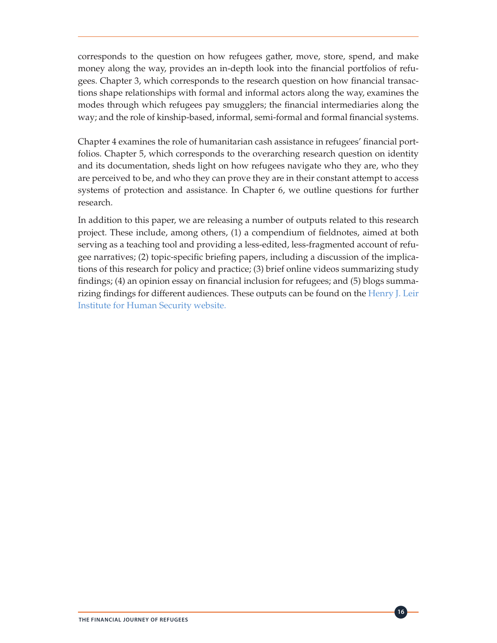corresponds to the question on how refugees gather, move, store, spend, and make money along the way, provides an in-depth look into the financial portfolios of refugees. Chapter 3, which corresponds to the research question on how financial transactions shape relationships with formal and informal actors along the way, examines the modes through which refugees pay smugglers; the financial intermediaries along the way; and the role of kinship-based, informal, semi-formal and formal financial systems.

Chapter 4 examines the role of humanitarian cash assistance in refugees' financial portfolios. Chapter 5, which corresponds to the overarching research question on identity and its documentation, sheds light on how refugees navigate who they are, who they are perceived to be, and who they can prove they are in their constant attempt to access systems of protection and assistance. In Chapter 6, we outline questions for further research.

In addition to this paper, we are releasing a number of outputs related to this research project. These include, among others, (1) a compendium of fieldnotes, aimed at both serving as a teaching tool and providing a less-edited, less-fragmented account of refugee narratives; (2) topic-specific briefing papers, including a discussion of the implications of this research for policy and practice; (3) brief online videos summarizing study findings; (4) an opinion essay on financial inclusion for refugees; and (5) blogs summa-rizing findings for different audiences. These outputs can be found on the [Henry J. Leir](http://fletcher.tufts.edu/Institute-for-Human-Security/Research/Financial-Mobility-of-Refugees) [Institute for Human Security w](http://fletcher.tufts.edu/Institute-for-Human-Security/Research/Financial-Mobility-of-Refugees)ebsite.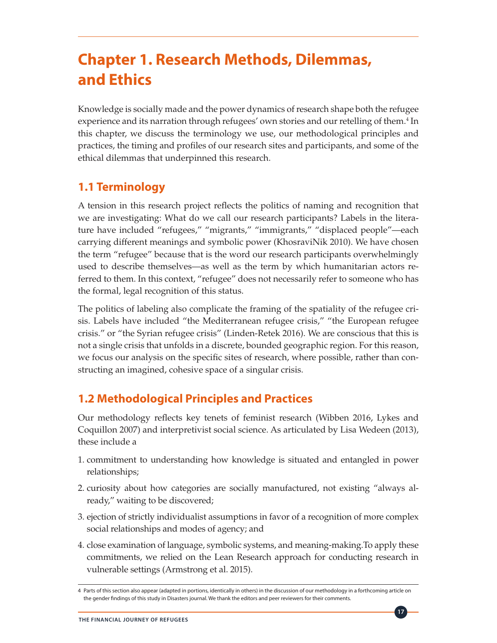# **Chapter 1. Research Methods, Dilemmas, and Ethics**

Knowledge is socially made and the power dynamics of research shape both the refugee experience and its narration through refugees' own stories and our retelling of them.<sup>4</sup> In this chapter, we discuss the terminology we use, our methodological principles and practices, the timing and profiles of our research sites and participants, and some of the ethical dilemmas that underpinned this research.

# **1.1 Terminology**

A tension in this research project reflects the politics of naming and recognition that we are investigating: What do we call our research participants? Labels in the literature have included "refugees," "migrants," "immigrants," "displaced people"—each carrying different meanings and symbolic power (KhosraviNik 2010). We have chosen the term "refugee" because that is the word our research participants overwhelmingly used to describe themselves—as well as the term by which humanitarian actors referred to them. In this context, "refugee" does not necessarily refer to someone who has the formal, legal recognition of this status.

The politics of labeling also complicate the framing of the spatiality of the refugee crisis. Labels have included "the Mediterranean refugee crisis," "the European refugee crisis." or "the Syrian refugee crisis" (Linden-Retek 2016). We are conscious that this is not a single crisis that unfolds in a discrete, bounded geographic region. For this reason, we focus our analysis on the specific sites of research, where possible, rather than constructing an imagined, cohesive space of a singular crisis.

# **1.2 Methodological Principles and Practices**

Our methodology reflects key tenets of feminist research (Wibben 2016, Lykes and Coquillon 2007) and interpretivist social science. As articulated by Lisa Wedeen (2013), these include a

- 1. commitment to understanding how knowledge is situated and entangled in power relationships;
- 2. curiosity about how categories are socially manufactured, not existing "always already," waiting to be discovered;
- 3. ejection of strictly individualist assumptions in favor of a recognition of more complex social relationships and modes of agency; and
- 4. close examination of language, symbolic systems, and meaning-making.To apply these commitments, we relied on the Lean Research approach for conducting research in vulnerable settings (Armstrong et al. 2015).

<sup>4</sup> Parts of this section also appear (adapted in portions, identically in others) in the discussion of our methodology in a forthcoming article on the gender findings of this study in Disasters journal. We thank the editors and peer reviewers for their comments.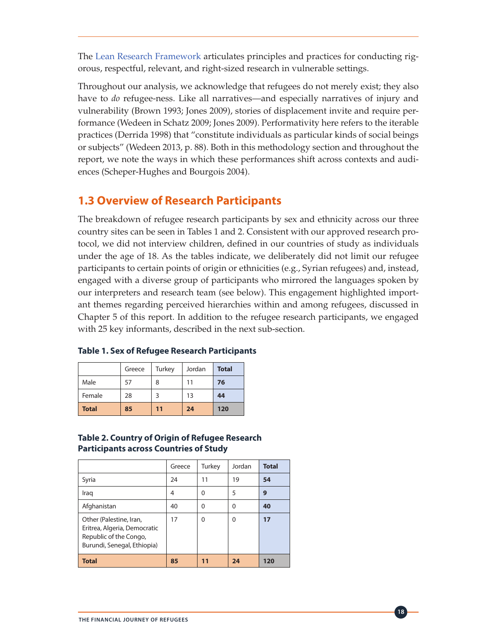The [Lean Research Framework](https://leanresearchhub.org/tools-2/framework/) articulates principles and practices for conducting rigorous, respectful, relevant, and right-sized research in vulnerable settings.

Throughout our analysis, we acknowledge that refugees do not merely exist; they also have to *do* refugee-ness. Like all narratives—and especially narratives of injury and vulnerability (Brown 1993; Jones 2009), stories of displacement invite and require performance (Wedeen in Schatz 2009; Jones 2009). Performativity here refers to the iterable practices (Derrida 1998) that "constitute individuals as particular kinds of social beings or subjects" (Wedeen 2013, p. 88). Both in this methodology section and throughout the report, we note the ways in which these performances shift across contexts and audiences (Scheper-Hughes and Bourgois 2004).

# **1.3 Overview of Research Participants**

The breakdown of refugee research participants by sex and ethnicity across our three country sites can be seen in Tables 1 and 2. Consistent with our approved research protocol, we did not interview children, defined in our countries of study as individuals under the age of 18. As the tables indicate, we deliberately did not limit our refugee participants to certain points of origin or ethnicities (e.g., Syrian refugees) and, instead, engaged with a diverse group of participants who mirrored the languages spoken by our interpreters and research team (see below). This engagement highlighted important themes regarding perceived hierarchies within and among refugees, discussed in Chapter 5 of this report. In addition to the refugee research participants, we engaged with 25 key informants, described in the next sub-section.

|              | Greece | Turkey | Jordan | <b>Total</b> |
|--------------|--------|--------|--------|--------------|
| Male         | 57     | 8      | 11     | 76           |
| Female       | 28     | ς      | 13     | 44           |
| <b>Total</b> | 85     | 11     | 24     | 120          |

#### **Table 1. Sex of Refugee Research Participants**

#### **Table 2. Country of Origin of Refugee Research Participants across Countries of Study**

|                                                                                                                  | Greece | Turkey | Jordan | <b>Total</b> |
|------------------------------------------------------------------------------------------------------------------|--------|--------|--------|--------------|
| Syria                                                                                                            | 24     | 11     | 19     | 54           |
| Iraq                                                                                                             | 4      | 0      | 5      | 9            |
| Afghanistan                                                                                                      | 40     | 0      | U      | 40           |
| Other (Palestine, Iran,<br>Eritrea, Algeria, Democratic<br>Republic of the Congo,<br>Burundi, Senegal, Ethiopia) | 17     | 0      | U      | 17           |
| <b>Total</b>                                                                                                     | 85     | 11     | 24     | 120          |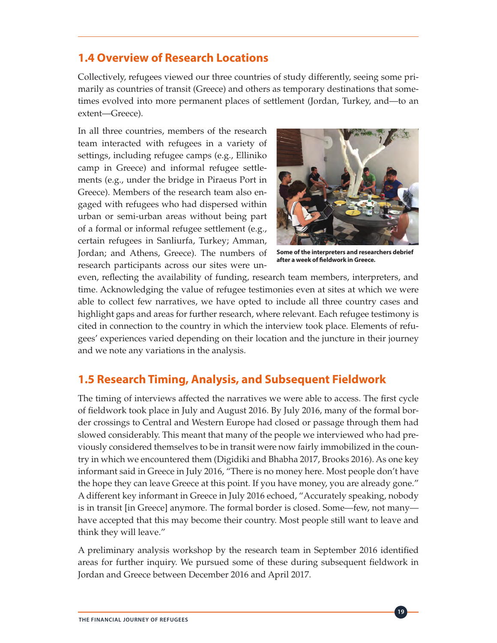#### **1.4 Overview of Research Locations**

Collectively, refugees viewed our three countries of study differently, seeing some primarily as countries of transit (Greece) and others as temporary destinations that sometimes evolved into more permanent places of settlement (Jordan, Turkey, and—to an extent—Greece).

In all three countries, members of the research team interacted with refugees in a variety of settings, including refugee camps (e.g., Elliniko camp in Greece) and informal refugee settlements (e.g., under the bridge in Piraeus Port in Greece). Members of the research team also engaged with refugees who had dispersed within urban or semi-urban areas without being part of a formal or informal refugee settlement (e.g., certain refugees in Sanliurfa, Turkey; Amman, Jordan; and Athens, Greece). The numbers of research participants across our sites were un-



**Some of the interpreters and researchers debrief after a week of fieldwork in Greece.**

even, reflecting the availability of funding, research team members, interpreters, and time. Acknowledging the value of refugee testimonies even at sites at which we were able to collect few narratives, we have opted to include all three country cases and highlight gaps and areas for further research, where relevant. Each refugee testimony is cited in connection to the country in which the interview took place. Elements of refugees' experiences varied depending on their location and the juncture in their journey and we note any variations in the analysis.

#### **1.5 Research Timing, Analysis, and Subsequent Fieldwork**

The timing of interviews affected the narratives we were able to access. The first cycle of fieldwork took place in July and August 2016. By July 2016, many of the formal border crossings to Central and Western Europe had closed or passage through them had slowed considerably. This meant that many of the people we interviewed who had previously considered themselves to be in transit were now fairly immobilized in the country in which we encountered them (Digidiki and Bhabha 2017, Brooks 2016). As one key informant said in Greece in July 2016, "There is no money here. Most people don't have the hope they can leave Greece at this point. If you have money, you are already gone." A different key informant in Greece in July 2016 echoed, "Accurately speaking, nobody is in transit [in Greece] anymore. The formal border is closed. Some—few, not many have accepted that this may become their country. Most people still want to leave and think they will leave."

A preliminary analysis workshop by the research team in September 2016 identified areas for further inquiry. We pursued some of these during subsequent fieldwork in Jordan and Greece between December 2016 and April 2017.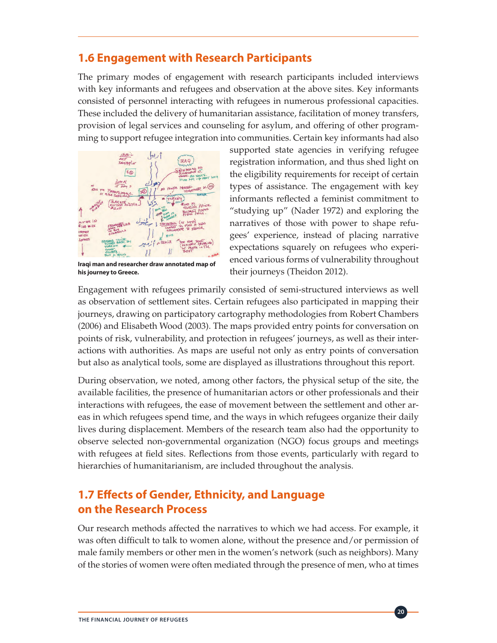#### **1.6 Engagement with Research Participants**

The primary modes of engagement with research participants included interviews with key informants and refugees and observation at the above sites. Key informants consisted of personnel interacting with refugees in numerous professional capacities. These included the delivery of humanitarian assistance, facilitation of money transfers, provision of legal services and counseling for asylum, and offering of other programming to support refugee integration into communities. Certain key informants had also



**Iraqi man and researcher draw annotated map of his journey to Greece.**

supported state agencies in verifying refugee registration information, and thus shed light on the eligibility requirements for receipt of certain types of assistance. The engagement with key informants reflected a feminist commitment to "studying up" (Nader 1972) and exploring the narratives of those with power to shape refugees' experience, instead of placing narrative expectations squarely on refugees who experienced various forms of vulnerability throughout their journeys (Theidon 2012).

Engagement with refugees primarily consisted of semi-structured interviews as well as observation of settlement sites. Certain refugees also participated in mapping their journeys, drawing on participatory cartography methodologies from Robert Chambers (2006) and Elisabeth Wood (2003). The maps provided entry points for conversation on points of risk, vulnerability, and protection in refugees' journeys, as well as their interactions with authorities. As maps are useful not only as entry points of conversation but also as analytical tools, some are displayed as illustrations throughout this report.

During observation, we noted, among other factors, the physical setup of the site, the available facilities, the presence of humanitarian actors or other professionals and their interactions with refugees, the ease of movement between the settlement and other areas in which refugees spend time, and the ways in which refugees organize their daily lives during displacement. Members of the research team also had the opportunity to observe selected non-governmental organization (NGO) focus groups and meetings with refugees at field sites. Reflections from those events, particularly with regard to hierarchies of humanitarianism, are included throughout the analysis.

## **1.7 Effects of Gender, Ethnicity, and Language on the Research Process**

Our research methods affected the narratives to which we had access. For example, it was often difficult to talk to women alone, without the presence and/or permission of male family members or other men in the women's network (such as neighbors). Many of the stories of women were often mediated through the presence of men, who at times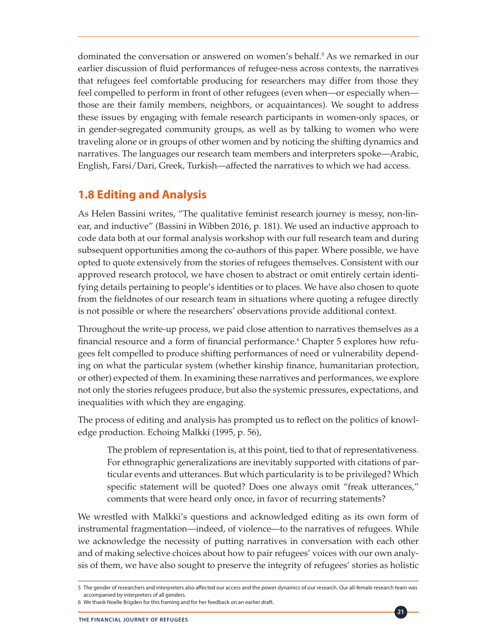dominated the conversation or answered on women's behalf.<sup>5</sup> As we remarked in our earlier discussion of fluid performances of refugee-ness across contexts, the narratives that refugees feel comfortable producing for researchers may differ from those they feel compelled to perform in front of other refugees (even when—or especially when those are their family members, neighbors, or acquaintances). We sought to address these issues by engaging with female research participants in women-only spaces, or in gender-segregated community groups, as well as by talking to women who were traveling alone or in groups of other women and by noticing the shifting dynamics and narratives. The languages our research team members and interpreters spoke—Arabic, English, Farsi/Dari, Greek, Turkish—affected the narratives to which we had access.

# **1.8 Editing and Analysis**

As Helen Bassini writes, "The qualitative feminist research journey is messy, non-linear, and inductive" (Bassini in Wibben 2016, p. 181). We used an inductive approach to code data both at our formal analysis workshop with our full research team and during subsequent opportunities among the co-authors of this paper. Where possible, we have opted to quote extensively from the stories of refugees themselves. Consistent with our approved research protocol, we have chosen to abstract or omit entirely certain identifying details pertaining to people's identities or to places. We have also chosen to quote from the fieldnotes of our research team in situations where quoting a refugee directly is not possible or where the researchers' observations provide additional context.

Throughout the write-up process, we paid close attention to narratives themselves as a financial resource and a form of financial performance.<sup>6</sup> Chapter 5 explores how refugees felt compelled to produce shifting performances of need or vulnerability depending on what the particular system (whether kinship finance, humanitarian protection, or other) expected of them. In examining these narratives and performances, we explore not only the stories refugees produce, but also the systemic pressures, expectations, and inequalities with which they are engaging.

The process of editing and analysis has prompted us to reflect on the politics of knowledge production. Echoing Malkki (1995, p. 56),

The problem of representation is, at this point, tied to that of representativeness. For ethnographic generalizations are inevitably supported with citations of particular events and utterances. But which particularity is to be privileged? Which specific statement will be quoted? Does one always omit "freak utterances," comments that were heard only once, in favor of recurring statements?

We wrestled with Malkki's questions and acknowledged editing as its own form of instrumental fragmentation—indeed, of violence—to the narratives of refugees. While we acknowledge the necessity of putting narratives in conversation with each other and of making selective choices about how to pair refugees' voices with our own analysis of them, we have also sought to preserve the integrity of refugees' stories as holistic

<sup>5</sup> The gender of researchers and interpreters also affected our access and the power dynamics of our research. Our all-female research team was accompanied by interpreters of all genders.

<sup>6</sup> We thank Noelle Brigden for this framing and for her feedback on an earlier draft.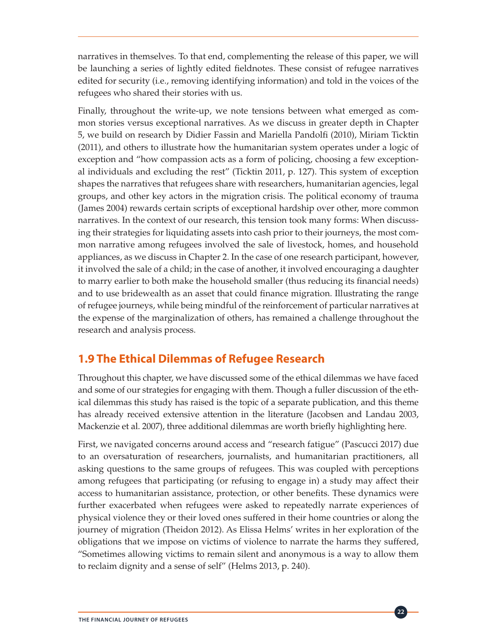narratives in themselves. To that end, complementing the release of this paper, we will be launching a series of lightly edited fieldnotes. These consist of refugee narratives edited for security (i.e., removing identifying information) and told in the voices of the refugees who shared their stories with us.

Finally, throughout the write-up, we note tensions between what emerged as common stories versus exceptional narratives. As we discuss in greater depth in Chapter 5, we build on research by Didier Fassin and Mariella Pandolfi (2010), Miriam Ticktin (2011), and others to illustrate how the humanitarian system operates under a logic of exception and "how compassion acts as a form of policing, choosing a few exceptional individuals and excluding the rest" (Ticktin 2011, p. 127). This system of exception shapes the narratives that refugees share with researchers, humanitarian agencies, legal groups, and other key actors in the migration crisis. The political economy of trauma (James 2004) rewards certain scripts of exceptional hardship over other, more common narratives. In the context of our research, this tension took many forms: When discussing their strategies for liquidating assets into cash prior to their journeys, the most common narrative among refugees involved the sale of livestock, homes, and household appliances, as we discuss in Chapter 2. In the case of one research participant, however, it involved the sale of a child; in the case of another, it involved encouraging a daughter to marry earlier to both make the household smaller (thus reducing its financial needs) and to use bridewealth as an asset that could finance migration. Illustrating the range of refugee journeys, while being mindful of the reinforcement of particular narratives at the expense of the marginalization of others, has remained a challenge throughout the research and analysis process.

# **1.9 The Ethical Dilemmas of Refugee Research**

Throughout this chapter, we have discussed some of the ethical dilemmas we have faced and some of our strategies for engaging with them. Though a fuller discussion of the ethical dilemmas this study has raised is the topic of a separate publication, and this theme has already received extensive attention in the literature (Jacobsen and Landau 2003, Mackenzie et al. 2007), three additional dilemmas are worth briefly highlighting here.

First, we navigated concerns around access and "research fatigue" (Pascucci 2017) due to an oversaturation of researchers, journalists, and humanitarian practitioners, all asking questions to the same groups of refugees. This was coupled with perceptions among refugees that participating (or refusing to engage in) a study may affect their access to humanitarian assistance, protection, or other benefits. These dynamics were further exacerbated when refugees were asked to repeatedly narrate experiences of physical violence they or their loved ones suffered in their home countries or along the journey of migration (Theidon 2012). As Elissa Helms' writes in her exploration of the obligations that we impose on victims of violence to narrate the harms they suffered, "Sometimes allowing victims to remain silent and anonymous is a way to allow them to reclaim dignity and a sense of self" (Helms 2013, p. 240).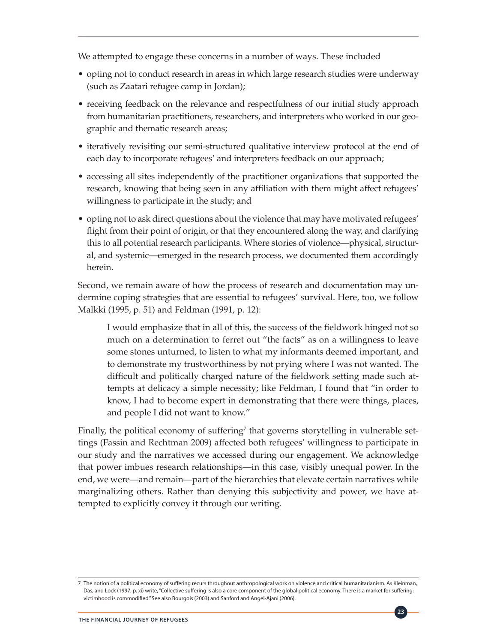We attempted to engage these concerns in a number of ways. These included

- opting not to conduct research in areas in which large research studies were underway (such as Zaatari refugee camp in Jordan);
- receiving feedback on the relevance and respectfulness of our initial study approach from humanitarian practitioners, researchers, and interpreters who worked in our geographic and thematic research areas;
- iteratively revisiting our semi-structured qualitative interview protocol at the end of each day to incorporate refugees' and interpreters feedback on our approach;
- accessing all sites independently of the practitioner organizations that supported the research, knowing that being seen in any affiliation with them might affect refugees' willingness to participate in the study; and
- opting not to ask direct questions about the violence that may have motivated refugees' flight from their point of origin, or that they encountered along the way, and clarifying this to all potential research participants. Where stories of violence—physical, structural, and systemic—emerged in the research process, we documented them accordingly herein.

Second, we remain aware of how the process of research and documentation may undermine coping strategies that are essential to refugees' survival. Here, too, we follow Malkki (1995, p. 51) and Feldman (1991, p. 12):

I would emphasize that in all of this, the success of the fieldwork hinged not so much on a determination to ferret out "the facts" as on a willingness to leave some stones unturned, to listen to what my informants deemed important, and to demonstrate my trustworthiness by not prying where I was not wanted. The difficult and politically charged nature of the fieldwork setting made such attempts at delicacy a simple necessity; like Feldman, I found that "in order to know, I had to become expert in demonstrating that there were things, places, and people I did not want to know."

Finally, the political economy of suffering<sup>7</sup> that governs storytelling in vulnerable settings (Fassin and Rechtman 2009) affected both refugees' willingness to participate in our study and the narratives we accessed during our engagement. We acknowledge that power imbues research relationships—in this case, visibly unequal power. In the end, we were—and remain—part of the hierarchies that elevate certain narratives while marginalizing others. Rather than denying this subjectivity and power, we have attempted to explicitly convey it through our writing.

<sup>7</sup> The notion of a political economy of suffering recurs throughout anthropological work on violence and critical humanitarianism. As Kleinman, Das, and Lock (1997, p. xi) write, "Collective suffering is also a core component of the global political economy. There is a market for suffering: victimhood is commodified." See also Bourgois (2003) and Sanford and Angel-Ajani (2006).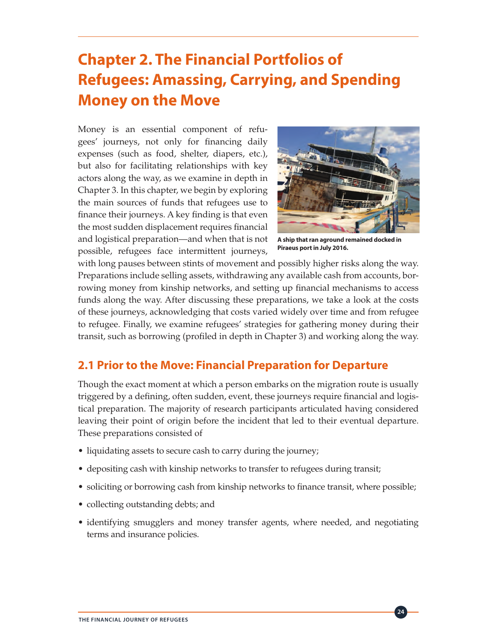# **Chapter 2. The Financial Portfolios of Refugees: Amassing, Carrying, and Spending Money on the Move**

Money is an essential component of refugees' journeys, not only for financing daily expenses (such as food, shelter, diapers, etc.), but also for facilitating relationships with key actors along the way, as we examine in depth in Chapter 3. In this chapter, we begin by exploring the main sources of funds that refugees use to finance their journeys. A key finding is that even the most sudden displacement requires financial and logistical preparation—and when that is not possible, refugees face intermittent journeys,



**A ship that ran aground remained docked in Piraeus port in July 2016.**

**24**

with long pauses between stints of movement and possibly higher risks along the way. Preparations include selling assets, withdrawing any available cash from accounts, borrowing money from kinship networks, and setting up financial mechanisms to access funds along the way. After discussing these preparations, we take a look at the costs of these journeys, acknowledging that costs varied widely over time and from refugee to refugee. Finally, we examine refugees' strategies for gathering money during their transit, such as borrowing (profiled in depth in Chapter 3) and working along the way.

## **2.1 Prior to the Move: Financial Preparation for Departure**

Though the exact moment at which a person embarks on the migration route is usually triggered by a defining, often sudden, event, these journeys require financial and logistical preparation. The majority of research participants articulated having considered leaving their point of origin before the incident that led to their eventual departure. These preparations consisted of

- liquidating assets to secure cash to carry during the journey;
- depositing cash with kinship networks to transfer to refugees during transit;
- soliciting or borrowing cash from kinship networks to finance transit, where possible;
- collecting outstanding debts; and
- identifying smugglers and money transfer agents, where needed, and negotiating terms and insurance policies.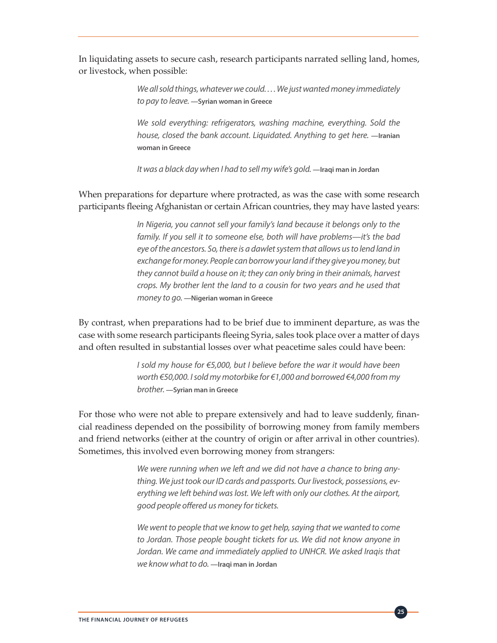In liquidating assets to secure cash, research participants narrated selling land, homes, or livestock, when possible:

> *We all sold things, whatever we could. . . . We just wanted money immediately to pay to leave.* **—Syrian woman in Greece**

> *We sold everything: refrigerators, washing machine, everything. Sold the house, closed the bank account. Liquidated. Anything to get here.* —Iranian **woman in Greece**

*It was a black day when I had to sell my wife's gold.* **—Iraqi man in Jordan**

When preparations for departure where protracted, as was the case with some research participants fleeing Afghanistan or certain African countries, they may have lasted years:

> *In Nigeria, you cannot sell your family's land because it belongs only to the family. If you sell it to someone else, both will have problems—it's the bad eye of the ancestors. So, there is a dawlet system that allows us to lend land in exchange for money. People can borrow your land if they give you money, but they cannot build a house on it; they can only bring in their animals, harvest crops. My brother lent the land to a cousin for two years and he used that money to go.* **—Nigerian woman in Greece**

By contrast, when preparations had to be brief due to imminent departure, as was the case with some research participants fleeing Syria, sales took place over a matter of days and often resulted in substantial losses over what peacetime sales could have been:

> *I* sold my house for €5,000, but *I* believe before the war it would have been *worth €50,000. I sold my motorbike for €1,000 and borrowed €4,000 from my brother.* **—Syrian man in Greece**

For those who were not able to prepare extensively and had to leave suddenly, financial readiness depended on the possibility of borrowing money from family members and friend networks (either at the country of origin or after arrival in other countries). Sometimes, this involved even borrowing money from strangers:

> *We were running when we left and we did not have a chance to bring anything. We just took our ID cards and passports. Our livestock, possessions, everything we left behind was lost. We left with only our clothes. At the airport, good people offered us money for tickets.*

> *We went to people that we know to get help, saying that we wanted to come to Jordan. Those people bought tickets for us. We did not know anyone in Jordan. We came and immediately applied to UNHCR. We asked Iraqis that we know what to do.* **—Iraqi man in Jordan**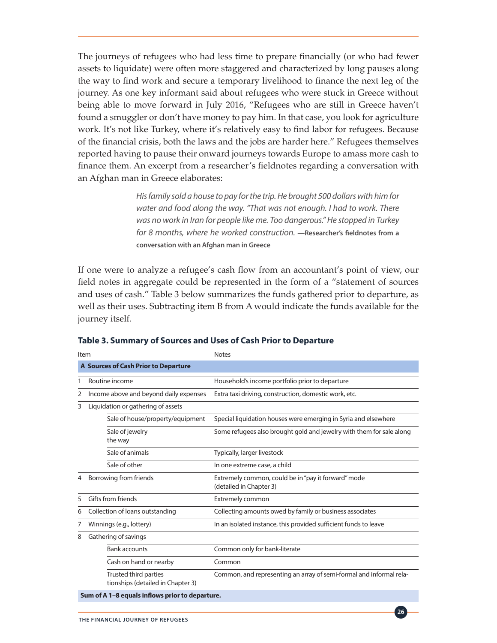The journeys of refugees who had less time to prepare financially (or who had fewer assets to liquidate) were often more staggered and characterized by long pauses along the way to find work and secure a temporary livelihood to finance the next leg of the journey. As one key informant said about refugees who were stuck in Greece without being able to move forward in July 2016, "Refugees who are still in Greece haven't found a smuggler or don't have money to pay him. In that case, you look for agriculture work. It's not like Turkey, where it's relatively easy to find labor for refugees. Because of the financial crisis, both the laws and the jobs are harder here." Refugees themselves reported having to pause their onward journeys towards Europe to amass more cash to finance them. An excerpt from a researcher's fieldnotes regarding a conversation with an Afghan man in Greece elaborates:

> *His family sold a house to pay for the trip. He brought 500 dollars with him for water and food along the way. "That was not enough. I had to work. There was no work in Iran for people like me. Too dangerous." He stopped in Turkey for 8 months, where he worked construction.* **—Researcher's fieldnotes from a conversation with an Afghan man in Greece**

If one were to analyze a refugee's cash flow from an accountant's point of view, our field notes in aggregate could be represented in the form of a "statement of sources and uses of cash." Table 3 below summarizes the funds gathered prior to departure, as well as their uses. Subtracting item B from A would indicate the funds available for the journey itself.

| Item                                 |                                                            | <b>Notes</b>                                                                   |  |  |  |
|--------------------------------------|------------------------------------------------------------|--------------------------------------------------------------------------------|--|--|--|
| A Sources of Cash Prior to Departure |                                                            |                                                                                |  |  |  |
| 1                                    | Routine income                                             | Household's income portfolio prior to departure                                |  |  |  |
| 2                                    | Income above and beyond daily expenses                     | Extra taxi driving, construction, domestic work, etc.                          |  |  |  |
| 3                                    | Liquidation or gathering of assets                         |                                                                                |  |  |  |
|                                      | Sale of house/property/equipment                           | Special liquidation houses were emerging in Syria and elsewhere                |  |  |  |
|                                      | Sale of jewelry<br>the way                                 | Some refugees also brought gold and jewelry with them for sale along           |  |  |  |
|                                      | Sale of animals                                            | Typically, larger livestock                                                    |  |  |  |
|                                      | Sale of other                                              | In one extreme case, a child                                                   |  |  |  |
| 4                                    | Borrowing from friends                                     | Extremely common, could be in "pay it forward" mode<br>(detailed in Chapter 3) |  |  |  |
| 5                                    | Gifts from friends                                         | <b>Extremely common</b>                                                        |  |  |  |
| 6                                    | Collection of loans outstanding                            | Collecting amounts owed by family or business associates                       |  |  |  |
| 7                                    | Winnings (e.g., lottery)                                   | In an isolated instance, this provided sufficient funds to leave               |  |  |  |
| 8                                    | Gathering of savings                                       |                                                                                |  |  |  |
|                                      | <b>Bank accounts</b>                                       | Common only for bank-literate                                                  |  |  |  |
|                                      | Cash on hand or nearby                                     | Common                                                                         |  |  |  |
|                                      | Trusted third parties<br>tionships (detailed in Chapter 3) | Common, and representing an array of semi-formal and informal rela-            |  |  |  |
|                                      | Sum of A 1-8 equals inflows prior to departure.            |                                                                                |  |  |  |

**Table 3. Summary of Sources and Uses of Cash Prior to Departure**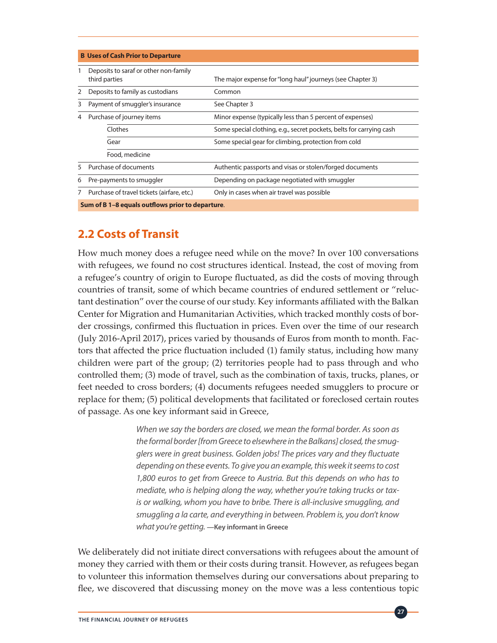|             | <b>B</b> Uses of Cash Prior to Departure               |                                                                      |  |  |  |
|-------------|--------------------------------------------------------|----------------------------------------------------------------------|--|--|--|
|             | Deposits to saraf or other non-family<br>third parties | The major expense for "long haul" journeys (see Chapter 3)           |  |  |  |
| 2           | Deposits to family as custodians                       | Common                                                               |  |  |  |
| 3           | Payment of smuggler's insurance                        | See Chapter 3                                                        |  |  |  |
| 4           | Purchase of journey items                              | Minor expense (typically less than 5 percent of expenses)            |  |  |  |
|             | Clothes                                                | Some special clothing, e.g., secret pockets, belts for carrying cash |  |  |  |
|             | Gear                                                   | Some special gear for climbing, protection from cold                 |  |  |  |
|             | Food, medicine                                         |                                                                      |  |  |  |
| 5           | Purchase of documents                                  | Authentic passports and visas or stolen/forged documents             |  |  |  |
| 6           | Pre-payments to smuggler                               | Depending on package negotiated with smuggler                        |  |  |  |
| $7^{\circ}$ | Purchase of travel tickets (airfare, etc.)             | Only in cases when air travel was possible                           |  |  |  |
|             | Sum of B 1-8 equals outflows prior to departure.       |                                                                      |  |  |  |

## **2.2 Costs of Transit**

How much money does a refugee need while on the move? In over 100 conversations with refugees, we found no cost structures identical. Instead, the cost of moving from a refugee's country of origin to Europe fluctuated, as did the costs of moving through countries of transit, some of which became countries of endured settlement or "reluctant destination" over the course of our study. Key informants affiliated with the Balkan Center for Migration and Humanitarian Activities, which tracked monthly costs of border crossings, confirmed this fluctuation in prices. Even over the time of our research (July 2016-April 2017), prices varied by thousands of Euros from month to month. Factors that affected the price fluctuation included (1) family status, including how many children were part of the group; (2) territories people had to pass through and who controlled them; (3) mode of travel, such as the combination of taxis, trucks, planes, or feet needed to cross borders; (4) documents refugees needed smugglers to procure or replace for them; (5) political developments that facilitated or foreclosed certain routes of passage. As one key informant said in Greece,

> *When we say the borders are closed, we mean the formal border. As soon as the formal border [from Greece to elsewhere in the Balkans] closed, the smugglers were in great business. Golden jobs! The prices vary and they fluctuate depending on these events. To give you an example, this week it seems to cost 1,800 euros to get from Greece to Austria. But this depends on who has to mediate, who is helping along the way, whether you're taking trucks or taxis or walking, whom you have to bribe. There is all-inclusive smuggling, and smuggling a la carte, and everything in between. Problem is, you don't know what you're getting.* **—Key informant in Greece**

We deliberately did not initiate direct conversations with refugees about the amount of money they carried with them or their costs during transit. However, as refugees began to volunteer this information themselves during our conversations about preparing to flee, we discovered that discussing money on the move was a less contentious topic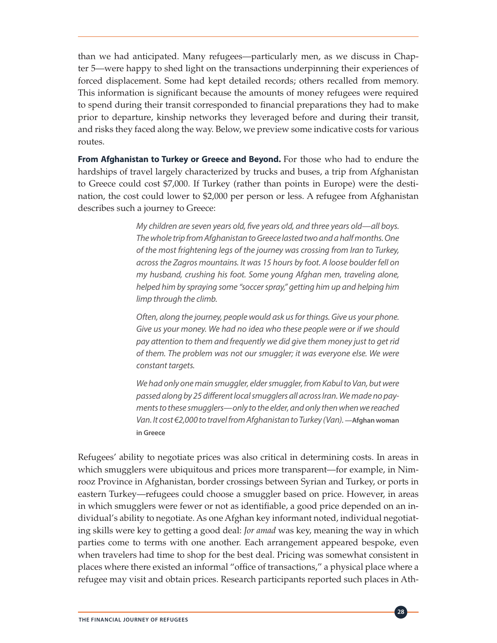than we had anticipated. Many refugees—particularly men, as we discuss in Chapter 5—were happy to shed light on the transactions underpinning their experiences of forced displacement. Some had kept detailed records; others recalled from memory. This information is significant because the amounts of money refugees were required to spend during their transit corresponded to financial preparations they had to make prior to departure, kinship networks they leveraged before and during their transit, and risks they faced along the way. Below, we preview some indicative costs for various routes.

**From Afghanistan to Turkey or Greece and Beyond.** For those who had to endure the hardships of travel largely characterized by trucks and buses, a trip from Afghanistan to Greece could cost \$7,000. If Turkey (rather than points in Europe) were the destination, the cost could lower to \$2,000 per person or less. A refugee from Afghanistan describes such a journey to Greece:

> *My children are seven years old, five years old, and three years old—all boys. The whole trip from Afghanistan to Greece lasted two and a half months. One of the most frightening legs of the journey was crossing from Iran to Turkey, across the Zagros mountains. It was 15 hours by foot. A loose boulder fell on my husband, crushing his foot. Some young Afghan men, traveling alone, helped him by spraying some "soccer spray," getting him up and helping him limp through the climb.*

> *Often, along the journey, people would ask us for things. Give us your phone. Give us your money. We had no idea who these people were or if we should pay attention to them and frequently we did give them money just to get rid of them. The problem was not our smuggler; it was everyone else. We were constant targets.*

> *We had only one main smuggler, elder smuggler, from Kabul to Van, but were passed along by 25 different local smugglers all across Iran. We made no payments to these smugglers—only to the elder, and only then when we reached Van. It cost €2,000 to travel from Afghanistan to Turkey (Van).* —Afghan woman **in Greece**

Refugees' ability to negotiate prices was also critical in determining costs. In areas in which smugglers were ubiquitous and prices more transparent—for example, in Nimrooz Province in Afghanistan, border crossings between Syrian and Turkey, or ports in eastern Turkey—refugees could choose a smuggler based on price. However, in areas in which smugglers were fewer or not as identifiable, a good price depended on an individual's ability to negotiate. As one Afghan key informant noted, individual negotiating skills were key to getting a good deal: *Jor amad* was key, meaning the way in which parties come to terms with one another. Each arrangement appeared bespoke, even when travelers had time to shop for the best deal. Pricing was somewhat consistent in places where there existed an informal "office of transactions," a physical place where a refugee may visit and obtain prices. Research participants reported such places in Ath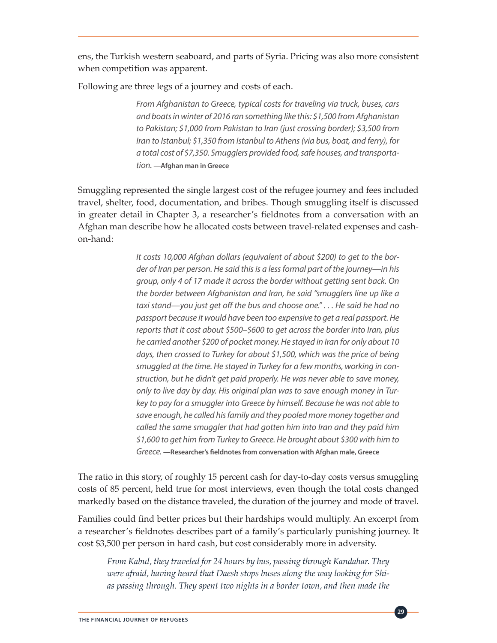ens, the Turkish western seaboard, and parts of Syria. Pricing was also more consistent when competition was apparent.

Following are three legs of a journey and costs of each.

*From Afghanistan to Greece, typical costs for traveling via truck, buses, cars and boats in winter of 2016 ran something like this: \$1,500 from Afghanistan to Pakistan; \$1,000 from Pakistan to Iran (just crossing border); \$3,500 from Iran to Istanbul; \$1,350 from Istanbul to Athens (via bus, boat, and ferry), for a total cost of \$7,350. Smugglers provided food, safe houses, and transportation.* **—Afghan man in Greece**

Smuggling represented the single largest cost of the refugee journey and fees included travel, shelter, food, documentation, and bribes. Though smuggling itself is discussed in greater detail in Chapter 3, a researcher's fieldnotes from a conversation with an Afghan man describe how he allocated costs between travel-related expenses and cashon-hand:

> *It costs 10,000 Afghan dollars (equivalent of about \$200) to get to the border of Iran per person. He said this is a less formal part of the journey—in his group, only 4 of 17 made it across the border without getting sent back. On the border between Afghanistan and Iran, he said "smugglers line up like a taxi stand—you just get off the bus and choose one." . . . He said he had no passport because it would have been too expensive to get a real passport. He reports that it cost about \$500–\$600 to get across the border into Iran, plus he carried another \$200 of pocket money. He stayed in Iran for only about 10 days, then crossed to Turkey for about \$1,500, which was the price of being smuggled at the time. He stayed in Turkey for a few months, working in construction, but he didn't get paid properly. He was never able to save money, only to live day by day. His original plan was to save enough money in Turkey to pay for a smuggler into Greece by himself. Because he was not able to save enough, he called his family and they pooled more money together and called the same smuggler that had gotten him into Iran and they paid him \$1,600 to get him from Turkey to Greece. He brought about \$300 with him to Greece.* **—Researcher's fieldnotes from conversation with Afghan male, Greece**

The ratio in this story, of roughly 15 percent cash for day-to-day costs versus smuggling costs of 85 percent, held true for most interviews, even though the total costs changed markedly based on the distance traveled, the duration of the journey and mode of travel.

Families could find better prices but their hardships would multiply. An excerpt from a researcher's fieldnotes describes part of a family's particularly punishing journey. It cost \$3,500 per person in hard cash, but cost considerably more in adversity.

*From Kabul, they traveled for 24 hours by bus, passing through Kandahar. They were afraid, having heard that Daesh stops buses along the way looking for Shias passing through. They spent two nights in a border town, and then made the*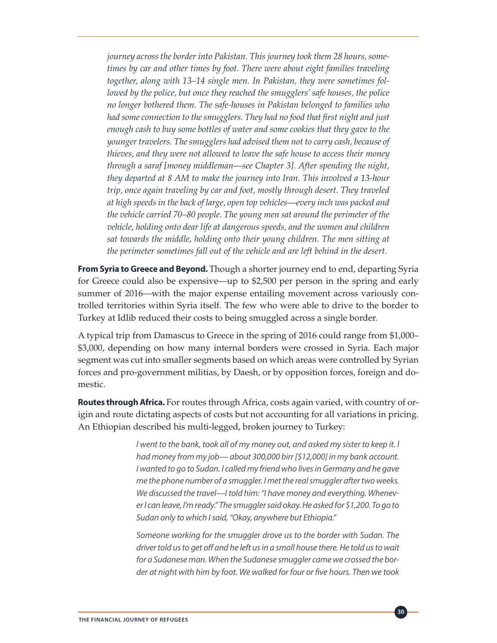*journey across the border into Pakistan. This journey took them 28 hours, sometimes by car and other times by foot. There were about eight families traveling together, along with 13–14 single men. In Pakistan, they were sometimes followed by the police, but once they reached the smugglers' safe houses, the police no longer bothered them. The safe-houses in Pakistan belonged to families who had some connection to the smugglers. They had no food that first night and just enough cash to buy some bottles of water and some cookies that they gave to the younger travelers. The smugglers had advised them not to carry cash, because of thieves, and they were not allowed to leave the safe house to access their money through a saraf [money middleman*—*see Chapter 3]. After spending the night, they departed at 8 AM to make the journey into Iran. This involved a 13-hour trip, once again traveling by car and foot, mostly through desert. They traveled at high speeds in the back of large, open top vehicles*—*every inch was packed and the vehicle carried 70–80 people. The young men sat around the perimeter of the vehicle, holding onto dear life at dangerous speeds, and the women and children sat towards the middle, holding onto their young children. The men sitting at the perimeter sometimes fall out of the vehicle and are left behind in the desert.* 

**From Syria to Greece and Beyond.** Though a shorter journey end to end, departing Syria for Greece could also be expensive—up to \$2,500 per person in the spring and early summer of 2016—with the major expense entailing movement across variously controlled territories within Syria itself. The few who were able to drive to the border to Turkey at Idlib reduced their costs to being smuggled across a single border.

A typical trip from Damascus to Greece in the spring of 2016 could range from \$1,000– \$3,000, depending on how many internal borders were crossed in Syria. Each major segment was cut into smaller segments based on which areas were controlled by Syrian forces and pro-government militias, by Daesh, or by opposition forces, foreign and domestic.

**Routes through Africa.** For routes through Africa, costs again varied, with country of origin and route dictating aspects of costs but not accounting for all variations in pricing. An Ethiopian described his multi-legged, broken journey to Turkey:

> *I* went to the bank, took all of my money out, and asked my sister to keep it. I *had money from my job— about 300,000 birr [\$12,000] in my bank account. I wanted to go to Sudan. I called my friend who lives in Germany and he gave me the phone number of a smuggler. I met the real smuggler after two weeks. We discussed the travel—I told him: "I have money and everything. Whenever I can leave, I'm ready." The smuggler said okay. He asked for \$1,200. To go to Sudan only to which I said, "Okay, anywhere but Ethiopia."*

> *Someone working for the smuggler drove us to the border with Sudan. The driver told us to get off and he left us in a small house there. He told us to wait for a Sudanese man. When the Sudanese smuggler came we crossed the border at night with him by foot. We walked for four or five hours. Then we took*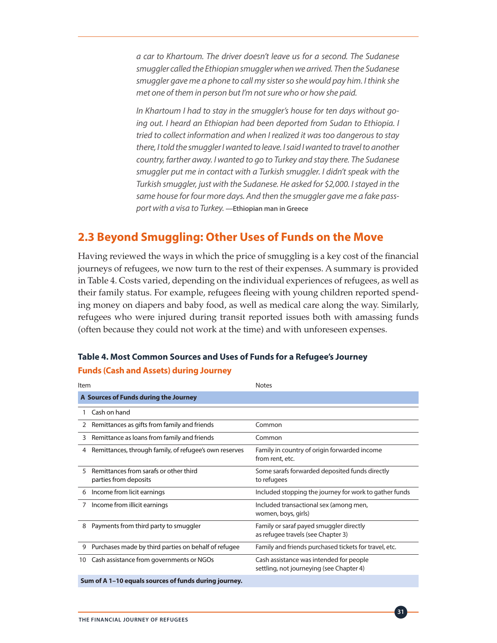*a car to Khartoum. The driver doesn't leave us for a second. The Sudanese smuggler called the Ethiopian smuggler when we arrived. Then the Sudanese smuggler gave me a phone to call my sister so she would pay him. I think she met one of them in person but I'm not sure who or how she paid.*

*In Khartoum I had to stay in the smuggler's house for ten days without going out. I heard an Ethiopian had been deported from Sudan to Ethiopia. I tried to collect information and when I realized it was too dangerous to stay there, I told the smuggler I wanted to leave. I said I wanted to travel to another country, farther away. I wanted to go to Turkey and stay there. The Sudanese smuggler put me in contact with a Turkish smuggler. I didn't speak with the Turkish smuggler, just with the Sudanese. He asked for \$2,000. I stayed in the same house for four more days. And then the smuggler gave me a fake passport with a visa to Turkey.* **—Ethiopian man in Greece**

## **2.3 Beyond Smuggling: Other Uses of Funds on the Move**

Having reviewed the ways in which the price of smuggling is a key cost of the financial journeys of refugees, we now turn to the rest of their expenses. A summary is provided in Table 4. Costs varied, depending on the individual experiences of refugees, as well as their family status. For example, refugees fleeing with young children reported spending money on diapers and baby food, as well as medical care along the way. Similarly, refugees who were injured during transit reported issues both with amassing funds (often because they could not work at the time) and with unforeseen expenses.

#### **Table 4. Most Common Sources and Uses of Funds for a Refugee's Journey**

#### **Funds (Cash and Assets) during Journey**

| Item |                                                                 | <b>Notes</b>                                                                        |  |  |  |
|------|-----------------------------------------------------------------|-------------------------------------------------------------------------------------|--|--|--|
|      | A Sources of Funds during the Journey                           |                                                                                     |  |  |  |
|      | Cash on hand                                                    |                                                                                     |  |  |  |
| 2    | Remittances as gifts from family and friends                    | Common                                                                              |  |  |  |
| 3    | Remittance as loans from family and friends                     | Common                                                                              |  |  |  |
| 4    | Remittances, through family, of refugee's own reserves          | Family in country of origin forwarded income<br>from rent, etc.                     |  |  |  |
| 5    | Remittances from sarafs or other third<br>parties from deposits | Some sarafs forwarded deposited funds directly<br>to refugees                       |  |  |  |
| 6    | Income from licit earnings                                      | Included stopping the journey for work to gather funds                              |  |  |  |
| 7    | Income from illicit earnings                                    | Included transactional sex (among men,<br>women, boys, girls)                       |  |  |  |
| 8    | Payments from third party to smuggler                           | Family or saraf payed smuggler directly<br>as refugee travels (see Chapter 3)       |  |  |  |
| 9    | Purchases made by third parties on behalf of refugee            | Family and friends purchased tickets for travel, etc.                               |  |  |  |
| 10   | Cash assistance from governments or NGOs                        | Cash assistance was intended for people<br>settling, not journeying (see Chapter 4) |  |  |  |
|      | Sum of A 1-10 equals sources of funds during journey.           |                                                                                     |  |  |  |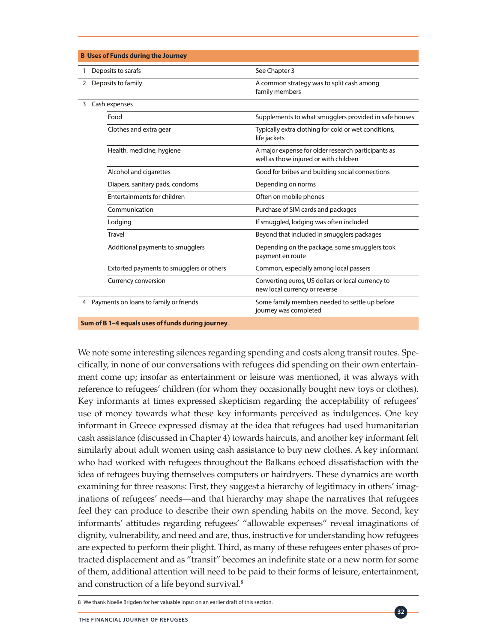|                                          | <b>B Uses of Funds during the Journey</b>         |                                                                                              |  |  |  |
|------------------------------------------|---------------------------------------------------|----------------------------------------------------------------------------------------------|--|--|--|
| 1                                        | Deposits to sarafs                                | See Chapter 3                                                                                |  |  |  |
| 2                                        | Deposits to family                                | A common strategy was to split cash among<br>family members                                  |  |  |  |
| 3                                        | Cash expenses                                     |                                                                                              |  |  |  |
|                                          | Food                                              | Supplements to what smugglers provided in safe houses                                        |  |  |  |
|                                          | Clothes and extra gear                            | Typically extra clothing for cold or wet conditions,<br>life jackets                         |  |  |  |
|                                          | Health, medicine, hygiene                         | A major expense for older research participants as<br>well as those injured or with children |  |  |  |
|                                          | Alcohol and cigarettes                            | Good for bribes and building social connections                                              |  |  |  |
|                                          | Diapers, sanitary pads, condoms                   | Depending on norms                                                                           |  |  |  |
|                                          | Entertainments for children                       | Often on mobile phones                                                                       |  |  |  |
|                                          | Communication                                     | Purchase of SIM cards and packages                                                           |  |  |  |
|                                          | Lodging                                           | If smuggled, lodging was often included                                                      |  |  |  |
|                                          | <b>Travel</b>                                     | Beyond that included in smugglers packages                                                   |  |  |  |
|                                          | Additional payments to smugglers                  | Depending on the package, some smugglers took<br>payment en route                            |  |  |  |
|                                          | Extorted payments to smugglers or others          | Common, especially among local passers                                                       |  |  |  |
|                                          | Currency conversion                               | Converting euros, US dollars or local currency to<br>new local currency or reverse           |  |  |  |
| 4 Payments on loans to family or friends |                                                   | Some family members needed to settle up before<br>journey was completed                      |  |  |  |
|                                          | Sum of B 1-4 equals uses of funds during journey. |                                                                                              |  |  |  |

We note some interesting silences regarding spending and costs along transit routes. Specifically, in none of our conversations with refugees did spending on their own entertainment come up; insofar as entertainment or leisure was mentioned, it was always with reference to refugees' children (for whom they occasionally bought new toys or clothes). Key informants at times expressed skepticism regarding the acceptability of refugees' use of money towards what these key informants perceived as indulgences. One key informant in Greece expressed dismay at the idea that refugees had used humanitarian cash assistance (discussed in Chapter 4) towards haircuts, and another key informant felt similarly about adult women using cash assistance to buy new clothes. A key informant who had worked with refugees throughout the Balkans echoed dissatisfaction with the idea of refugees buying themselves computers or hairdryers. These dynamics are worth examining for three reasons: First, they suggest a hierarchy of legitimacy in others' imaginations of refugees' needs—and that hierarchy may shape the narratives that refugees feel they can produce to describe their own spending habits on the move. Second, key informants' attitudes regarding refugees' "allowable expenses" reveal imaginations of dignity, vulnerability, and need and are, thus, instructive for understanding how refugees are expected to perform their plight. Third, as many of these refugees enter phases of protracted displacement and as "transit" becomes an indefinite state or a new norm for some of them, additional attention will need to be paid to their forms of leisure, entertainment, and construction of a life beyond survival.<sup>8</sup>

<sup>8</sup> We thank Noelle Brigden for her valuable input on an earlier draft of this section.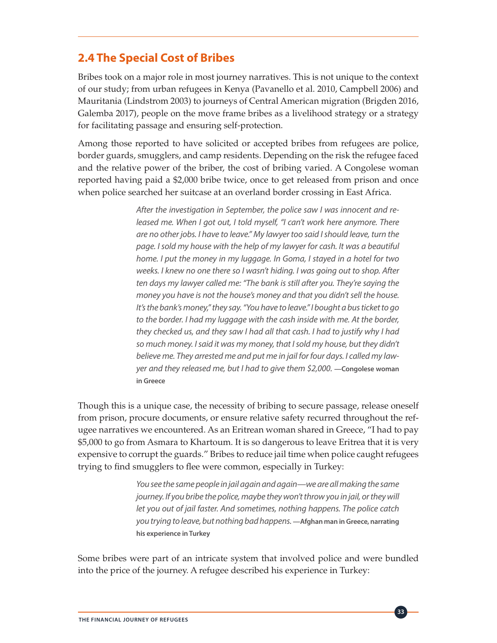# **2.4 The Special Cost of Bribes**

Bribes took on a major role in most journey narratives. This is not unique to the context of our study; from urban refugees in Kenya (Pavanello et al. 2010, Campbell 2006) and Mauritania (Lindstrom 2003) to journeys of Central American migration (Brigden 2016, Galemba 2017), people on the move frame bribes as a livelihood strategy or a strategy for facilitating passage and ensuring self-protection.

Among those reported to have solicited or accepted bribes from refugees are police, border guards, smugglers, and camp residents. Depending on the risk the refugee faced and the relative power of the briber, the cost of bribing varied. A Congolese woman reported having paid a \$2,000 bribe twice, once to get released from prison and once when police searched her suitcase at an overland border crossing in East Africa.

> *After the investigation in September, the police saw I was innocent and released me. When I got out, I told myself, "I can't work here anymore. There are no other jobs. I have to leave." My lawyer too said I should leave, turn the page. I sold my house with the help of my lawyer for cash. It was a beautiful home. I put the money in my luggage. In Goma, I stayed in a hotel for two weeks. I knew no one there so I wasn't hiding. I was going out to shop. After ten days my lawyer called me: "The bank is still after you. They're saying the money you have is not the house's money and that you didn't sell the house. It's the bank's money," they say. "You have to leave." I bought a bus ticket to go to the border. I had my luggage with the cash inside with me. At the border, they checked us, and they saw I had all that cash. I had to justify why I had so much money. I said it was my money, that I sold my house, but they didn't believe me. They arrested me and put me in jail for four days. I called my lawyer and they released me, but I had to give them \$2,000.* — Congolese woman **in Greece**

Though this is a unique case, the necessity of bribing to secure passage, release oneself from prison, procure documents, or ensure relative safety recurred throughout the refugee narratives we encountered. As an Eritrean woman shared in Greece, "I had to pay \$5,000 to go from Asmara to Khartoum. It is so dangerous to leave Eritrea that it is very expensive to corrupt the guards." Bribes to reduce jail time when police caught refugees trying to find smugglers to flee were common, especially in Turkey:

> *You see the same people in jail again and again—we are all making the same journey. If you bribe the police, maybe they won't throw you in jail, or they will let you out of jail faster. And sometimes, nothing happens. The police catch you trying to leave, but nothing bad happens.* **—Afghan man in Greece, narrating his experience in Turkey**

Some bribes were part of an intricate system that involved police and were bundled into the price of the journey. A refugee described his experience in Turkey: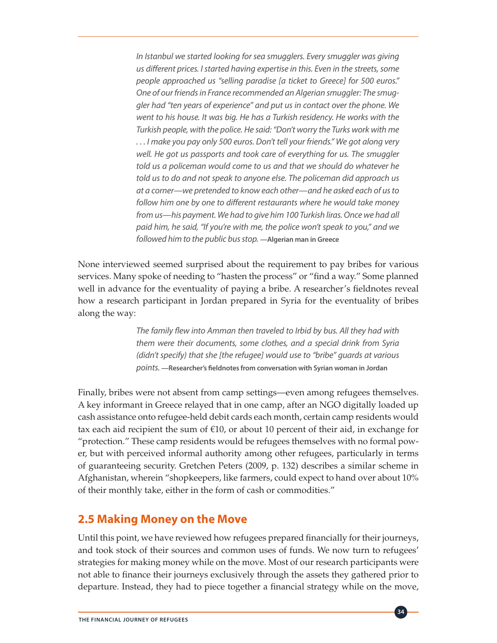In Istanbul we started looking for sea smugglers. Every smuggler was giving *us different prices. I started having expertise in this. Even in the streets, some people approached us "selling paradise [a ticket to Greece] for 500 euros." One of our friends in France recommended an Algerian smuggler: The smuggler had "ten years of experience" and put us in contact over the phone. We went to his house. It was big. He has a Turkish residency. He works with the Turkish people, with the police. He said: "Don't worry the Turks work with me . . . I make you pay only 500 euros. Don't tell your friends." We got along very well. He got us passports and took care of everything for us. The smuggler told us a policeman would come to us and that we should do whatever he told us to do and not speak to anyone else. The policeman did approach us at a corner—we pretended to know each other—and he asked each of us to follow him one by one to different restaurants where he would take money from us—his payment. We had to give him 100 Turkish liras. Once we had all paid him, he said, "If you're with me, the police won't speak to you," and we followed him to the public bus stop.* **—Algerian man in Greece**

None interviewed seemed surprised about the requirement to pay bribes for various services. Many spoke of needing to "hasten the process" or "find a way." Some planned well in advance for the eventuality of paying a bribe. A researcher's fieldnotes reveal how a research participant in Jordan prepared in Syria for the eventuality of bribes along the way:

> *The family flew into Amman then traveled to Irbid by bus. All they had with them were their documents, some clothes, and a special drink from Syria (didn't specify) that she [the refugee] would use to "bribe" guards at various points.* **—Researcher's fieldnotes from conversation with Syrian woman in Jordan**

Finally, bribes were not absent from camp settings—even among refugees themselves. A key informant in Greece relayed that in one camp, after an NGO digitally loaded up cash assistance onto refugee-held debit cards each month, certain camp residents would tax each aid recipient the sum of  $\epsilon$ 10, or about 10 percent of their aid, in exchange for "protection." These camp residents would be refugees themselves with no formal power, but with perceived informal authority among other refugees, particularly in terms of guaranteeing security. Gretchen Peters (2009, p. 132) describes a similar scheme in Afghanistan, wherein "shopkeepers, like farmers, could expect to hand over about 10% of their monthly take, either in the form of cash or commodities."

#### **2.5 Making Money on the Move**

Until this point, we have reviewed how refugees prepared financially for their journeys, and took stock of their sources and common uses of funds. We now turn to refugees' strategies for making money while on the move. Most of our research participants were not able to finance their journeys exclusively through the assets they gathered prior to departure. Instead, they had to piece together a financial strategy while on the move,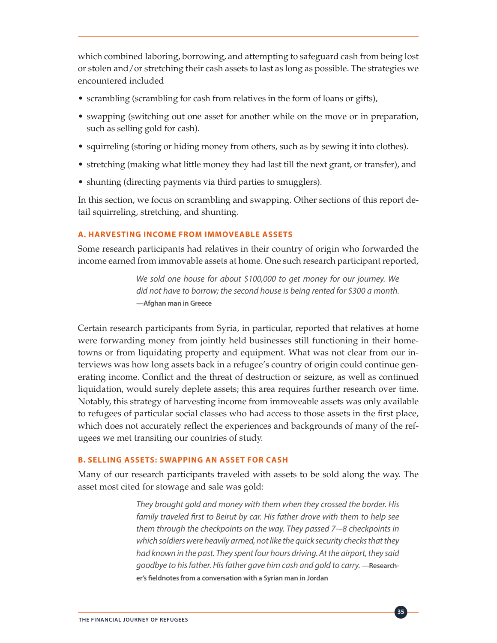which combined laboring, borrowing, and attempting to safeguard cash from being lost or stolen and/or stretching their cash assets to last as long as possible. The strategies we encountered included

- scrambling (scrambling for cash from relatives in the form of loans or gifts),
- swapping (switching out one asset for another while on the move or in preparation, such as selling gold for cash).
- squirreling (storing or hiding money from others, such as by sewing it into clothes).
- stretching (making what little money they had last till the next grant, or transfer), and
- shunting (directing payments via third parties to smugglers).

In this section, we focus on scrambling and swapping. Other sections of this report detail squirreling, stretching, and shunting.

#### **A. HARVESTING INCOME FROM IMMOVEABLE ASSETS**

Some research participants had relatives in their country of origin who forwarded the income earned from immovable assets at home. One such research participant reported,

> *We sold one house for about \$100,000 to get money for our journey. We did not have to borrow; the second house is being rented for \$300 a month.*  **—Afghan man in Greece**

Certain research participants from Syria, in particular, reported that relatives at home were forwarding money from jointly held businesses still functioning in their hometowns or from liquidating property and equipment. What was not clear from our interviews was how long assets back in a refugee's country of origin could continue generating income. Conflict and the threat of destruction or seizure, as well as continued liquidation, would surely deplete assets; this area requires further research over time. Notably, this strategy of harvesting income from immoveable assets was only available to refugees of particular social classes who had access to those assets in the first place, which does not accurately reflect the experiences and backgrounds of many of the refugees we met transiting our countries of study.

#### **B. SELLING ASSETS: SWAPPING AN ASSET FOR CASH**

Many of our research participants traveled with assets to be sold along the way. The asset most cited for stowage and sale was gold:

> *They brought gold and money with them when they crossed the border. His family traveled first to Beirut by car. His father drove with them to help see them through the checkpoints on the way. They passed 7-–8 checkpoints in which soldiers were heavily armed, not like the quick security checks that they had known in the past. They spent four hours driving. At the airport, they said goodbye to his father. His father gave him cash and gold to carry.* **—Researcher's fieldnotes from a conversation with a Syrian man in Jordan**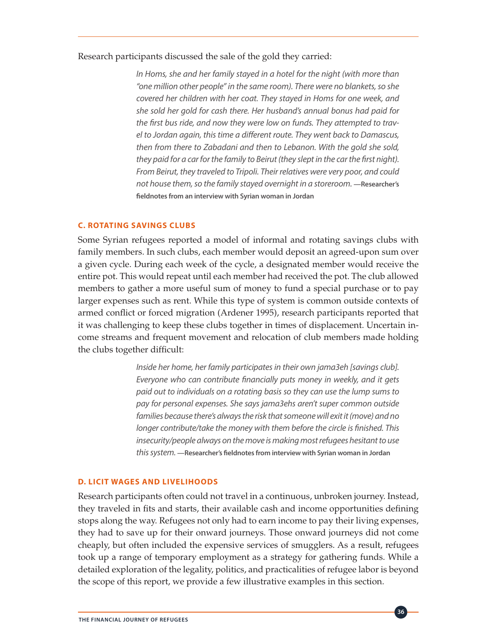#### Research participants discussed the sale of the gold they carried:

*In Homs, she and her family stayed in a hotel for the night (with more than "one million other people" in the same room). There were no blankets, so she covered her children with her coat. They stayed in Homs for one week, and she sold her gold for cash there. Her husband's annual bonus had paid for the first bus ride, and now they were low on funds. They attempted to travel to Jordan again, this time a different route. They went back to Damascus, then from there to Zabadani and then to Lebanon. With the gold she sold, they paid for a car for the family to Beirut (they slept in the car the first night). From Beirut, they traveled to Tripoli. Their relatives were very poor, and could not house them, so the family stayed overnight in a storeroom.* —Researcher's **fieldnotes from an interview with Syrian woman in Jordan**

#### **C. ROTATING SAVINGS CLUBS**

Some Syrian refugees reported a model of informal and rotating savings clubs with family members. In such clubs, each member would deposit an agreed-upon sum over a given cycle. During each week of the cycle, a designated member would receive the entire pot. This would repeat until each member had received the pot. The club allowed members to gather a more useful sum of money to fund a special purchase or to pay larger expenses such as rent. While this type of system is common outside contexts of armed conflict or forced migration (Ardener 1995), research participants reported that it was challenging to keep these clubs together in times of displacement. Uncertain income streams and frequent movement and relocation of club members made holding the clubs together difficult:

> *Inside her home, her family participates in their own jama3eh [savings club]. Everyone who can contribute financially puts money in weekly, and it gets paid out to individuals on a rotating basis so they can use the lump sums to pay for personal expenses. She says jama3ehs aren't super common outside families because there's always the risk that someone will exit it (move) and no longer contribute/take the money with them before the circle is finished. This insecurity/people always on the move is making most refugees hesitant to use this system.* **—Researcher's fieldnotes from interview with Syrian woman in Jordan**

#### **D. LICIT WAGES AND LIVELIHOODS**

Research participants often could not travel in a continuous, unbroken journey. Instead, they traveled in fits and starts, their available cash and income opportunities defining stops along the way. Refugees not only had to earn income to pay their living expenses, they had to save up for their onward journeys. Those onward journeys did not come cheaply, but often included the expensive services of smugglers. As a result, refugees took up a range of temporary employment as a strategy for gathering funds. While a detailed exploration of the legality, politics, and practicalities of refugee labor is beyond the scope of this report, we provide a few illustrative examples in this section.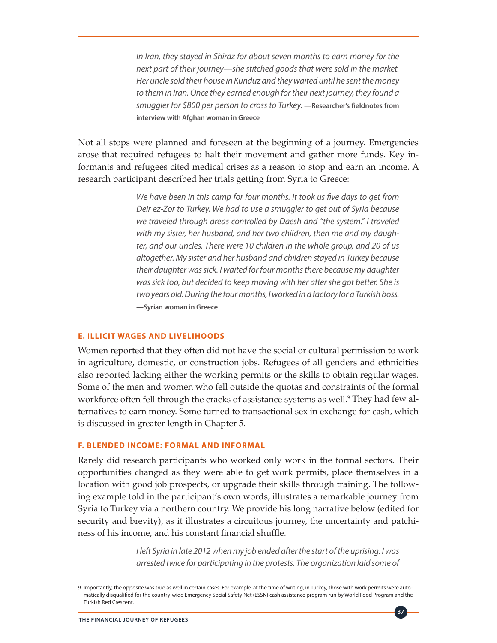*In Iran, they stayed in Shiraz for about seven months to earn money for the next part of their journey—she stitched goods that were sold in the market. Her uncle sold their house in Kunduz and they waited until he sent the money to them in Iran. Once they earned enough for their next journey, they found a smuggler for \$800 per person to cross to Turkey.* **—Researcher's fieldnotes from interview with Afghan woman in Greece**

Not all stops were planned and foreseen at the beginning of a journey. Emergencies arose that required refugees to halt their movement and gather more funds. Key informants and refugees cited medical crises as a reason to stop and earn an income. A research participant described her trials getting from Syria to Greece:

> *We have been in this camp for four months. It took us five days to get from Deir ez-Zor to Turkey. We had to use a smuggler to get out of Syria because we traveled through areas controlled by Daesh and "the system." I traveled with my sister, her husband, and her two children, then me and my daughter, and our uncles. There were 10 children in the whole group, and 20 of us altogether. My sister and her husband and children stayed in Turkey because their daughter was sick. I waited for four months there because my daughter was sick too, but decided to keep moving with her after she got better. She is two years old. During the four months, I worked in a factory for a Turkish boss.*  **—Syrian woman in Greece**

#### **E. ILLICIT WAGES AND LIVELIHOODS**

Women reported that they often did not have the social or cultural permission to work in agriculture, domestic, or construction jobs. Refugees of all genders and ethnicities also reported lacking either the working permits or the skills to obtain regular wages. Some of the men and women who fell outside the quotas and constraints of the formal workforce often fell through the cracks of assistance systems as well.<sup>9</sup> They had few alternatives to earn money. Some turned to transactional sex in exchange for cash, which is discussed in greater length in Chapter 5.

#### **F. BLENDED INCOME: FORMAL AND INFORMAL**

Rarely did research participants who worked only work in the formal sectors. Their opportunities changed as they were able to get work permits, place themselves in a location with good job prospects, or upgrade their skills through training. The following example told in the participant's own words, illustrates a remarkable journey from Syria to Turkey via a northern country. We provide his long narrative below (edited for security and brevity), as it illustrates a circuitous journey, the uncertainty and patchiness of his income, and his constant financial shuffle.

> *I left Syria in late 2012 when my job ended after the start of the uprising. I was arrested twice for participating in the protests. The organization laid some of*

> > **37**

<sup>9</sup> Importantly, the opposite was true as well in certain cases: For example, at the time of writing, in Turkey, those with work permits were automatically disqualified for the country-wide Emergency Social Safety Net (ESSN) cash assistance program run by World Food Program and the Turkish Red Crescent.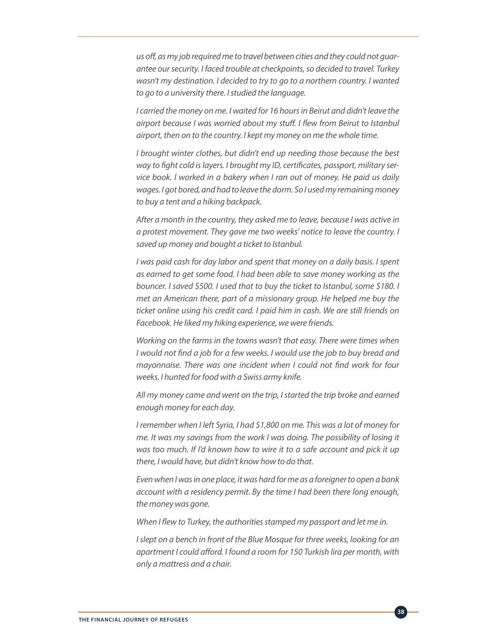*us off, as my job required me to travel between cities and they could not guarantee our security. I faced trouble at checkpoints, so decided to travel. Turkey wasn't my destination. I decided to try to go to a northern country. I wanted to go to a university there. I studied the language.* 

*I carried the money on me. I waited for 16 hours in Beirut and didn't leave the airport because I was worried about my stuff. I flew from Beirut to Istanbul airport, then on to the country. I kept my money on me the whole time.* 

*I brought winter clothes, but didn't end up needing those because the best way to fight cold is layers. I brought my ID, certificates, passport, military service book. I worked in a bakery when I ran out of money. He paid us daily wages. I got bored, and had to leave the dorm. So I used my remaining money to buy a tent and a hiking backpack.* 

*After a month in the country, they asked me to leave, because I was active in a protest movement. They gave me two weeks' notice to leave the country. I saved up money and bought a ticket to Istanbul.* 

*I was paid cash for day labor and spent that money on a daily basis. I spent as earned to get some food. I had been able to save money working as the bouncer. I saved \$500. I used that to buy the ticket to Istanbul, some \$180. I met an American there, part of a missionary group. He helped me buy the ticket online using his credit card. I paid him in cash. We are still friends on Facebook. He liked my hiking experience, we were friends.* 

*Working on the farms in the towns wasn't that easy. There were times when I would not find a job for a few weeks. I would use the job to buy bread and mayonnaise. There was one incident when I could not find work for four weeks. I hunted for food with a Swiss army knife.* 

*All my money came and went on the trip, I started the trip broke and earned enough money for each day.* 

*I remember when I left Syria, I had \$1,800 on me. This was a lot of money for me. It was my savings from the work I was doing. The possibility of losing it was too much. If I'd known how to wire it to a safe account and pick it up there, I would have, but didn't know how to do that.* 

*Even when I was in one place, it was hard for me as a foreigner to open a bank account with a residency permit. By the time I had been there long enough, the money was gone.* 

*When I flew to Turkey, the authorities stamped my passport and let me in.* 

*I* slept on a bench in front of the Blue Mosque for three weeks, looking for an *apartment I could afford. I found a room for 150 Turkish lira per month, with only a mattress and a chair.*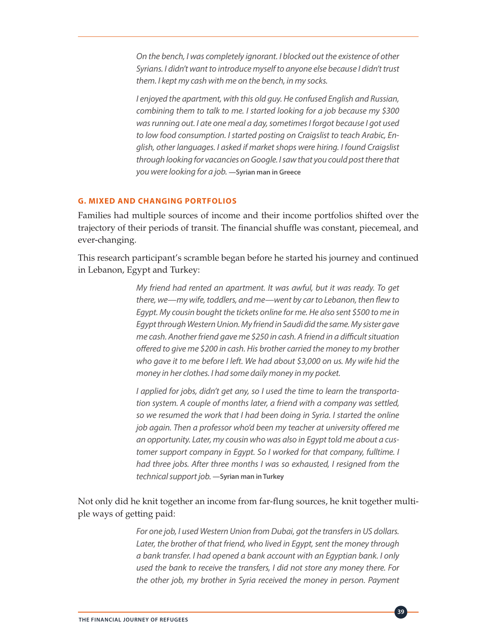*On the bench, I was completely ignorant. I blocked out the existence of other Syrians. I didn't want to introduce myself to anyone else because I didn't trust them. I kept my cash with me on the bench, in my socks.* 

*I enjoyed the apartment, with this old guy. He confused English and Russian, combining them to talk to me. I started looking for a job because my \$300 was running out. I ate one meal a day, sometimes I forgot because I got used to low food consumption. I started posting on Craigslist to teach Arabic, English, other languages. I asked if market shops were hiring. I found Craigslist through looking for vacancies on Google. I saw that you could post there that you were looking for a job.* **—Syrian man in Greece**

### **G. MIXED AND CHANGING PORTFOLIOS**

Families had multiple sources of income and their income portfolios shifted over the trajectory of their periods of transit. The financial shuffle was constant, piecemeal, and ever-changing.

This research participant's scramble began before he started his journey and continued in Lebanon, Egypt and Turkey:

> *My friend had rented an apartment. It was awful, but it was ready. To get there, we—my wife, toddlers, and me—went by car to Lebanon, then flew to Egypt. My cousin bought the tickets online for me. He also sent \$500 to me in Egypt through Western Union. My friend in Saudi did the same. My sister gave me cash. Another friend gave me \$250 in cash. A friend in a difficult situation offered to give me \$200 in cash. His brother carried the money to my brother who gave it to me before I left. We had about \$3,000 on us. My wife hid the money in her clothes. I had some daily money in my pocket.*

> *I applied for jobs, didn't get any, so I used the time to learn the transportation system. A couple of months later, a friend with a company was settled, so we resumed the work that I had been doing in Syria. I started the online job again. Then a professor who'd been my teacher at university offered me an opportunity. Later, my cousin who was also in Egypt told me about a customer support company in Egypt. So I worked for that company, fulltime. I had three jobs. After three months I was so exhausted, I resigned from the technical support job.* **—Syrian man in Turkey**

Not only did he knit together an income from far-flung sources, he knit together multiple ways of getting paid:

> *For one job, I used Western Union from Dubai, got the transfers in US dollars.*  Later, the brother of that friend, who lived in Egypt, sent the money through *a bank transfer. I had opened a bank account with an Egyptian bank. I only used the bank to receive the transfers, I did not store any money there. For the other job, my brother in Syria received the money in person. Payment*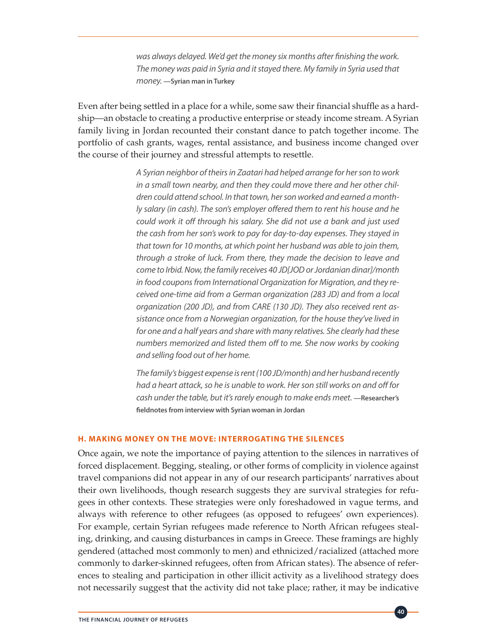*was always delayed. We'd get the money six months after finishing the work. The money was paid in Syria and it stayed there. My family in Syria used that money.* **—Syrian man in Turkey**

Even after being settled in a place for a while, some saw their financial shuffle as a hardship—an obstacle to creating a productive enterprise or steady income stream. A Syrian family living in Jordan recounted their constant dance to patch together income. The portfolio of cash grants, wages, rental assistance, and business income changed over the course of their journey and stressful attempts to resettle.

> *A Syrian neighbor of theirs in Zaatari had helped arrange for her son to work in a small town nearby, and then they could move there and her other children could attend school. In that town, her son worked and earned a monthly salary (in cash). The son's employer offered them to rent his house and he could work it off through his salary. She did not use a bank and just used the cash from her son's work to pay for day-to-day expenses. They stayed in that town for 10 months, at which point her husband was able to join them, through a stroke of luck. From there, they made the decision to leave and come to Irbid. Now, the family receives 40 JD[JOD or Jordanian dinar]/month in food coupons from International Organization for Migration, and they received one-time aid from a German organization (283 JD) and from a local organization (200 JD), and from CARE (130 JD). They also received rent assistance once from a Norwegian organization, for the house they've lived in for one and a half years and share with many relatives. She clearly had these numbers memorized and listed them off to me. She now works by cooking and selling food out of her home.*

> *The family's biggest expense is rent (100 JD/month) and her husband recently had a heart attack, so he is unable to work. Her son still works on and off for cash under the table, but it's rarely enough to make ends meet.* — Researcher's **fieldnotes from interview with Syrian woman in Jordan**

#### **H. MAKING MONEY ON THE MOVE: INTERROGATING THE SILENCES**

Once again, we note the importance of paying attention to the silences in narratives of forced displacement. Begging, stealing, or other forms of complicity in violence against travel companions did not appear in any of our research participants' narratives about their own livelihoods, though research suggests they are survival strategies for refugees in other contexts. These strategies were only foreshadowed in vague terms, and always with reference to other refugees (as opposed to refugees' own experiences). For example, certain Syrian refugees made reference to North African refugees stealing, drinking, and causing disturbances in camps in Greece. These framings are highly gendered (attached most commonly to men) and ethnicized/racialized (attached more commonly to darker-skinned refugees, often from African states). The absence of references to stealing and participation in other illicit activity as a livelihood strategy does not necessarily suggest that the activity did not take place; rather, it may be indicative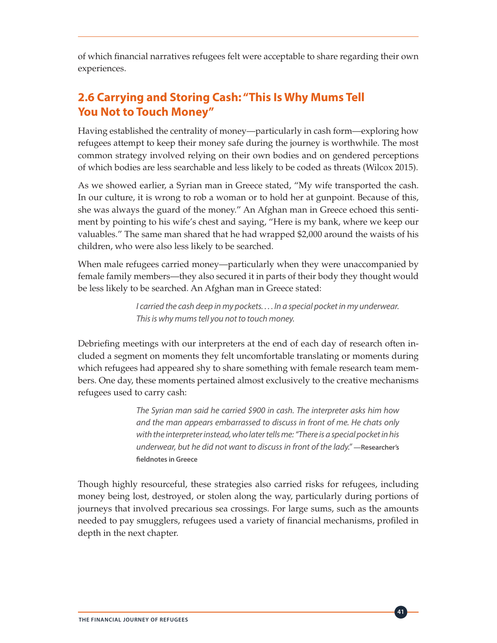of which financial narratives refugees felt were acceptable to share regarding their own experiences.

# **2.6 Carrying and Storing Cash: "This Is Why Mums Tell You Not to Touch Money"**

Having established the centrality of money—particularly in cash form—exploring how refugees attempt to keep their money safe during the journey is worthwhile. The most common strategy involved relying on their own bodies and on gendered perceptions of which bodies are less searchable and less likely to be coded as threats (Wilcox 2015).

As we showed earlier, a Syrian man in Greece stated, "My wife transported the cash. In our culture, it is wrong to rob a woman or to hold her at gunpoint. Because of this, she was always the guard of the money." An Afghan man in Greece echoed this sentiment by pointing to his wife's chest and saying, "Here is my bank, where we keep our valuables." The same man shared that he had wrapped \$2,000 around the waists of his children, who were also less likely to be searched.

When male refugees carried money—particularly when they were unaccompanied by female family members—they also secured it in parts of their body they thought would be less likely to be searched. An Afghan man in Greece stated:

> *I carried the cash deep in my pockets. . . . In a special pocket in my underwear. This is why mums tell you not to touch money.*

Debriefing meetings with our interpreters at the end of each day of research often included a segment on moments they felt uncomfortable translating or moments during which refugees had appeared shy to share something with female research team members. One day, these moments pertained almost exclusively to the creative mechanisms refugees used to carry cash:

> *The Syrian man said he carried \$900 in cash. The interpreter asks him how and the man appears embarrassed to discuss in front of me. He chats only with the interpreter instead, who later tells me: "There is a special pocket in his underwear, but he did not want to discuss in front of the lady."* **—Researcher's fieldnotes in Greece**

Though highly resourceful, these strategies also carried risks for refugees, including money being lost, destroyed, or stolen along the way, particularly during portions of journeys that involved precarious sea crossings. For large sums, such as the amounts needed to pay smugglers, refugees used a variety of financial mechanisms, profiled in depth in the next chapter.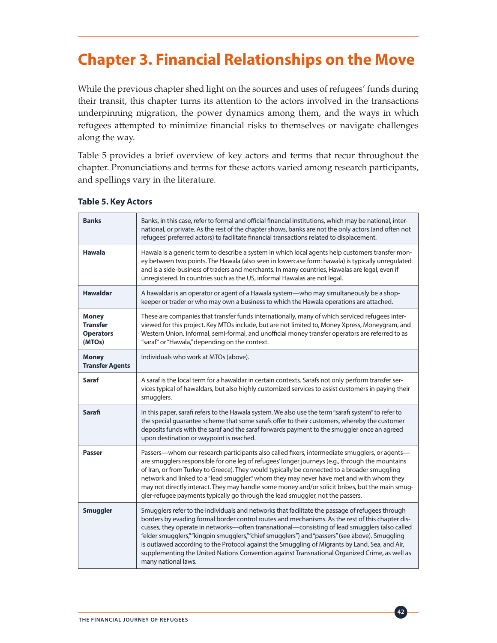# **Chapter 3. Financial Relationships on the Move**

While the previous chapter shed light on the sources and uses of refugees' funds during their transit, this chapter turns its attention to the actors involved in the transactions underpinning migration, the power dynamics among them, and the ways in which refugees attempted to minimize financial risks to themselves or navigate challenges along the way.

Table 5 provides a brief overview of key actors and terms that recur throughout the chapter. Pronunciations and terms for these actors varied among research participants, and spellings vary in the literature.

| <b>Banks</b>                                                  | Banks, in this case, refer to formal and official financial institutions, which may be national, inter-<br>national, or private. As the rest of the chapter shows, banks are not the only actors (and often not<br>refugees' preferred actors) to facilitate financial transactions related to displacement.                                                                                                                                                                                                                                                                                                                     |
|---------------------------------------------------------------|----------------------------------------------------------------------------------------------------------------------------------------------------------------------------------------------------------------------------------------------------------------------------------------------------------------------------------------------------------------------------------------------------------------------------------------------------------------------------------------------------------------------------------------------------------------------------------------------------------------------------------|
| <b>Hawala</b>                                                 | Hawala is a generic term to describe a system in which local agents help customers transfer mon-<br>ey between two points. The Hawala (also seen in lowercase form: hawala) is typically unregulated<br>and is a side-business of traders and merchants. In many countries, Hawalas are legal, even if<br>unregistered. In countries such as the US, informal Hawalas are not legal.                                                                                                                                                                                                                                             |
| <b>Hawaldar</b>                                               | A hawaldar is an operator or agent of a Hawala system-who may simultaneously be a shop-<br>keeper or trader or who may own a business to which the Hawala operations are attached.                                                                                                                                                                                                                                                                                                                                                                                                                                               |
| <b>Money</b><br><b>Transfer</b><br><b>Operators</b><br>(MTOs) | These are companies that transfer funds internationally, many of which serviced refugees inter-<br>viewed for this project. Key MTOs include, but are not limited to, Money Xpress, Moneygram, and<br>Western Union. Informal, semi-formal, and unofficial money transfer operators are referred to as<br>"saraf" or "Hawala," depending on the context.                                                                                                                                                                                                                                                                         |
| <b>Money</b><br><b>Transfer Agents</b>                        | Individuals who work at MTOs (above).                                                                                                                                                                                                                                                                                                                                                                                                                                                                                                                                                                                            |
| <b>Saraf</b>                                                  | A saraf is the local term for a hawaldar in certain contexts. Sarafs not only perform transfer ser-<br>vices typical of hawaldars, but also highly customized services to assist customers in paying their<br>smugglers.                                                                                                                                                                                                                                                                                                                                                                                                         |
| <b>Sarafi</b>                                                 | In this paper, sarafi refers to the Hawala system. We also use the term "sarafi system" to refer to<br>the special guarantee scheme that some sarafs offer to their customers, whereby the customer<br>deposits funds with the saraf and the saraf forwards payment to the smuggler once an agreed<br>upon destination or waypoint is reached.                                                                                                                                                                                                                                                                                   |
| <b>Passer</b>                                                 | Passers—whom our research participants also called fixers, intermediate smugglers, or agents—<br>are smugglers responsible for one leg of refugees' longer journeys (e.g., through the mountains<br>of Iran, or from Turkey to Greece). They would typically be connected to a broader smuggling<br>network and linked to a "lead smuggler," whom they may never have met and with whom they<br>may not directly interact. They may handle some money and/or solicit bribes, but the main smug-<br>gler-refugee payments typically go through the lead smuggler, not the passers.                                                |
| <b>Smuggler</b>                                               | Smugglers refer to the individuals and networks that facilitate the passage of refugees through<br>borders by evading formal border control routes and mechanisms. As the rest of this chapter dis-<br>cusses, they operate in networks—often transnational—consisting of lead smugglers (also called<br>"elder smugglers,""kingpin smugglers,""chief smugglers") and "passers" (see above). Smuggling<br>is outlawed according to the Protocol against the Smuggling of Migrants by Land, Sea, and Air,<br>supplementing the United Nations Convention against Transnational Organized Crime, as well as<br>many national laws. |

#### **Table 5. Key Actors**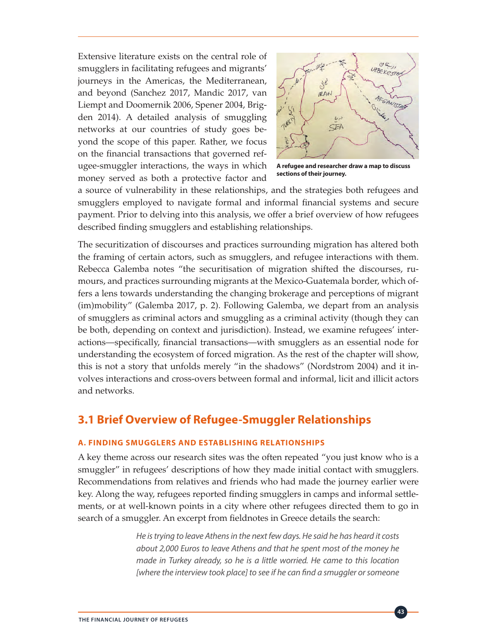Extensive literature exists on the central role of smugglers in facilitating refugees and migrants' journeys in the Americas, the Mediterranean, and beyond (Sanchez 2017, Mandic 2017, van Liempt and Doomernik 2006, Spener 2004, Brigden 2014). A detailed analysis of smuggling networks at our countries of study goes beyond the scope of this paper. Rather, we focus on the financial transactions that governed refugee-smuggler interactions, the ways in which money served as both a protective factor and



**A refugee and researcher draw a map to discuss sections of their journey.**

a source of vulnerability in these relationships, and the strategies both refugees and smugglers employed to navigate formal and informal financial systems and secure payment. Prior to delving into this analysis, we offer a brief overview of how refugees described finding smugglers and establishing relationships.

The securitization of discourses and practices surrounding migration has altered both the framing of certain actors, such as smugglers, and refugee interactions with them. Rebecca Galemba notes "the securitisation of migration shifted the discourses, rumours, and practices surrounding migrants at the Mexico-Guatemala border, which offers a lens towards understanding the changing brokerage and perceptions of migrant (im)mobility" (Galemba 2017, p. 2). Following Galemba, we depart from an analysis of smugglers as criminal actors and smuggling as a criminal activity (though they can be both, depending on context and jurisdiction). Instead, we examine refugees' interactions—specifically, financial transactions—with smugglers as an essential node for understanding the ecosystem of forced migration. As the rest of the chapter will show, this is not a story that unfolds merely "in the shadows" (Nordstrom 2004) and it involves interactions and cross-overs between formal and informal, licit and illicit actors and networks.

### **3.1 Brief Overview of Refugee-Smuggler Relationships**

### **A. FINDING SMUGGLERS AND ESTABLISHING RELATIONSHIPS**

A key theme across our research sites was the often repeated "you just know who is a smuggler" in refugees' descriptions of how they made initial contact with smugglers. Recommendations from relatives and friends who had made the journey earlier were key. Along the way, refugees reported finding smugglers in camps and informal settlements, or at well-known points in a city where other refugees directed them to go in search of a smuggler. An excerpt from fieldnotes in Greece details the search:

> *He is trying to leave Athens in the next few days. He said he has heard it costs about 2,000 Euros to leave Athens and that he spent most of the money he made in Turkey already, so he is a little worried. He came to this location [where the interview took place] to see if he can find a smuggler or someone*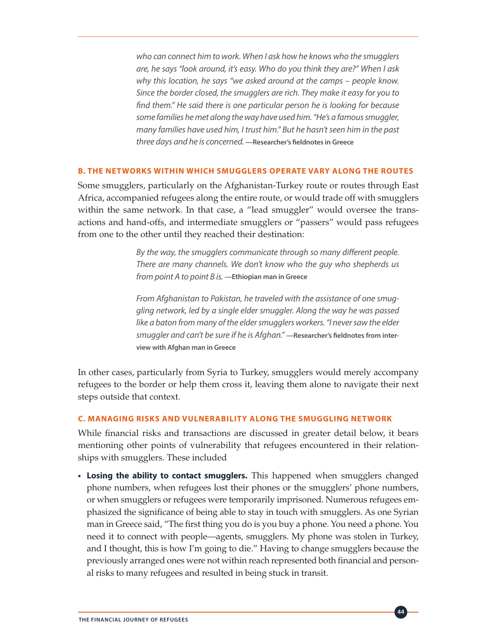*who can connect him to work. When I ask how he knows who the smugglers are, he says "look around, it's easy. Who do you think they are?" When I ask why this location, he says "we asked around at the camps – people know. Since the border closed, the smugglers are rich. They make it easy for you to find them." He said there is one particular person he is looking for because some families he met along the way have used him. "He's a famous smuggler, many families have used him, I trust him." But he hasn't seen him in the past three days and he is concerned.* **—Researcher's fieldnotes in Greece**

### **B. THE NETWORKS WITHIN WHICH SMUGGLERS OPERATE VARY ALONG THE ROUTES**

Some smugglers, particularly on the Afghanistan-Turkey route or routes through East Africa, accompanied refugees along the entire route, or would trade off with smugglers within the same network. In that case, a "lead smuggler" would oversee the transactions and hand-offs, and intermediate smugglers or "passers" would pass refugees from one to the other until they reached their destination:

> *By the way, the smugglers communicate through so many different people. There are many channels. We don't know who the guy who shepherds us from point A to point B is.* **—Ethiopian man in Greece**

> *From Afghanistan to Pakistan, he traveled with the assistance of one smuggling network, led by a single elder smuggler. Along the way he was passed like a baton from many of the elder smugglers workers. "I never saw the elder smuggler and can't be sure if he is Afghan."* **—Researcher's fieldnotes from interview with Afghan man in Greece**

In other cases, particularly from Syria to Turkey, smugglers would merely accompany refugees to the border or help them cross it, leaving them alone to navigate their next steps outside that context.

#### **C. MANAGING RISKS AND VULNERABILITY ALONG THE SMUGGLING NETWORK**

While financial risks and transactions are discussed in greater detail below, it bears mentioning other points of vulnerability that refugees encountered in their relationships with smugglers. These included

**• Losing the ability to contact smugglers.** This happened when smugglers changed phone numbers, when refugees lost their phones or the smugglers' phone numbers, or when smugglers or refugees were temporarily imprisoned. Numerous refugees emphasized the significance of being able to stay in touch with smugglers. As one Syrian man in Greece said, "The first thing you do is you buy a phone. You need a phone. You need it to connect with people—agents, smugglers. My phone was stolen in Turkey, and I thought, this is how I'm going to die." Having to change smugglers because the previously arranged ones were not within reach represented both financial and personal risks to many refugees and resulted in being stuck in transit.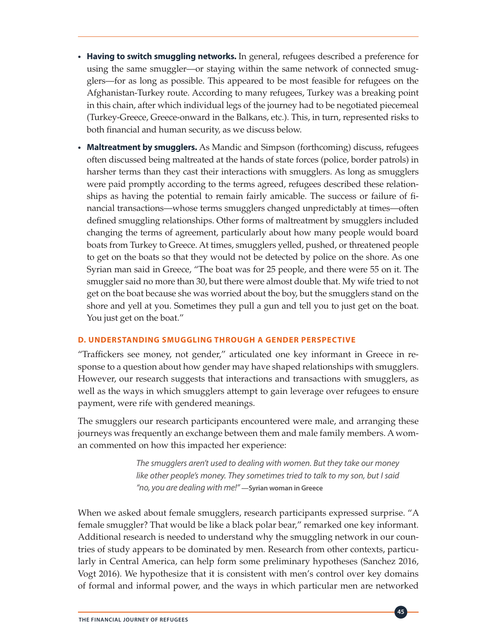- **• Having to switch smuggling networks.** In general, refugees described a preference for using the same smuggler—or staying within the same network of connected smugglers—for as long as possible. This appeared to be most feasible for refugees on the Afghanistan-Turkey route. According to many refugees, Turkey was a breaking point in this chain, after which individual legs of the journey had to be negotiated piecemeal (Turkey-Greece, Greece-onward in the Balkans, etc.). This, in turn, represented risks to both financial and human security, as we discuss below.
- **• Maltreatment by smugglers.** As Mandic and Simpson (forthcoming) discuss, refugees often discussed being maltreated at the hands of state forces (police, border patrols) in harsher terms than they cast their interactions with smugglers. As long as smugglers were paid promptly according to the terms agreed, refugees described these relationships as having the potential to remain fairly amicable. The success or failure of financial transactions—whose terms smugglers changed unpredictably at times—often defined smuggling relationships. Other forms of maltreatment by smugglers included changing the terms of agreement, particularly about how many people would board boats from Turkey to Greece. At times, smugglers yelled, pushed, or threatened people to get on the boats so that they would not be detected by police on the shore. As one Syrian man said in Greece, "The boat was for 25 people, and there were 55 on it. The smuggler said no more than 30, but there were almost double that. My wife tried to not get on the boat because she was worried about the boy, but the smugglers stand on the shore and yell at you. Sometimes they pull a gun and tell you to just get on the boat. You just get on the boat."

### **D. UNDERSTANDING SMUGGLING THROUGH A GENDER PERSPECTIVE**

"Traffickers see money, not gender," articulated one key informant in Greece in response to a question about how gender may have shaped relationships with smugglers. However, our research suggests that interactions and transactions with smugglers, as well as the ways in which smugglers attempt to gain leverage over refugees to ensure payment, were rife with gendered meanings.

The smugglers our research participants encountered were male, and arranging these journeys was frequently an exchange between them and male family members. A woman commented on how this impacted her experience:

> *The smugglers aren't used to dealing with women. But they take our money like other people's money. They sometimes tried to talk to my son, but I said "no, you are dealing with me!"* **—Syrian woman in Greece**

When we asked about female smugglers, research participants expressed surprise. "A female smuggler? That would be like a black polar bear," remarked one key informant. Additional research is needed to understand why the smuggling network in our countries of study appears to be dominated by men. Research from other contexts, particularly in Central America, can help form some preliminary hypotheses (Sanchez 2016, Vogt 2016). We hypothesize that it is consistent with men's control over key domains of formal and informal power, and the ways in which particular men are networked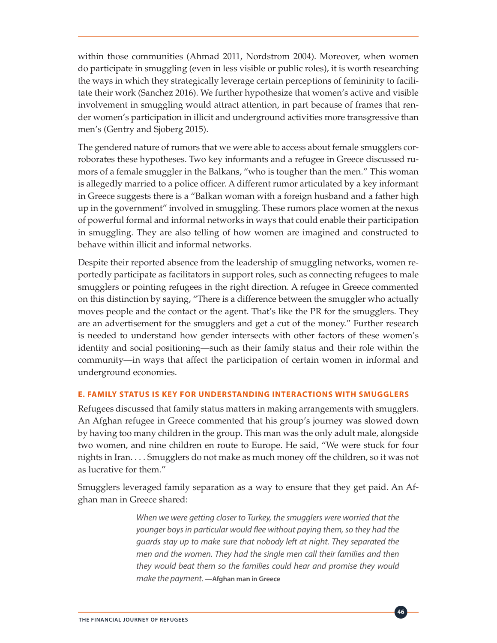within those communities (Ahmad 2011, Nordstrom 2004). Moreover, when women do participate in smuggling (even in less visible or public roles), it is worth researching the ways in which they strategically leverage certain perceptions of femininity to facilitate their work (Sanchez 2016). We further hypothesize that women's active and visible involvement in smuggling would attract attention, in part because of frames that render women's participation in illicit and underground activities more transgressive than men's (Gentry and Sjoberg 2015).

The gendered nature of rumors that we were able to access about female smugglers corroborates these hypotheses. Two key informants and a refugee in Greece discussed rumors of a female smuggler in the Balkans, "who is tougher than the men." This woman is allegedly married to a police officer. A different rumor articulated by a key informant in Greece suggests there is a "Balkan woman with a foreign husband and a father high up in the government" involved in smuggling. These rumors place women at the nexus of powerful formal and informal networks in ways that could enable their participation in smuggling. They are also telling of how women are imagined and constructed to behave within illicit and informal networks.

Despite their reported absence from the leadership of smuggling networks, women reportedly participate as facilitators in support roles, such as connecting refugees to male smugglers or pointing refugees in the right direction. A refugee in Greece commented on this distinction by saying, "There is a difference between the smuggler who actually moves people and the contact or the agent. That's like the PR for the smugglers. They are an advertisement for the smugglers and get a cut of the money." Further research is needed to understand how gender intersects with other factors of these women's identity and social positioning—such as their family status and their role within the community—in ways that affect the participation of certain women in informal and underground economies.

### **E. FAMILY STATUS IS KEY FOR UNDERSTANDING INTERACTIONS WITH SMUGGLERS**

Refugees discussed that family status matters in making arrangements with smugglers. An Afghan refugee in Greece commented that his group's journey was slowed down by having too many children in the group. This man was the only adult male, alongside two women, and nine children en route to Europe. He said, "We were stuck for four nights in Iran. . . . Smugglers do not make as much money off the children, so it was not as lucrative for them."

Smugglers leveraged family separation as a way to ensure that they get paid. An Afghan man in Greece shared:

> *When we were getting closer to Turkey, the smugglers were worried that the younger boys in particular would flee without paying them, so they had the guards stay up to make sure that nobody left at night. They separated the men and the women. They had the single men call their families and then they would beat them so the families could hear and promise they would make the payment.* **—Afghan man in Greece**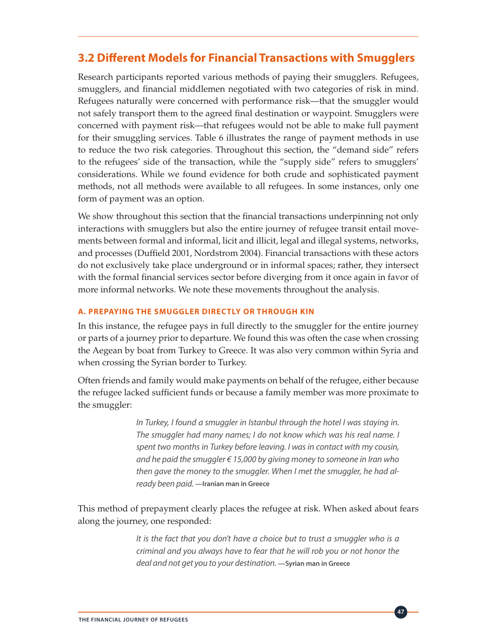### **3.2 Different Models for Financial Transactions with Smugglers**

Research participants reported various methods of paying their smugglers. Refugees, smugglers, and financial middlemen negotiated with two categories of risk in mind. Refugees naturally were concerned with performance risk—that the smuggler would not safely transport them to the agreed final destination or waypoint. Smugglers were concerned with payment risk—that refugees would not be able to make full payment for their smuggling services. Table 6 illustrates the range of payment methods in use to reduce the two risk categories. Throughout this section, the "demand side" refers to the refugees' side of the transaction, while the "supply side" refers to smugglers' considerations. While we found evidence for both crude and sophisticated payment methods, not all methods were available to all refugees. In some instances, only one form of payment was an option.

We show throughout this section that the financial transactions underpinning not only interactions with smugglers but also the entire journey of refugee transit entail movements between formal and informal, licit and illicit, legal and illegal systems, networks, and processes (Duffield 2001, Nordstrom 2004). Financial transactions with these actors do not exclusively take place underground or in informal spaces; rather, they intersect with the formal financial services sector before diverging from it once again in favor of more informal networks. We note these movements throughout the analysis.

### **A. PREPAYING THE SMUGGLER DIRECTLY OR THROUGH KIN**

In this instance, the refugee pays in full directly to the smuggler for the entire journey or parts of a journey prior to departure. We found this was often the case when crossing the Aegean by boat from Turkey to Greece. It was also very common within Syria and when crossing the Syrian border to Turkey.

Often friends and family would make payments on behalf of the refugee, either because the refugee lacked sufficient funds or because a family member was more proximate to the smuggler:

> *In Turkey, I found a smuggler in Istanbul through the hotel I was staying in. The smuggler had many names; I do not know which was his real name. I spent two months in Turkey before leaving. I was in contact with my cousin, and he paid the smuggler € 15,000 by giving money to someone in Iran who then gave the money to the smuggler. When I met the smuggler, he had already been paid.* **—Iranian man in Greece**

This method of prepayment clearly places the refugee at risk. When asked about fears along the journey, one responded:

> It is the fact that you don't have a choice but to trust a smuggler who is a *criminal and you always have to fear that he will rob you or not honor the deal and not get you to your destination.* **—Syrian man in Greece**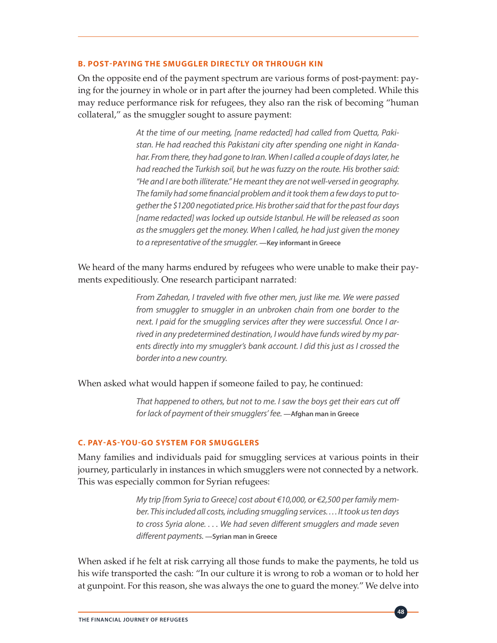#### **B. POST-PAYING THE SMUGGLER DIRECTLY OR THROUGH KIN**

On the opposite end of the payment spectrum are various forms of post-payment: paying for the journey in whole or in part after the journey had been completed. While this may reduce performance risk for refugees, they also ran the risk of becoming "human collateral," as the smuggler sought to assure payment:

> *At the time of our meeting, [name redacted] had called from Quetta, Pakistan. He had reached this Pakistani city after spending one night in Kandahar. From there, they had gone to Iran. When I called a couple of days later, he had reached the Turkish soil, but he was fuzzy on the route. His brother said: "He and I are both illiterate." He meant they are not well-versed in geography. The family had some financial problem and it took them a few days to put together the \$1200 negotiated price. His brother said that for the past four days [name redacted] was locked up outside Istanbul. He will be released as soon as the smugglers get the money. When I called, he had just given the money to a representative of the smuggler.* **—Key informant in Greece**

We heard of the many harms endured by refugees who were unable to make their payments expeditiously. One research participant narrated:

> *From Zahedan, I traveled with five other men, just like me. We were passed from smuggler to smuggler in an unbroken chain from one border to the next. I paid for the smuggling services after they were successful. Once I arrived in any predetermined destination, I would have funds wired by my parents directly into my smuggler's bank account. I did this just as I crossed the border into a new country.*

When asked what would happen if someone failed to pay, he continued:

*That happened to others, but not to me. I saw the boys get their ears cut off*  for lack of payment of their smugglers' fee. **-Afghan man in Greece** 

#### **C. PAY-AS-YOU-GO SYSTEM FOR SMUGGLERS**

Many families and individuals paid for smuggling services at various points in their journey, particularly in instances in which smugglers were not connected by a network. This was especially common for Syrian refugees:

> *My trip [from Syria to Greece] cost about €10,000, or €2,500 per family member. This included all costs, including smuggling services. . . . It took us ten days to cross Syria alone. . . . We had seven different smugglers and made seven different payments.* **—Syrian man in Greece**

When asked if he felt at risk carrying all those funds to make the payments, he told us his wife transported the cash: "In our culture it is wrong to rob a woman or to hold her at gunpoint. For this reason, she was always the one to guard the money." We delve into

**48**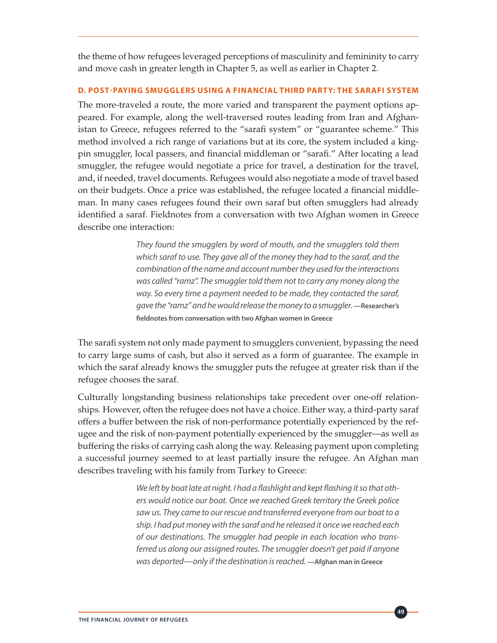the theme of how refugees leveraged perceptions of masculinity and femininity to carry and move cash in greater length in Chapter 5, as well as earlier in Chapter 2.

### **D. POST-PAYING SMUGGLERS USING A FINANCIAL THIRD PARTY: THE SARAFI SYSTEM**

The more-traveled a route, the more varied and transparent the payment options appeared. For example, along the well-traversed routes leading from Iran and Afghanistan to Greece, refugees referred to the "sarafi system" or "guarantee scheme." This method involved a rich range of variations but at its core, the system included a kingpin smuggler, local passers, and financial middleman or "sarafi." After locating a lead smuggler, the refugee would negotiate a price for travel, a destination for the travel, and, if needed, travel documents. Refugees would also negotiate a mode of travel based on their budgets. Once a price was established, the refugee located a financial middleman. In many cases refugees found their own saraf but often smugglers had already identified a saraf. Fieldnotes from a conversation with two Afghan women in Greece describe one interaction:

> *They found the smugglers by word of mouth, and the smugglers told them which saraf to use. They gave all of the money they had to the saraf, and the combination of the name and account number they used for the interactions was called "ramz". The smuggler told them not to carry any money along the way. So every time a payment needed to be made, they contacted the saraf, gave the "ramz" and he would release the money to a smuggler.* **—Researcher's fieldnotes from conversation with two Afghan women in Greece**

The sarafi system not only made payment to smugglers convenient, bypassing the need to carry large sums of cash, but also it served as a form of guarantee. The example in which the saraf already knows the smuggler puts the refugee at greater risk than if the refugee chooses the saraf.

Culturally longstanding business relationships take precedent over one-off relationships. However, often the refugee does not have a choice. Either way, a third-party saraf offers a buffer between the risk of non-performance potentially experienced by the refugee and the risk of non-payment potentially experienced by the smuggler—as well as buffering the risks of carrying cash along the way. Releasing payment upon completing a successful journey seemed to at least partially insure the refugee. An Afghan man describes traveling with his family from Turkey to Greece:

> *We left by boat late at night. I had a flashlight and kept flashing it so that others would notice our boat. Once we reached Greek territory the Greek police saw us. They came to our rescue and transferred everyone from our boat to a ship. I had put money with the saraf and he released it once we reached each of our destinations. The smuggler had people in each location who transferred us along our assigned routes. The smuggler doesn't get paid if anyone was deported—only if the destination is reached.* **—Afghan man in Greece**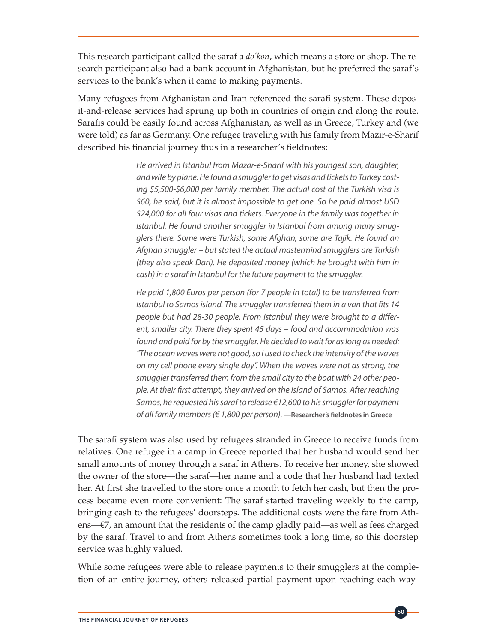This research participant called the saraf a *do'kon*, which means a store or shop. The research participant also had a bank account in Afghanistan, but he preferred the saraf's services to the bank's when it came to making payments.

Many refugees from Afghanistan and Iran referenced the sarafi system. These deposit-and-release services had sprung up both in countries of origin and along the route. Sarafis could be easily found across Afghanistan, as well as in Greece, Turkey and (we were told) as far as Germany. One refugee traveling with his family from Mazir-e-Sharif described his financial journey thus in a researcher's fieldnotes:

> *He arrived in Istanbul from Mazar-e-Sharif with his youngest son, daughter, and wife by plane. He found a smuggler to get visas and tickets to Turkey costing \$5,500-\$6,000 per family member. The actual cost of the Turkish visa is \$60, he said, but it is almost impossible to get one. So he paid almost USD \$24,000 for all four visas and tickets. Everyone in the family was together in Istanbul. He found another smuggler in Istanbul from among many smugglers there. Some were Turkish, some Afghan, some are Tajik. He found an Afghan smuggler – but stated the actual mastermind smugglers are Turkish (they also speak Dari). He deposited money (which he brought with him in cash) in a saraf in Istanbul for the future payment to the smuggler.*

> *He paid 1,800 Euros per person (for 7 people in total) to be transferred from Istanbul to Samos island. The smuggler transferred them in a van that fits 14 people but had 28-30 people. From Istanbul they were brought to a different, smaller city. There they spent 45 days – food and accommodation was found and paid for by the smuggler. He decided to wait for as long as needed: "The ocean waves were not good, so I used to check the intensity of the waves on my cell phone every single day". When the waves were not as strong, the smuggler transferred them from the small city to the boat with 24 other people. At their first attempt, they arrived on the island of Samos. After reaching Samos, he requested his saraf to release €12,600 to his smuggler for payment of all family members (€ 1,800 per person).* **—Researcher's fieldnotes in Greece**

The sarafi system was also used by refugees stranded in Greece to receive funds from relatives. One refugee in a camp in Greece reported that her husband would send her small amounts of money through a saraf in Athens. To receive her money, she showed the owner of the store—the saraf—her name and a code that her husband had texted her. At first she travelled to the store once a month to fetch her cash, but then the process became even more convenient: The saraf started traveling weekly to the camp, bringing cash to the refugees' doorsteps. The additional costs were the fare from Athens—€7, an amount that the residents of the camp gladly paid—as well as fees charged by the saraf. Travel to and from Athens sometimes took a long time, so this doorstep service was highly valued.

While some refugees were able to release payments to their smugglers at the completion of an entire journey, others released partial payment upon reaching each way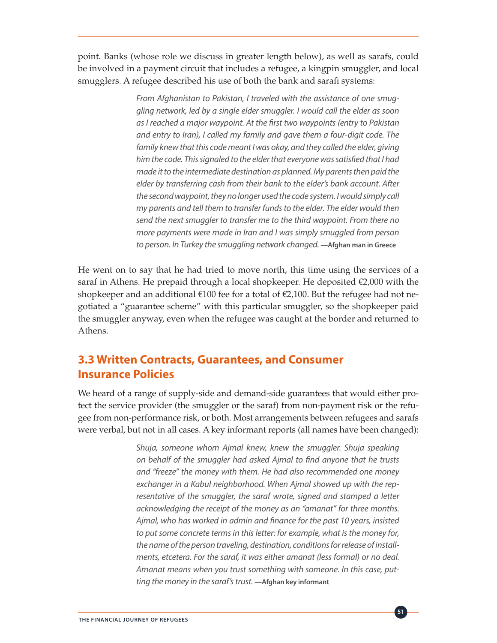point. Banks (whose role we discuss in greater length below), as well as sarafs, could be involved in a payment circuit that includes a refugee, a kingpin smuggler, and local smugglers. A refugee described his use of both the bank and sarafi systems:

> *From Afghanistan to Pakistan, I traveled with the assistance of one smuggling network, led by a single elder smuggler. I would call the elder as soon as I reached a major waypoint. At the first two waypoints (entry to Pakistan and entry to Iran), I called my family and gave them a four-digit code. The*  family knew that this code meant I was okay, and they called the elder, giving *him the code. This signaled to the elder that everyone was satisfied that I had made it to the intermediate destination as planned. My parents then paid the elder by transferring cash from their bank to the elder's bank account. After the second waypoint, they no longer used the code system. I would simply call my parents and tell them to transfer funds to the elder. The elder would then send the next smuggler to transfer me to the third waypoint. From there no more payments were made in Iran and I was simply smuggled from person to person. In Turkey the smuggling network changed.* **—Afghan man in Greece**

He went on to say that he had tried to move north, this time using the services of a saraf in Athens. He prepaid through a local shopkeeper. He deposited  $\epsilon$ 2,000 with the shopkeeper and an additional €100 fee for a total of €2,100. But the refugee had not negotiated a "guarantee scheme" with this particular smuggler, so the shopkeeper paid the smuggler anyway, even when the refugee was caught at the border and returned to Athens.

### **3.3 Written Contracts, Guarantees, and Consumer Insurance Policies**

We heard of a range of supply-side and demand-side guarantees that would either protect the service provider (the smuggler or the saraf) from non-payment risk or the refugee from non-performance risk, or both. Most arrangements between refugees and sarafs were verbal, but not in all cases. A key informant reports (all names have been changed):

> *Shuja, someone whom Ajmal knew, knew the smuggler. Shuja speaking on behalf of the smuggler had asked Ajmal to find anyone that he trusts and "freeze" the money with them. He had also recommended one money exchanger in a Kabul neighborhood. When Ajmal showed up with the representative of the smuggler, the saraf wrote, signed and stamped a letter acknowledging the receipt of the money as an "amanat" for three months. Ajmal, who has worked in admin and finance for the past 10 years, insisted to put some concrete terms in this letter: for example, what is the money for, the name of the person traveling, destination, conditions for release of installments, etcetera. For the saraf, it was either amanat (less formal) or no deal. Amanat means when you trust something with someone. In this case, putting the money in the saraf's trust.* **—Afghan key informant**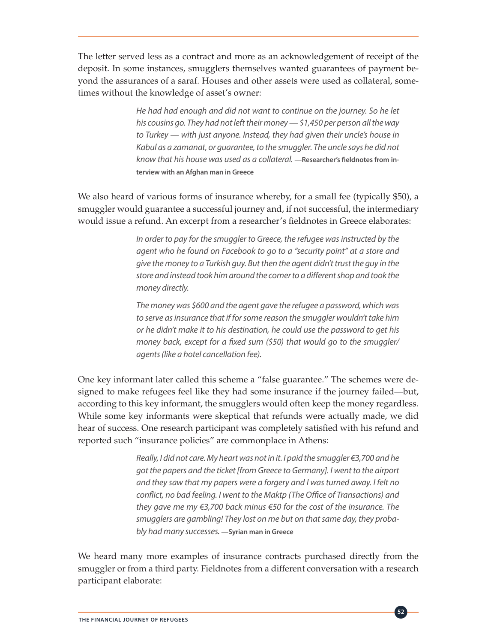The letter served less as a contract and more as an acknowledgement of receipt of the deposit. In some instances, smugglers themselves wanted guarantees of payment beyond the assurances of a saraf. Houses and other assets were used as collateral, sometimes without the knowledge of asset's owner:

> *He had had enough and did not want to continue on the journey. So he let his cousins go. They had not left their money — \$1,450 per person all the way to Turkey — with just anyone. Instead, they had given their uncle's house in Kabul as a zamanat, or guarantee, to the smuggler. The uncle says he did not know that his house was used as a collateral.* **—Researcher's fieldnotes from interview with an Afghan man in Greece**

We also heard of various forms of insurance whereby, for a small fee (typically \$50), a smuggler would guarantee a successful journey and, if not successful, the intermediary would issue a refund. An excerpt from a researcher's fieldnotes in Greece elaborates:

> *In order to pay for the smuggler to Greece, the refugee was instructed by the agent who he found on Facebook to go to a "security point" at a store and give the money to a Turkish guy. But then the agent didn't trust the guy in the store and instead took him around the corner to a different shop and took the money directly.*

> *The money was \$600 and the agent gave the refugee a password, which was to serve as insurance that if for some reason the smuggler wouldn't take him or he didn't make it to his destination, he could use the password to get his money back, except for a fixed sum (\$50) that would go to the smuggler/ agents (like a hotel cancellation fee).*

One key informant later called this scheme a "false guarantee." The schemes were designed to make refugees feel like they had some insurance if the journey failed—but, according to this key informant, the smugglers would often keep the money regardless. While some key informants were skeptical that refunds were actually made, we did hear of success. One research participant was completely satisfied with his refund and reported such "insurance policies" are commonplace in Athens:

> *Really, I did not care. My heart was not in it. I paid the smuggler €3,700 and he got the papers and the ticket [from Greece to Germany]. I went to the airport and they saw that my papers were a forgery and I was turned away. I felt no conflict, no bad feeling. I went to the Maktp (The Office of Transactions) and they gave me my €3,700 back minus €50 for the cost of the insurance. The smugglers are gambling! They lost on me but on that same day, they probably had many successes.* **—Syrian man in Greece**

We heard many more examples of insurance contracts purchased directly from the smuggler or from a third party. Fieldnotes from a different conversation with a research participant elaborate: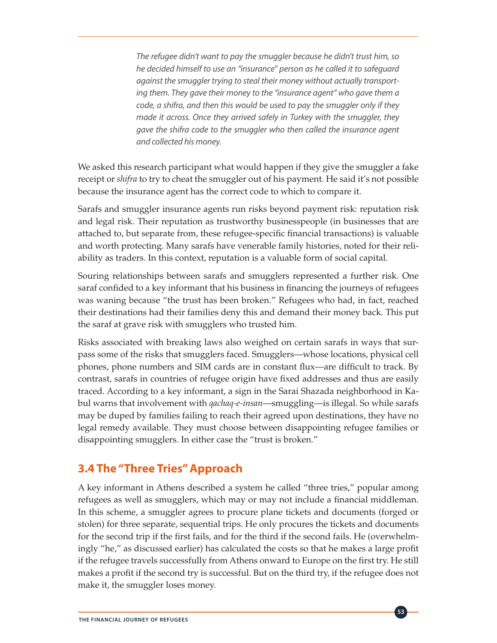*The refugee didn't want to pay the smuggler because he didn't trust him, so he decided himself to use an "insurance" person as he called it to safeguard against the smuggler trying to steal their money without actually transporting them. They gave their money to the "insurance agent" who gave them a code, a shifra, and then this would be used to pay the smuggler only if they made it across. Once they arrived safely in Turkey with the smuggler, they gave the shifra code to the smuggler who then called the insurance agent and collected his money.* 

We asked this research participant what would happen if they give the smuggler a fake receipt or *shifra* to try to cheat the smuggler out of his payment. He said it's not possible because the insurance agent has the correct code to which to compare it.

Sarafs and smuggler insurance agents run risks beyond payment risk: reputation risk and legal risk. Their reputation as trustworthy businesspeople (in businesses that are attached to, but separate from, these refugee-specific financial transactions) is valuable and worth protecting. Many sarafs have venerable family histories, noted for their reliability as traders. In this context, reputation is a valuable form of social capital.

Souring relationships between sarafs and smugglers represented a further risk. One saraf confided to a key informant that his business in financing the journeys of refugees was waning because "the trust has been broken." Refugees who had, in fact, reached their destinations had their families deny this and demand their money back. This put the saraf at grave risk with smugglers who trusted him.

Risks associated with breaking laws also weighed on certain sarafs in ways that surpass some of the risks that smugglers faced. Smugglers—whose locations, physical cell phones, phone numbers and SIM cards are in constant flux—are difficult to track. By contrast, sarafs in countries of refugee origin have fixed addresses and thus are easily traced. According to a key informant, a sign in the Sarai Shazada neighborhood in Kabul warns that involvement with *qachaq-e-insan*—smuggling—is illegal. So while sarafs may be duped by families failing to reach their agreed upon destinations, they have no legal remedy available. They must choose between disappointing refugee families or disappointing smugglers. In either case the "trust is broken."

# **3.4 The "Three Tries" Approach**

A key informant in Athens described a system he called "three tries," popular among refugees as well as smugglers, which may or may not include a financial middleman. In this scheme, a smuggler agrees to procure plane tickets and documents (forged or stolen) for three separate, sequential trips. He only procures the tickets and documents for the second trip if the first fails, and for the third if the second fails. He (overwhelmingly "he," as discussed earlier) has calculated the costs so that he makes a large profit if the refugee travels successfully from Athens onward to Europe on the first try. He still makes a profit if the second try is successful. But on the third try, if the refugee does not make it, the smuggler loses money.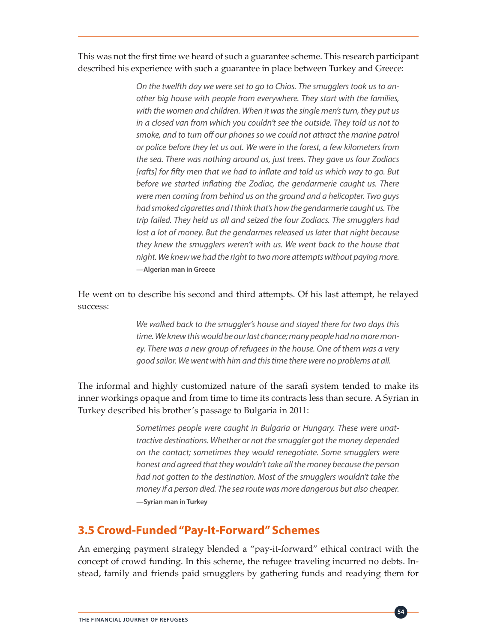This was not the first time we heard of such a guarantee scheme. This research participant described his experience with such a guarantee in place between Turkey and Greece:

> *On the twelfth day we were set to go to Chios. The smugglers took us to another big house with people from everywhere. They start with the families, with the women and children. When it was the single men's turn, they put us in a closed van from which you couldn't see the outside. They told us not to smoke, and to turn off our phones so we could not attract the marine patrol or police before they let us out. We were in the forest, a few kilometers from the sea. There was nothing around us, just trees. They gave us four Zodiacs*  [rafts] for fifty men that we had to inflate and told us which way to go. But *before we started inflating the Zodiac, the gendarmerie caught us. There were men coming from behind us on the ground and a helicopter. Two guys had smoked cigarettes and I think that's how the gendarmerie caught us. The trip failed. They held us all and seized the four Zodiacs. The smugglers had*  lost a lot of money. But the gendarmes released us later that night because *they knew the smugglers weren't with us. We went back to the house that night. We knew we had the right to two more attempts without paying more.*  **—Algerian man in Greece**

He went on to describe his second and third attempts. Of his last attempt, he relayed success:

> *We walked back to the smuggler's house and stayed there for two days this time. We knew this would be our last chance; many people had no more money. There was a new group of refugees in the house. One of them was a very good sailor. We went with him and this time there were no problems at all.*

The informal and highly customized nature of the sarafi system tended to make its inner workings opaque and from time to time its contracts less than secure. A Syrian in Turkey described his brother's passage to Bulgaria in 2011:

> *Sometimes people were caught in Bulgaria or Hungary. These were unattractive destinations. Whether or not the smuggler got the money depended on the contact; sometimes they would renegotiate. Some smugglers were honest and agreed that they wouldn't take all the money because the person had not gotten to the destination. Most of the smugglers wouldn't take the money if a person died. The sea route was more dangerous but also cheaper.*  **—Syrian man in Turkey**

### **3.5 Crowd-Funded "Pay-It-Forward" Schemes**

An emerging payment strategy blended a "pay-it-forward" ethical contract with the concept of crowd funding. In this scheme, the refugee traveling incurred no debts. Instead, family and friends paid smugglers by gathering funds and readying them for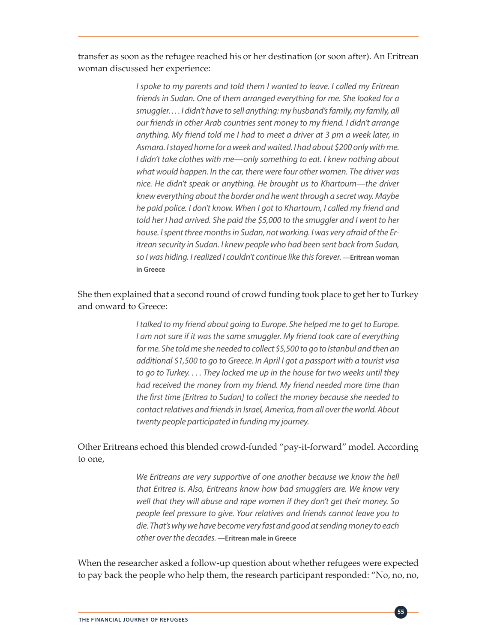transfer as soon as the refugee reached his or her destination (or soon after). An Eritrean woman discussed her experience:

> *I spoke to my parents and told them I wanted to leave. I called my Eritrean friends in Sudan. One of them arranged everything for me. She looked for a smuggler. . . . I didn't have to sell anything: my husband's family, my family, all our friends in other Arab countries sent money to my friend. I didn't arrange anything. My friend told me I had to meet a driver at 3 pm a week later, in Asmara. I stayed home for a week and waited. I had about \$200 only with me. I didn't take clothes with me—only something to eat. I knew nothing about what would happen. In the car, there were four other women. The driver was nice. He didn't speak or anything. He brought us to Khartoum—the driver knew everything about the border and he went through a secret way. Maybe he paid police. I don't know. When I got to Khartoum, I called my friend and told her I had arrived. She paid the \$5,000 to the smuggler and I went to her house. I spent three months in Sudan, not working. I was very afraid of the Eritrean security in Sudan. I knew people who had been sent back from Sudan, so I was hiding. I realized I couldn't continue like this forever.* **—Eritrean woman in Greece**

### She then explained that a second round of crowd funding took place to get her to Turkey and onward to Greece:

*I talked to my friend about going to Europe. She helped me to get to Europe. I am not sure if it was the same smuggler. My friend took care of everything for me. She told me she needed to collect \$5,500 to go to Istanbul and then an additional \$1,500 to go to Greece. In April I got a passport with a tourist visa to go to Turkey. . . . They locked me up in the house for two weeks until they had received the money from my friend. My friend needed more time than the first time [Eritrea to Sudan] to collect the money because she needed to contact relatives and friends in Israel, America, from all over the world. About twenty people participated in funding my journey.* 

### Other Eritreans echoed this blended crowd-funded "pay-it-forward" model. According to one,

*We Eritreans are very supportive of one another because we know the hell that Eritrea is. Also, Eritreans know how bad smugglers are. We know very well that they will abuse and rape women if they don't get their money. So people feel pressure to give. Your relatives and friends cannot leave you to die. That's why we have become very fast and good at sending money to each other over the decades.* **—Eritrean male in Greece**

When the researcher asked a follow-up question about whether refugees were expected to pay back the people who help them, the research participant responded: "No, no, no,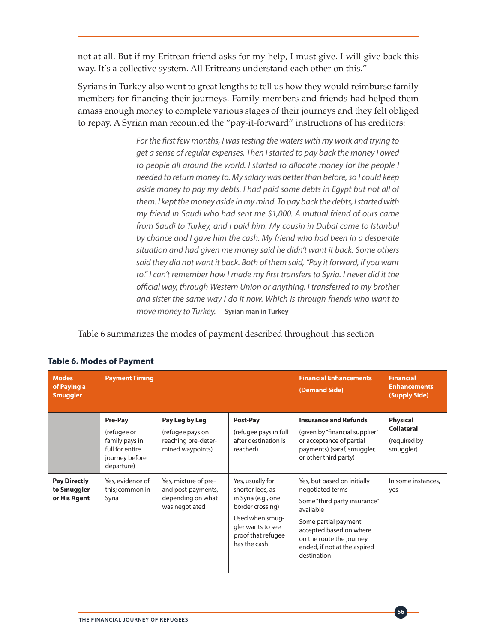not at all. But if my Eritrean friend asks for my help, I must give. I will give back this way. It's a collective system. All Eritreans understand each other on this."

Syrians in Turkey also went to great lengths to tell us how they would reimburse family members for financing their journeys. Family members and friends had helped them amass enough money to complete various stages of their journeys and they felt obliged to repay. A Syrian man recounted the "pay-it-forward" instructions of his creditors:

> *For the first few months, I was testing the waters with my work and trying to get a sense of regular expenses. Then I started to pay back the money I owed to people all around the world. I started to allocate money for the people I needed to return money to. My salary was better than before, so I could keep aside money to pay my debts. I had paid some debts in Egypt but not all of them. I kept the money aside in my mind. To pay back the debts, I started with my friend in Saudi who had sent me \$1,000. A mutual friend of ours came from Saudi to Turkey, and I paid him. My cousin in Dubai came to Istanbul by chance and I gave him the cash. My friend who had been in a desperate situation and had given me money said he didn't want it back. Some others said they did not want it back. Both of them said, "Pay it forward, if you want*  to." I can't remember how I made my first transfers to Syria. I never did it the *official way, through Western Union or anything. I transferred to my brother and sister the same way I do it now. Which is through friends who want to move money to Turkey.* **—Syrian man in Turkey**

Table 6 summarizes the modes of payment described throughout this section

| <b>Modes</b><br>of Paying a<br><b>Smuggler</b>     | <b>Payment Timing</b>                                                                       |                                                                                   | <b>Financial Enhancements</b><br>(Demand Side)                                                                                                                | <b>Financial</b><br><b>Enhancements</b><br>(Supply Side)                                                                                                                                                                   |                                                                   |
|----------------------------------------------------|---------------------------------------------------------------------------------------------|-----------------------------------------------------------------------------------|---------------------------------------------------------------------------------------------------------------------------------------------------------------|----------------------------------------------------------------------------------------------------------------------------------------------------------------------------------------------------------------------------|-------------------------------------------------------------------|
|                                                    | Pre-Pay<br>(refugee or<br>family pays in<br>full for entire<br>journey before<br>departure) | Pay Leg by Leg<br>(refugee pays on<br>reaching pre-deter-<br>mined waypoints)     | Post-Pay<br>(refugee pays in full<br>after destination is<br>reached)                                                                                         | <b>Insurance and Refunds</b><br>(given by "financial supplier"<br>or acceptance of partial<br>payments) (saraf, smuggler,<br>or other third party)                                                                         | <b>Physical</b><br><b>Collateral</b><br>(required by<br>smuggler) |
| <b>Pay Directly</b><br>to Smuggler<br>or His Agent | Yes, evidence of<br>this; common in<br>Syria                                                | Yes, mixture of pre-<br>and post-payments,<br>depending on what<br>was negotiated | Yes, usually for<br>shorter legs, as<br>in Syria (e.g., one<br>border crossing)<br>Used when smug-<br>gler wants to see<br>proof that refugee<br>has the cash | Yes, but based on initially<br>negotiated terms<br>Some "third party insurance"<br>available<br>Some partial payment<br>accepted based on where<br>on the route the journey<br>ended, if not at the aspired<br>destination | In some instances,<br>yes                                         |

### **Table 6. Modes of Payment**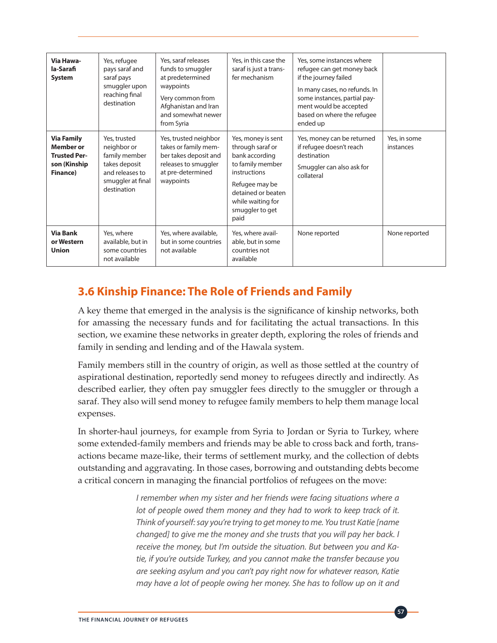| Via Hawa-<br>la-Sarafi<br><b>System</b>                                                  | Yes, refugee<br>pays saraf and<br>saraf pays<br>smuggler upon<br>reaching final<br>destination                       | Yes, saraf releases<br>funds to smuggler<br>at predetermined<br>waypoints<br>Very common from<br>Afghanistan and Iran<br>and somewhat newer<br>from Syria | Yes, in this case the<br>saraf is just a trans-<br>fer mechanism                                                                                                                     | Yes, some instances where<br>refugee can get money back<br>if the journey failed<br>In many cases, no refunds. In<br>some instances, partial pay-<br>ment would be accepted<br>based on where the refugee<br>ended up |                           |
|------------------------------------------------------------------------------------------|----------------------------------------------------------------------------------------------------------------------|-----------------------------------------------------------------------------------------------------------------------------------------------------------|--------------------------------------------------------------------------------------------------------------------------------------------------------------------------------------|-----------------------------------------------------------------------------------------------------------------------------------------------------------------------------------------------------------------------|---------------------------|
| <b>Via Family</b><br><b>Member or</b><br><b>Trusted Per-</b><br>son (Kinship<br>Finance) | Yes, trusted<br>neighbor or<br>family member<br>takes deposit<br>and releases to<br>smuggler at final<br>destination | Yes, trusted neighbor<br>takes or family mem-<br>ber takes deposit and<br>releases to smuggler<br>at pre-determined<br>waypoints                          | Yes, money is sent<br>through saraf or<br>bank according<br>to family member<br>instructions<br>Refugee may be<br>detained or beaten<br>while waiting for<br>smuggler to get<br>paid | Yes, money can be returned<br>if refugee doesn't reach<br>destination<br>Smuggler can also ask for<br>collateral                                                                                                      | Yes, in some<br>instances |
| <b>Via Bank</b><br>or Western<br><b>Union</b>                                            | Yes, where<br>available, but in<br>some countries<br>not available                                                   | Yes, where available,<br>but in some countries<br>not available                                                                                           | Yes, where avail-<br>able, but in some<br>countries not<br>available                                                                                                                 | None reported                                                                                                                                                                                                         | None reported             |

# **3.6 Kinship Finance: The Role of Friends and Family**

A key theme that emerged in the analysis is the significance of kinship networks, both for amassing the necessary funds and for facilitating the actual transactions. In this section, we examine these networks in greater depth, exploring the roles of friends and family in sending and lending and of the Hawala system.

Family members still in the country of origin, as well as those settled at the country of aspirational destination, reportedly send money to refugees directly and indirectly. As described earlier, they often pay smuggler fees directly to the smuggler or through a saraf. They also will send money to refugee family members to help them manage local expenses.

In shorter-haul journeys, for example from Syria to Jordan or Syria to Turkey, where some extended-family members and friends may be able to cross back and forth, transactions became maze-like, their terms of settlement murky, and the collection of debts outstanding and aggravating. In those cases, borrowing and outstanding debts become a critical concern in managing the financial portfolios of refugees on the move:

> *I* remember when my sister and her friends were facing situations where a *lot of people owed them money and they had to work to keep track of it. Think of yourself: say you're trying to get money to me. You trust Katie [name changed] to give me the money and she trusts that you will pay her back. I receive the money, but I'm outside the situation. But between you and Katie, if you're outside Turkey, and you cannot make the transfer because you are seeking asylum and you can't pay right now for whatever reason, Katie may have a lot of people owing her money. She has to follow up on it and*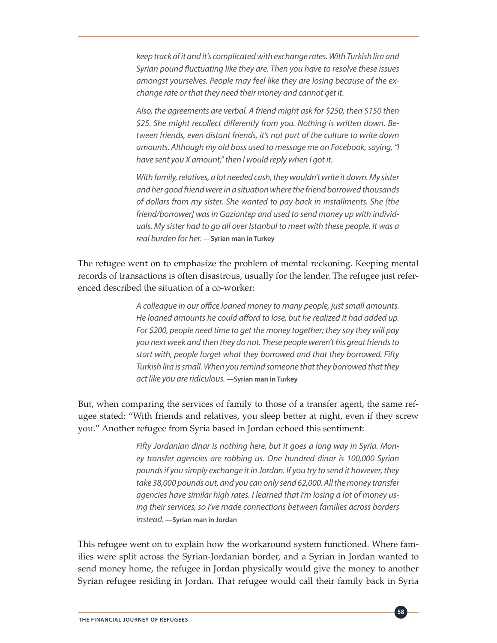*keep track of it and it's complicated with exchange rates. With Turkish lira and Syrian pound fluctuating like they are. Then you have to resolve these issues amongst yourselves. People may feel like they are losing because of the exchange rate or that they need their money and cannot get it.* 

*Also, the agreements are verbal. A friend might ask for \$250, then \$150 then \$25. She might recollect differently from you. Nothing is written down. Between friends, even distant friends, it's not part of the culture to write down amounts. Although my old boss used to message me on Facebook, saying, "I have sent you X amount," then I would reply when I got it.* 

*With family, relatives, a lot needed cash, they wouldn't write it down. My sister and her good friend were in a situation where the friend borrowed thousands of dollars from my sister. She wanted to pay back in installments. She [the friend/borrower] was in Gaziantep and used to send money up with individuals. My sister had to go all over Istanbul to meet with these people. It was a real burden for her.* **—Syrian man in Turkey**

The refugee went on to emphasize the problem of mental reckoning. Keeping mental records of transactions is often disastrous, usually for the lender. The refugee just referenced described the situation of a co-worker:

> *A colleague in our office loaned money to many people, just small amounts. He loaned amounts he could afford to lose, but he realized it had added up. For \$200, people need time to get the money together; they say they will pay you next week and then they do not. These people weren't his great friends to start with, people forget what they borrowed and that they borrowed. Fifty Turkish lira is small. When you remind someone that they borrowed that they act like you are ridiculous.* **—Syrian man in Turkey**

But, when comparing the services of family to those of a transfer agent, the same refugee stated: "With friends and relatives, you sleep better at night, even if they screw you." Another refugee from Syria based in Jordan echoed this sentiment:

> *Fifty Jordanian dinar is nothing here, but it goes a long way in Syria. Money transfer agencies are robbing us. One hundred dinar is 100,000 Syrian pounds if you simply exchange it in Jordan. If you try to send it however, they take 38,000 pounds out, and you can only send 62,000. All the money transfer agencies have similar high rates. I learned that I'm losing a lot of money using their services, so I've made connections between families across borders instead.* **—Syrian man in Jordan**

This refugee went on to explain how the workaround system functioned. Where families were split across the Syrian-Jordanian border, and a Syrian in Jordan wanted to send money home, the refugee in Jordan physically would give the money to another Syrian refugee residing in Jordan. That refugee would call their family back in Syria

**58**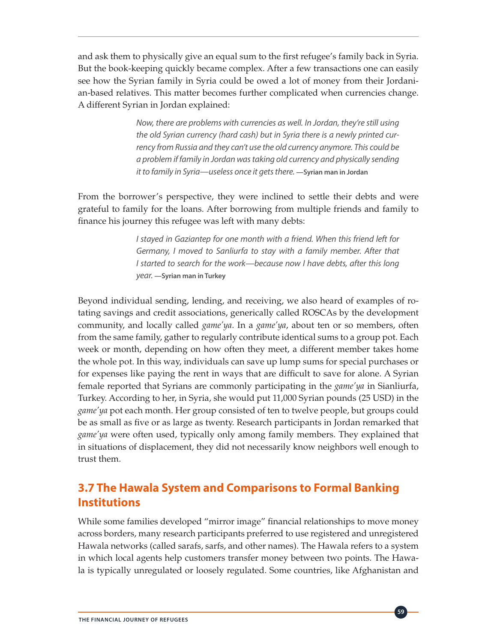and ask them to physically give an equal sum to the first refugee's family back in Syria. But the book-keeping quickly became complex. After a few transactions one can easily see how the Syrian family in Syria could be owed a lot of money from their Jordanian-based relatives. This matter becomes further complicated when currencies change. A different Syrian in Jordan explained:

> *Now, there are problems with currencies as well. In Jordan, they're still using the old Syrian currency (hard cash) but in Syria there is a newly printed currency from Russia and they can't use the old currency anymore. This could be a problem if family in Jordan was taking old currency and physically sending it to family in Syria—useless once it gets there.* **—Syrian man in Jordan**

From the borrower's perspective, they were inclined to settle their debts and were grateful to family for the loans. After borrowing from multiple friends and family to finance his journey this refugee was left with many debts:

> *I stayed in Gaziantep for one month with a friend. When this friend left for Germany, I moved to Sanliurfa to stay with a family member. After that I started to search for the work—because now I have debts, after this long year.* **—Syrian man in Turkey**

Beyond individual sending, lending, and receiving, we also heard of examples of rotating savings and credit associations, generically called ROSCAs by the development community, and locally called *game'ya*. In a *game'ya*, about ten or so members, often from the same family, gather to regularly contribute identical sums to a group pot. Each week or month, depending on how often they meet, a different member takes home the whole pot. In this way, individuals can save up lump sums for special purchases or for expenses like paying the rent in ways that are difficult to save for alone. A Syrian female reported that Syrians are commonly participating in the *game'ya* in Sianliurfa, Turkey. According to her, in Syria, she would put 11,000 Syrian pounds (25 USD) in the *game'ya* pot each month. Her group consisted of ten to twelve people, but groups could be as small as five or as large as twenty. Research participants in Jordan remarked that *game'ya* were often used, typically only among family members. They explained that in situations of displacement, they did not necessarily know neighbors well enough to trust them.

# **3.7 The Hawala System and Comparisons to Formal Banking Institutions**

While some families developed "mirror image" financial relationships to move money across borders, many research participants preferred to use registered and unregistered Hawala networks (called sarafs, sarfs, and other names). The Hawala refers to a system in which local agents help customers transfer money between two points. The Hawala is typically unregulated or loosely regulated. Some countries, like Afghanistan and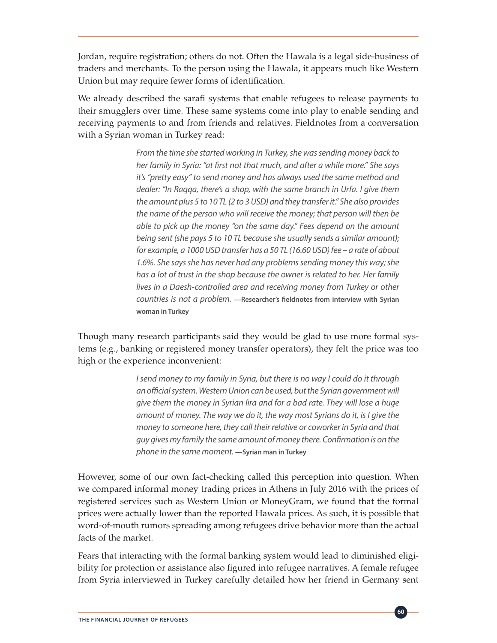Jordan, require registration; others do not. Often the Hawala is a legal side-business of traders and merchants. To the person using the Hawala, it appears much like Western Union but may require fewer forms of identification.

We already described the sarafi systems that enable refugees to release payments to their smugglers over time. These same systems come into play to enable sending and receiving payments to and from friends and relatives. Fieldnotes from a conversation with a Syrian woman in Turkey read:

> *From the time she started working in Turkey, she was sending money back to her family in Syria: "at first not that much, and after a while more." She says it's "pretty easy" to send money and has always used the same method and dealer: "In Raqqa, there's a shop, with the same branch in Urfa. I give them the amount plus 5 to 10 TL (2 to 3 USD) and they transfer it." She also provides the name of the person who will receive the money; that person will then be able to pick up the money "on the same day." Fees depend on the amount being sent (she pays 5 to 10 TL because she usually sends a similar amount); for example, a 1000 USD transfer has a 50 TL (16.60 USD) fee – a rate of about 1.6%. She says she has never had any problems sending money this way; she has a lot of trust in the shop because the owner is related to her. Her family lives in a Daesh-controlled area and receiving money from Turkey or other countries is not a problem.* **—Researcher's fieldnotes from interview with Syrian woman in Turkey**

Though many research participants said they would be glad to use more formal systems (e.g., banking or registered money transfer operators), they felt the price was too high or the experience inconvenient:

> *I send money to my family in Syria, but there is no way I could do it through an official system. Western Union can be used, but the Syrian government will give them the money in Syrian lira and for a bad rate. They will lose a huge amount of money. The way we do it, the way most Syrians do it, is I give the money to someone here, they call their relative or coworker in Syria and that guy gives my family the same amount of money there. Confirmation is on the phone in the same moment.* **—Syrian man in Turkey**

However, some of our own fact-checking called this perception into question. When we compared informal money trading prices in Athens in July 2016 with the prices of registered services such as Western Union or MoneyGram, we found that the formal prices were actually lower than the reported Hawala prices. As such, it is possible that word-of-mouth rumors spreading among refugees drive behavior more than the actual facts of the market.

Fears that interacting with the formal banking system would lead to diminished eligibility for protection or assistance also figured into refugee narratives. A female refugee from Syria interviewed in Turkey carefully detailed how her friend in Germany sent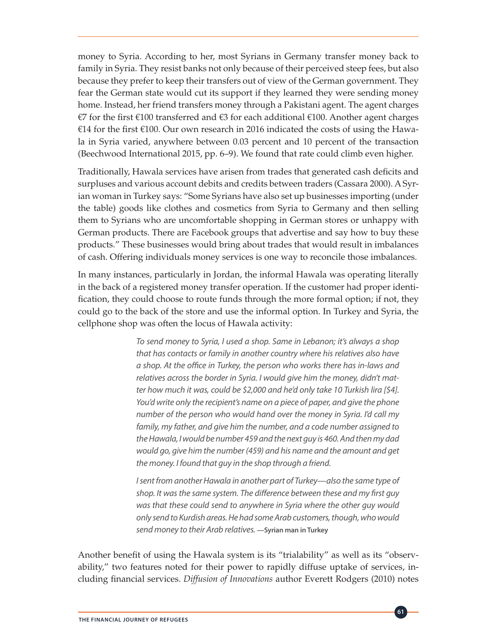money to Syria. According to her, most Syrians in Germany transfer money back to family in Syria. They resist banks not only because of their perceived steep fees, but also because they prefer to keep their transfers out of view of the German government. They fear the German state would cut its support if they learned they were sending money home. Instead, her friend transfers money through a Pakistani agent. The agent charges €7 for the first €100 transferred and €3 for each additional €100. Another agent charges €14 for the first €100. Our own research in 2016 indicated the costs of using the Hawala in Syria varied, anywhere between 0.03 percent and 10 percent of the transaction (Beechwood International 2015, pp. 6–9). We found that rate could climb even higher.

Traditionally, Hawala services have arisen from trades that generated cash deficits and surpluses and various account debits and credits between traders (Cassara 2000). A Syrian woman in Turkey says: "Some Syrians have also set up businesses importing (under the table) goods like clothes and cosmetics from Syria to Germany and then selling them to Syrians who are uncomfortable shopping in German stores or unhappy with German products. There are Facebook groups that advertise and say how to buy these products." These businesses would bring about trades that would result in imbalances of cash. Offering individuals money services is one way to reconcile those imbalances.

In many instances, particularly in Jordan, the informal Hawala was operating literally in the back of a registered money transfer operation. If the customer had proper identification, they could choose to route funds through the more formal option; if not, they could go to the back of the store and use the informal option. In Turkey and Syria, the cellphone shop was often the locus of Hawala activity:

> *To send money to Syria, I used a shop. Same in Lebanon; it's always a shop that has contacts or family in another country where his relatives also have a shop. At the office in Turkey, the person who works there has in-laws and relatives across the border in Syria. I would give him the money, didn't matter how much it was, could be \$2,000 and he'd only take 10 Turkish lira [\$4]. You'd write only the recipient's name on a piece of paper, and give the phone number of the person who would hand over the money in Syria. I'd call my family, my father, and give him the number, and a code number assigned to the Hawala, I would be number 459 and the next guy is 460. And then my dad would go, give him the number (459) and his name and the amount and get the money. I found that guy in the shop through a friend.*

> *I sent from another Hawala in another part of Turkey—also the same type of shop. It was the same system. The difference between these and my first guy was that these could send to anywhere in Syria where the other guy would only send to Kurdish areas. He had some Arab customers, though, who would send money to their Arab relatives.* **—Syrian man in Turkey**

Another benefit of using the Hawala system is its "trialability" as well as its "observability," two features noted for their power to rapidly diffuse uptake of services, including financial services. *Diffusion of Innovations* author Everett Rodgers (2010) notes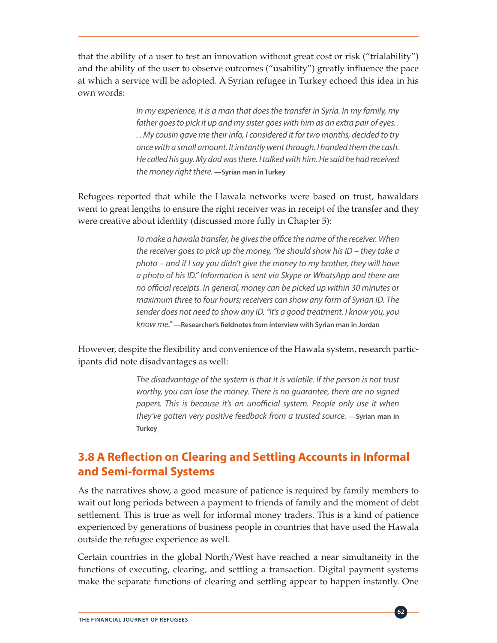that the ability of a user to test an innovation without great cost or risk ("trialability") and the ability of the user to observe outcomes ("usability") greatly influence the pace at which a service will be adopted. A Syrian refugee in Turkey echoed this idea in his own words:

> *In my experience, it is a man that does the transfer in Syria. In my family, my father goes to pick it up and my sister goes with him as an extra pair of eyes. . . . My cousin gave me their info, I considered it for two months, decided to try once with a small amount. It instantly went through. I handed them the cash. He called his guy. My dad was there. I talked with him. He said he had received the money right there.* **—Syrian man in Turkey**

Refugees reported that while the Hawala networks were based on trust, hawaldars went to great lengths to ensure the right receiver was in receipt of the transfer and they were creative about identity (discussed more fully in Chapter 5):

> *To make a hawala transfer, he gives the office the name of the receiver. When the receiver goes to pick up the money, "he should show his ID – they take a photo – and if I say you didn't give the money to my brother, they will have a photo of his ID." Information is sent via Skype or WhatsApp and there are no official receipts. In general, money can be picked up within 30 minutes or maximum three to four hours; receivers can show any form of Syrian ID. The sender does not need to show any ID. "It's a good treatment. I know you, you know me."* **—Researcher's fieldnotes from interview with Syrian man in Jordan**

However, despite the flexibility and convenience of the Hawala system, research participants did note disadvantages as well:

> *The disadvantage of the system is that it is volatile. If the person is not trust worthy, you can lose the money. There is no guarantee, there are no signed papers. This is because it's an unofficial system. People only use it when they've gotten very positive feedback from a trusted source.* **—Syrian man in Turkey**

### **3.8 A Reflection on Clearing and Settling Accounts in Informal and Semi-formal Systems**

As the narratives show, a good measure of patience is required by family members to wait out long periods between a payment to friends of family and the moment of debt settlement. This is true as well for informal money traders. This is a kind of patience experienced by generations of business people in countries that have used the Hawala outside the refugee experience as well.

Certain countries in the global North/West have reached a near simultaneity in the functions of executing, clearing, and settling a transaction. Digital payment systems make the separate functions of clearing and settling appear to happen instantly. One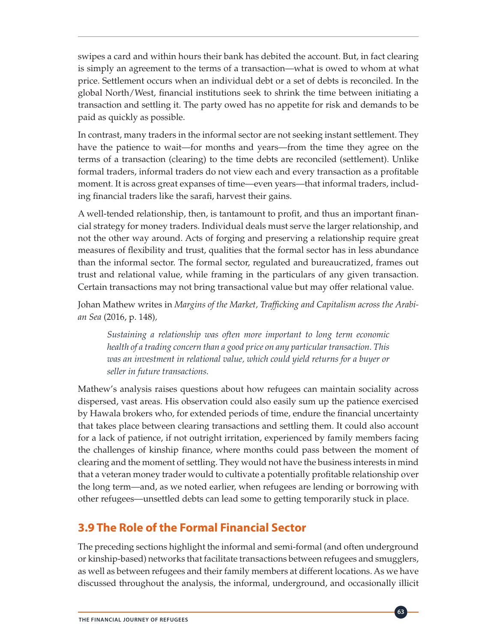swipes a card and within hours their bank has debited the account. But, in fact clearing is simply an agreement to the terms of a transaction—what is owed to whom at what price. Settlement occurs when an individual debt or a set of debts is reconciled. In the global North/West, financial institutions seek to shrink the time between initiating a transaction and settling it. The party owed has no appetite for risk and demands to be paid as quickly as possible.

In contrast, many traders in the informal sector are not seeking instant settlement. They have the patience to wait—for months and years—from the time they agree on the terms of a transaction (clearing) to the time debts are reconciled (settlement). Unlike formal traders, informal traders do not view each and every transaction as a profitable moment. It is across great expanses of time—even years—that informal traders, including financial traders like the sarafi, harvest their gains.

A well-tended relationship, then, is tantamount to profit, and thus an important financial strategy for money traders. Individual deals must serve the larger relationship, and not the other way around. Acts of forging and preserving a relationship require great measures of flexibility and trust, qualities that the formal sector has in less abundance than the informal sector. The formal sector, regulated and bureaucratized, frames out trust and relational value, while framing in the particulars of any given transaction. Certain transactions may not bring transactional value but may offer relational value.

Johan Mathew writes in *Margins of the Market, Trafficking and Capitalism across the Arabian Sea* (2016, p. 148)*,* 

*Sustaining a relationship was often more important to long term economic health of a trading concern than a good price on any particular transaction. This*  was an investment in relational value, which could yield returns for a buyer or *seller in future transactions.* 

Mathew's analysis raises questions about how refugees can maintain sociality across dispersed, vast areas. His observation could also easily sum up the patience exercised by Hawala brokers who, for extended periods of time, endure the financial uncertainty that takes place between clearing transactions and settling them. It could also account for a lack of patience, if not outright irritation, experienced by family members facing the challenges of kinship finance, where months could pass between the moment of clearing and the moment of settling. They would not have the business interests in mind that a veteran money trader would to cultivate a potentially profitable relationship over the long term—and, as we noted earlier, when refugees are lending or borrowing with other refugees—unsettled debts can lead some to getting temporarily stuck in place.

### **3.9 The Role of the Formal Financial Sector**

The preceding sections highlight the informal and semi-formal (and often underground or kinship-based) networks that facilitate transactions between refugees and smugglers, as well as between refugees and their family members at different locations. As we have discussed throughout the analysis, the informal, underground, and occasionally illicit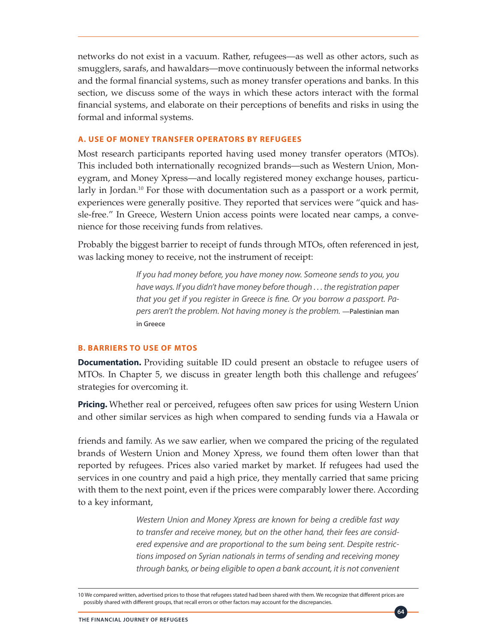networks do not exist in a vacuum. Rather, refugees—as well as other actors, such as smugglers, sarafs, and hawaldars—move continuously between the informal networks and the formal financial systems, such as money transfer operations and banks. In this section, we discuss some of the ways in which these actors interact with the formal financial systems, and elaborate on their perceptions of benefits and risks in using the formal and informal systems.

#### **A. USE OF MONEY TRANSFER OPERATORS BY REFUGEES**

Most research participants reported having used money transfer operators (MTOs). This included both internationally recognized brands—such as Western Union, Moneygram, and Money Xpress—and locally registered money exchange houses, particularly in Jordan.<sup>10</sup> For those with documentation such as a passport or a work permit, experiences were generally positive. They reported that services were "quick and hassle-free." In Greece, Western Union access points were located near camps, a convenience for those receiving funds from relatives.

Probably the biggest barrier to receipt of funds through MTOs, often referenced in jest, was lacking money to receive, not the instrument of receipt:

> *If you had money before, you have money now. Someone sends to you, you have ways. If you didn't have money before though . . . the registration paper that you get if you register in Greece is fine. Or you borrow a passport. Papers aren't the problem. Not having money is the problem.* —Palestinian man **in Greece**

#### **B. BARRIERS TO USE OF MTOS**

**Documentation.** Providing suitable ID could present an obstacle to refugee users of MTOs. In Chapter 5, we discuss in greater length both this challenge and refugees' strategies for overcoming it.

**Pricing.** Whether real or perceived, refugees often saw prices for using Western Union and other similar services as high when compared to sending funds via a Hawala or

friends and family. As we saw earlier, when we compared the pricing of the regulated brands of Western Union and Money Xpress, we found them often lower than that reported by refugees. Prices also varied market by market. If refugees had used the services in one country and paid a high price, they mentally carried that same pricing with them to the next point, even if the prices were comparably lower there. According to a key informant,

> *Western Union and Money Xpress are known for being a credible fast way to transfer and receive money, but on the other hand, their fees are considered expensive and are proportional to the sum being sent. Despite restrictions imposed on Syrian nationals in terms of sending and receiving money through banks, or being eligible to open a bank account, it is not convenient*

> > **64**

<sup>10</sup> We compared written, advertised prices to those that refugees stated had been shared with them. We recognize that different prices are possibly shared with different groups, that recall errors or other factors may account for the discrepancies.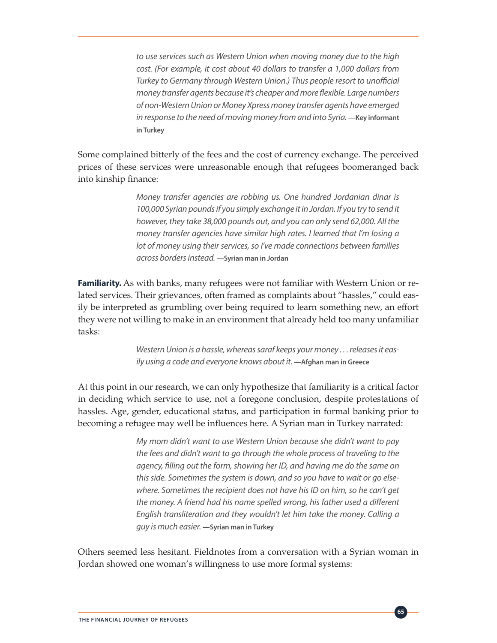*to use services such as Western Union when moving money due to the high cost. (For example, it cost about 40 dollars to transfer a 1,000 dollars from Turkey to Germany through Western Union.) Thus people resort to unofficial money transfer agents because it's cheaper and more flexible. Large numbers of non-Western Union or Money Xpress money transfer agents have emerged*  in response to the need of moving money from and into Syria. —Key informant **in Turkey** 

Some complained bitterly of the fees and the cost of currency exchange. The perceived prices of these services were unreasonable enough that refugees boomeranged back into kinship finance:

> *Money transfer agencies are robbing us. One hundred Jordanian dinar is 100,000 Syrian pounds if you simply exchange it in Jordan. If you try to send it however, they take 38,000 pounds out, and you can only send 62,000. All the money transfer agencies have similar high rates. I learned that I'm losing a lot of money using their services, so I've made connections between families across borders instead.* **—Syrian man in Jordan**

**Familiarity.** As with banks, many refugees were not familiar with Western Union or related services. Their grievances, often framed as complaints about "hassles," could easily be interpreted as grumbling over being required to learn something new, an effort they were not willing to make in an environment that already held too many unfamiliar tasks:

> *Western Union is a hassle, whereas saraf keeps your money . . . releases it easily using a code and everyone knows about it.* **—Afghan man in Greece**

At this point in our research, we can only hypothesize that familiarity is a critical factor in deciding which service to use, not a foregone conclusion, despite protestations of hassles. Age, gender, educational status, and participation in formal banking prior to becoming a refugee may well be influences here. A Syrian man in Turkey narrated:

> *My mom didn't want to use Western Union because she didn't want to pay the fees and didn't want to go through the whole process of traveling to the agency, filling out the form, showing her ID, and having me do the same on this side. Sometimes the system is down, and so you have to wait or go elsewhere. Sometimes the recipient does not have his ID on him, so he can't get the money. A friend had his name spelled wrong, his father used a different English transliteration and they wouldn't let him take the money. Calling a guy is much easier.* **—Syrian man in Turkey**

> > **65**

Others seemed less hesitant. Fieldnotes from a conversation with a Syrian woman in Jordan showed one woman's willingness to use more formal systems: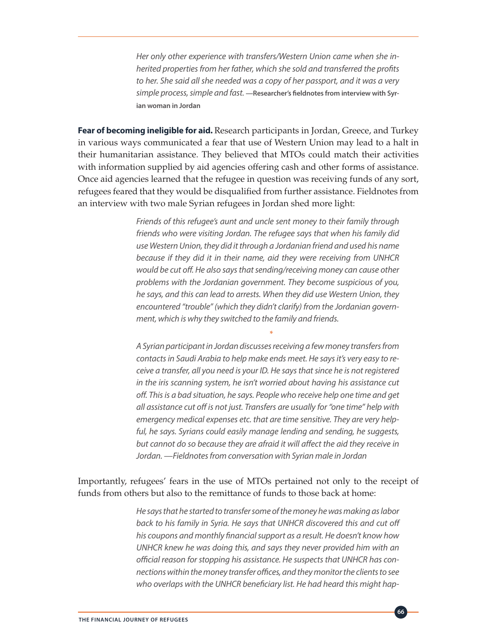*Her only other experience with transfers/Western Union came when she inherited properties from her father, which she sold and transferred the profits to her. She said all she needed was a copy of her passport, and it was a very simple process, simple and fast.* **—Researcher's fieldnotes from interview with Syrian woman in Jordan**

**Fear of becoming ineligible for aid.** Research participants in Jordan, Greece, and Turkey in various ways communicated a fear that use of Western Union may lead to a halt in their humanitarian assistance. They believed that MTOs could match their activities with information supplied by aid agencies offering cash and other forms of assistance. Once aid agencies learned that the refugee in question was receiving funds of any sort, refugees feared that they would be disqualified from further assistance. Fieldnotes from an interview with two male Syrian refugees in Jordan shed more light:

> *Friends of this refugee's aunt and uncle sent money to their family through friends who were visiting Jordan. The refugee says that when his family did use Western Union, they did it through a Jordanian friend and used his name because if they did it in their name, aid they were receiving from UNHCR would be cut off. He also says that sending/receiving money can cause other problems with the Jordanian government. They become suspicious of you, he says, and this can lead to arrests. When they did use Western Union, they encountered "trouble" (which they didn't clarify) from the Jordanian government, which is why they switched to the family and friends.*

> *A Syrian participant in Jordan discusses receiving a few money transfers from contacts in Saudi Arabia to help make ends meet. He says it's very easy to receive a transfer, all you need is your ID. He says that since he is not registered in the iris scanning system, he isn't worried about having his assistance cut off. This is a bad situation, he says. People who receive help one time and get all assistance cut off is not just. Transfers are usually for "one time" help with emergency medical expenses etc. that are time sensitive. They are very helpful, he says. Syrians could easily manage lending and sending, he suggests, but cannot do so because they are afraid it will affect the aid they receive in Jordan. —Fieldnotes from conversation with Syrian male in Jordan*

### Importantly, refugees' fears in the use of MTOs pertained not only to the receipt of funds from others but also to the remittance of funds to those back at home:

\*

*He says that he started to transfer some of the money he was making as labor back to his family in Syria. He says that UNHCR discovered this and cut off his coupons and monthly financial support as a result. He doesn't know how UNHCR knew he was doing this, and says they never provided him with an official reason for stopping his assistance. He suspects that UNHCR has connections within the money transfer offices, and they monitor the clients to see who overlaps with the UNHCR beneficiary list. He had heard this might hap-*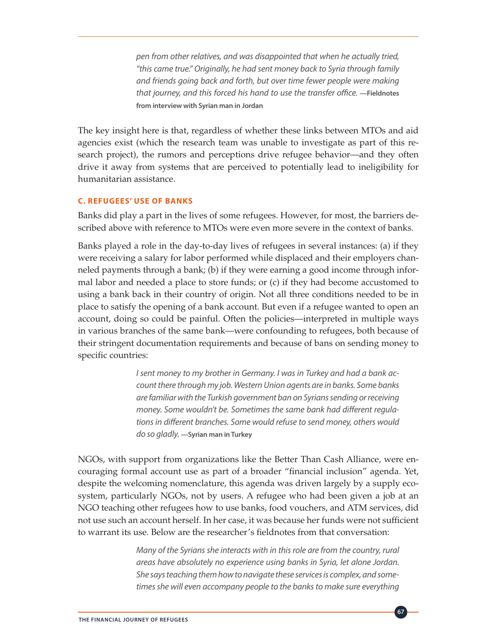*pen from other relatives, and was disappointed that when he actually tried, "this came true." Originally, he had sent money back to Syria through family and friends going back and forth, but over time fewer people were making that journey, and this forced his hand to use the transfer office.* **—Fieldnotes from interview with Syrian man in Jordan**

The key insight here is that, regardless of whether these links between MTOs and aid agencies exist (which the research team was unable to investigate as part of this research project), the rumors and perceptions drive refugee behavior—and they often drive it away from systems that are perceived to potentially lead to ineligibility for humanitarian assistance.

#### **C. REFUGEES' USE OF BANKS**

Banks did play a part in the lives of some refugees. However, for most, the barriers described above with reference to MTOs were even more severe in the context of banks.

Banks played a role in the day-to-day lives of refugees in several instances: (a) if they were receiving a salary for labor performed while displaced and their employers channeled payments through a bank; (b) if they were earning a good income through informal labor and needed a place to store funds; or (c) if they had become accustomed to using a bank back in their country of origin. Not all three conditions needed to be in place to satisfy the opening of a bank account. But even if a refugee wanted to open an account, doing so could be painful. Often the policies—interpreted in multiple ways in various branches of the same bank—were confounding to refugees, both because of their stringent documentation requirements and because of bans on sending money to specific countries:

> *I sent money to my brother in Germany. I was in Turkey and had a bank account there through my job. Western Union agents are in banks. Some banks are familiar with the Turkish government ban on Syrians sending or receiving money. Some wouldn't be. Sometimes the same bank had different regulations in different branches. Some would refuse to send money, others would do so gladly.* **—Syrian man in Turkey**

NGOs, with support from organizations like the Better Than Cash Alliance, were encouraging formal account use as part of a broader "financial inclusion" agenda. Yet, despite the welcoming nomenclature, this agenda was driven largely by a supply ecosystem, particularly NGOs, not by users. A refugee who had been given a job at an NGO teaching other refugees how to use banks, food vouchers, and ATM services, did not use such an account herself. In her case, it was because her funds were not sufficient to warrant its use. Below are the researcher's fieldnotes from that conversation:

> *Many of the Syrians she interacts with in this role are from the country, rural areas have absolutely no experience using banks in Syria, let alone Jordan. She says teaching them how to navigate these services is complex, and sometimes she will even accompany people to the banks to make sure everything*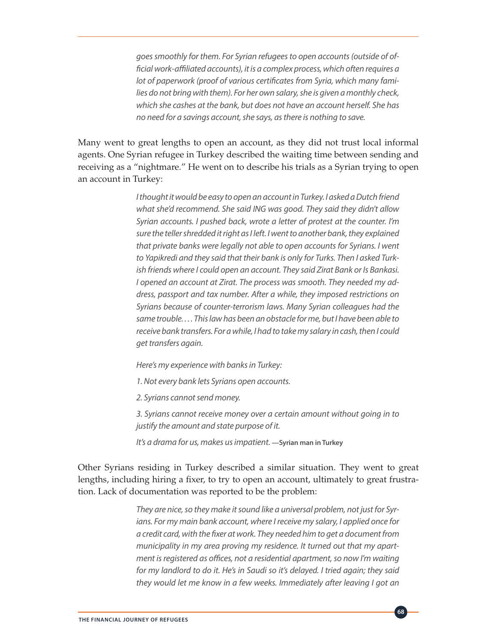*goes smoothly for them. For Syrian refugees to open accounts (outside of official work-affiliated accounts), it is a complex process, which often requires a lot of paperwork (proof of various certificates from Syria, which many families do not bring with them). For her own salary, she is given a monthly check, which she cashes at the bank, but does not have an account herself. She has no need for a savings account, she says, as there is nothing to save.* 

Many went to great lengths to open an account, as they did not trust local informal agents. One Syrian refugee in Turkey described the waiting time between sending and receiving as a "nightmare." He went on to describe his trials as a Syrian trying to open an account in Turkey:

> *I thought it would be easy to open an account in Turkey. I asked a Dutch friend what she'd recommend. She said ING was good. They said they didn't allow Syrian accounts. I pushed back, wrote a letter of protest at the counter. I'm sure the teller shredded it right as I left. I went to another bank, they explained that private banks were legally not able to open accounts for Syrians. I went to Yapikredi and they said that their bank is only for Turks. Then I asked Turkish friends where I could open an account. They said Zirat Bank or Is Bankasi. I opened an account at Zirat. The process was smooth. They needed my address, passport and tax number. After a while, they imposed restrictions on Syrians because of counter-terrorism laws. Many Syrian colleagues had the same trouble. . . . This law has been an obstacle for me, but I have been able to receive bank transfers. For a while, I had to take my salary in cash, then I could get transfers again.*

*Here's my experience with banks in Turkey:* 

*1. Not every bank lets Syrians open accounts.*

*2. Syrians cannot send money.*

*3. Syrians cannot receive money over a certain amount without going in to justify the amount and state purpose of it.*

*It's a drama for us, makes us impatient.* **—Syrian man in Turkey**

Other Syrians residing in Turkey described a similar situation. They went to great lengths, including hiring a fixer, to try to open an account, ultimately to great frustration. Lack of documentation was reported to be the problem:

> *They are nice, so they make it sound like a universal problem, not just for Syrians. For my main bank account, where I receive my salary, I applied once for a credit card, with the fixer at work. They needed him to get a document from municipality in my area proving my residence. It turned out that my apartment is registered as offices, not a residential apartment, so now I'm waiting for my landlord to do it. He's in Saudi so it's delayed. I tried again; they said they would let me know in a few weeks. Immediately after leaving I got an*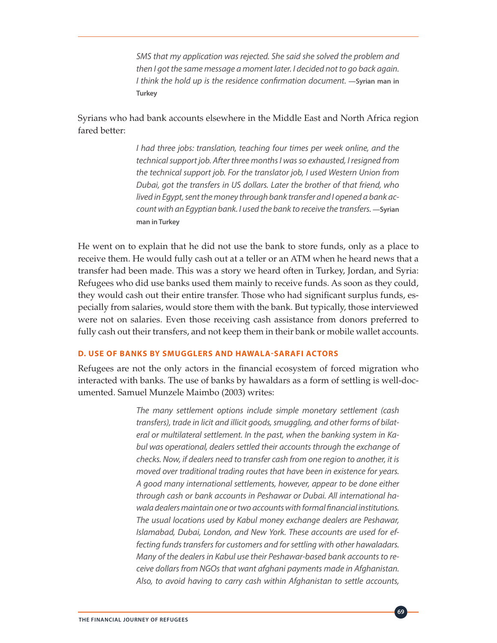*SMS that my application was rejected. She said she solved the problem and then I got the same message a moment later. I decided not to go back again. I* think the hold up is the residence confirmation document. —Syrian man in **Turkey**

### Syrians who had bank accounts elsewhere in the Middle East and North Africa region fared better:

*I had three jobs: translation, teaching four times per week online, and the technical support job. After three months I was so exhausted, I resigned from the technical support job. For the translator job, I used Western Union from Dubai, got the transfers in US dollars. Later the brother of that friend, who lived in Egypt, sent the money through bank transfer and I opened a bank account with an Egyptian bank. I used the bank to receive the transfers.* **—Syrian man in Turkey**

He went on to explain that he did not use the bank to store funds, only as a place to receive them. He would fully cash out at a teller or an ATM when he heard news that a transfer had been made. This was a story we heard often in Turkey, Jordan, and Syria: Refugees who did use banks used them mainly to receive funds. As soon as they could, they would cash out their entire transfer. Those who had significant surplus funds, especially from salaries, would store them with the bank. But typically, those interviewed were not on salaries. Even those receiving cash assistance from donors preferred to fully cash out their transfers, and not keep them in their bank or mobile wallet accounts.

#### **D. USE OF BANKS BY SMUGGLERS AND HAWALA-SARAFI ACTORS**

Refugees are not the only actors in the financial ecosystem of forced migration who interacted with banks. The use of banks by hawaldars as a form of settling is well-documented. Samuel Munzele Maimbo (2003) writes:

> *The many settlement options include simple monetary settlement (cash transfers), trade in licit and illicit goods, smuggling, and other forms of bilateral or multilateral settlement. In the past, when the banking system in Kabul was operational, dealers settled their accounts through the exchange of checks. Now, if dealers need to transfer cash from one region to another, it is moved over traditional trading routes that have been in existence for years. A good many international settlements, however, appear to be done either through cash or bank accounts in Peshawar or Dubai. All international hawala dealers maintain one or two accounts with formal financial institutions. The usual locations used by Kabul money exchange dealers are Peshawar, Islamabad, Dubai, London, and New York. These accounts are used for effecting funds transfers for customers and for settling with other hawaladars. Many of the dealers in Kabul use their Peshawar-based bank accounts to receive dollars from NGOs that want afghani payments made in Afghanistan. Also, to avoid having to carry cash within Afghanistan to settle accounts,*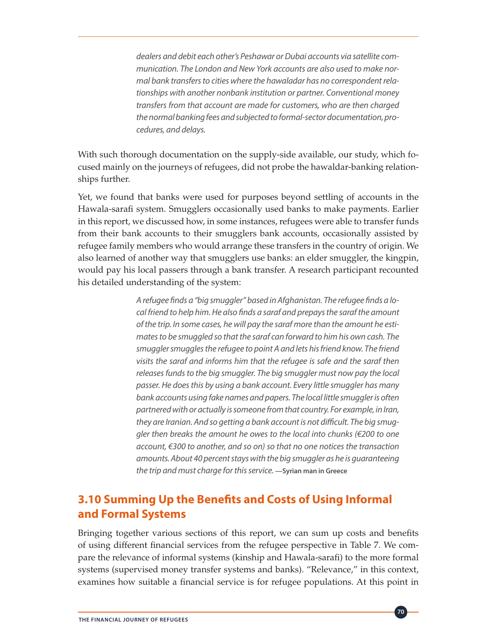*dealers and debit each other's Peshawar or Dubai accounts via satellite communication. The London and New York accounts are also used to make normal bank transfers to cities where the hawaladar has no correspondent relationships with another nonbank institution or partner. Conventional money transfers from that account are made for customers, who are then charged the normal banking fees and subjected to formal-sector documentation, procedures, and delays.* 

With such thorough documentation on the supply-side available, our study, which focused mainly on the journeys of refugees, did not probe the hawaldar-banking relationships further.

Yet, we found that banks were used for purposes beyond settling of accounts in the Hawala-sarafi system. Smugglers occasionally used banks to make payments. Earlier in this report, we discussed how, in some instances, refugees were able to transfer funds from their bank accounts to their smugglers bank accounts, occasionally assisted by refugee family members who would arrange these transfers in the country of origin. We also learned of another way that smugglers use banks: an elder smuggler, the kingpin, would pay his local passers through a bank transfer. A research participant recounted his detailed understanding of the system:

> *A refugee finds a "big smuggler" based in Afghanistan. The refugee finds a local friend to help him. He also finds a saraf and prepays the saraf the amount of the trip. In some cases, he will pay the saraf more than the amount he estimates to be smuggled so that the saraf can forward to him his own cash. The smuggler smuggles the refugee to point A and lets his friend know. The friend visits the saraf and informs him that the refugee is safe and the saraf then releases funds to the big smuggler. The big smuggler must now pay the local passer. He does this by using a bank account. Every little smuggler has many bank accounts using fake names and papers. The local little smuggler is often partnered with or actually is someone from that country. For example, in Iran, they are Iranian. And so getting a bank account is not difficult. The big smuggler then breaks the amount he owes to the local into chunks (€200 to one account, €300 to another, and so on) so that no one notices the transaction amounts. About 40 percent stays with the big smuggler as he is guaranteeing the trip and must charge for this service.* **—Syrian man in Greece**

### **3.10 Summing Up the Benefits and Costs of Using Informal and Formal Systems**

Bringing together various sections of this report, we can sum up costs and benefits of using different financial services from the refugee perspective in Table 7. We compare the relevance of informal systems (kinship and Hawala-sarafi) to the more formal systems (supervised money transfer systems and banks). "Relevance," in this context, examines how suitable a financial service is for refugee populations. At this point in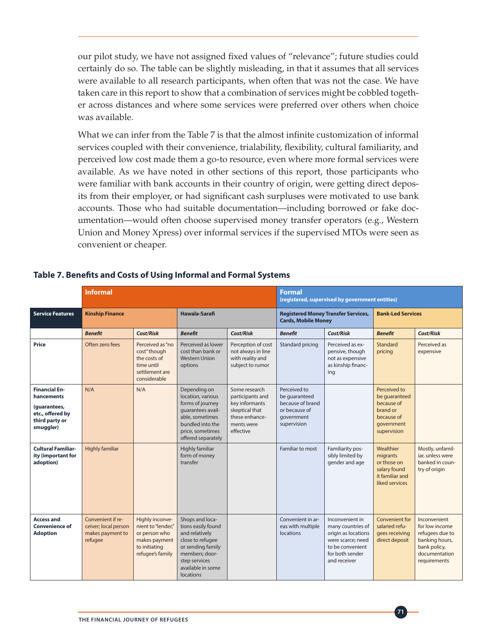our pilot study, we have not assigned fixed values of "relevance"; future studies could certainly do so. The table can be slightly misleading, in that it assumes that all services were available to all research participants, when often that was not the case. We have taken care in this report to show that a combination of services might be cobbled together across distances and where some services were preferred over others when choice was available.

What we can infer from the Table 7 is that the almost infinite customization of informal services coupled with their convenience, trialability, flexibility, cultural familiarity, and perceived low cost made them a go-to resource, even where more formal services were available. As we have noted in other sections of this report, those participants who were familiar with bank accounts in their country of origin, were getting direct deposits from their employer, or had significant cash surpluses were motivated to use bank accounts. Those who had suitable documentation—including borrowed or fake documentation—would often choose supervised money transfer operators (e.g., Western Union and Money Xpress) over informal services if the supervised MTOs were seen as convenient or cheaper.

|                                                                                                       | <b>Informal</b>                                                          |                                                                                                              |                                                                                                                                                                       |                                                                                                                    | <b>Formal</b><br>(registered, supervised by government entities)                                |                                                                                                                                         |                                                                                                    |                                                                                                                      |
|-------------------------------------------------------------------------------------------------------|--------------------------------------------------------------------------|--------------------------------------------------------------------------------------------------------------|-----------------------------------------------------------------------------------------------------------------------------------------------------------------------|--------------------------------------------------------------------------------------------------------------------|-------------------------------------------------------------------------------------------------|-----------------------------------------------------------------------------------------------------------------------------------------|----------------------------------------------------------------------------------------------------|----------------------------------------------------------------------------------------------------------------------|
| <b>Service Features</b>                                                                               | <b>Kinship Finance</b>                                                   |                                                                                                              | Hawala-Sarafi                                                                                                                                                         |                                                                                                                    | <b>Registered Money Transfer Services,</b><br><b>Cards, Mobile Money</b>                        |                                                                                                                                         | <b>Bank-Led Services</b>                                                                           |                                                                                                                      |
|                                                                                                       | <b>Benefit</b>                                                           | Cost/Risk                                                                                                    | <b>Benefit</b>                                                                                                                                                        | Cost/Risk                                                                                                          | <b>Benefit</b>                                                                                  | Cost/Risk                                                                                                                               | <b>Benefit</b>                                                                                     | Cost/Risk                                                                                                            |
| <b>Price</b>                                                                                          | Often zero fees                                                          | Perceived as "no<br>cost" though<br>the costs of<br>time until<br>settlement are<br>considerable             | Perceived as lower<br>cost than bank or<br><b>Western Union</b><br>options                                                                                            | Perception of cost<br>not always in line<br>with reality and<br>subject to rumor                                   | Standard pricing                                                                                | Perceived as ex-<br>pensive, though<br>not as expensive<br>as kinship financ-<br>ing                                                    | Standard<br>pricing                                                                                | Perceived as<br>expensive                                                                                            |
| <b>Financial En-</b><br>hancements<br>(quarantees,<br>etc., offered by<br>third party or<br>smuggler) | N/A                                                                      | N/A                                                                                                          | Depending on<br>location, various<br>forms of journey<br>quarantees avail-<br>able, sometimes<br>bundled into the<br>price, sometimes<br>offered separately           | Some research<br>participants and<br>key informants<br>skeptical that<br>these enhance-<br>ments were<br>effective | Perceived to<br>be quaranteed<br>because of brand<br>or because of<br>government<br>supervision |                                                                                                                                         | Perceived to<br>be quaranteed<br>because of<br>brand or<br>because of<br>qovernment<br>supervision |                                                                                                                      |
| <b>Cultural Familiar-</b><br>ity (important for<br>adoption)                                          | <b>Highly familiar</b>                                                   |                                                                                                              | <b>Highly familiar</b><br>form of money<br>transfer                                                                                                                   |                                                                                                                    | Familiar to most                                                                                | Familiarity pos-<br>sibly limited by<br>gender and age                                                                                  | Wealthier<br>migrants<br>or those on<br>salary found<br>it familiar and<br>liked services          | Mostly, unfamil-<br>jar, unless were<br>banked in coun-<br>try of origin                                             |
| <b>Access and</b><br><b>Convenience of</b><br><b>Adoption</b>                                         | Convenient if re-<br>ceiver; local person<br>makes payment to<br>refugee | Highly inconve-<br>nient to "lender."<br>or person who<br>makes payment<br>to initiating<br>refugee's family | Shops and loca-<br>tions easily found<br>and relatively<br>close to refugee<br>or sending family<br>members; door-<br>step services<br>available in some<br>locations |                                                                                                                    | Convenient in ar-<br>eas with multiple<br>locations                                             | Inconvenient in<br>many countries of<br>origin as locations<br>were scarce; need<br>to be convenient<br>for both sender<br>and receiver | Convenient for<br>salaried refu-<br>gees receiving<br>direct deposit                               | Inconvenient<br>for low income<br>refugees due to<br>banking hours,<br>bank policy.<br>documentation<br>requirements |

### **Table 7. Benefits and Costs of Using Informal and Formal Systems**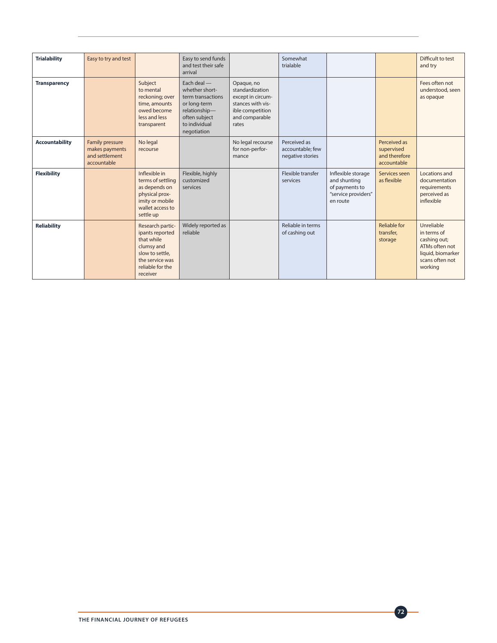| <b>Trialability</b>   | Easy to try and test                                                      |                                                                                                                                       | Easy to send funds<br>and test their safe<br>arrival                                                                                 |                                                                                                                        | Somewhat<br>trialable                                |                                                                                         |                                                            | Difficult to test<br>and try                                                                                   |
|-----------------------|---------------------------------------------------------------------------|---------------------------------------------------------------------------------------------------------------------------------------|--------------------------------------------------------------------------------------------------------------------------------------|------------------------------------------------------------------------------------------------------------------------|------------------------------------------------------|-----------------------------------------------------------------------------------------|------------------------------------------------------------|----------------------------------------------------------------------------------------------------------------|
| <b>Transparency</b>   |                                                                           | Subject<br>to mental<br>reckoning; over<br>time, amounts<br>owed become<br>less and less<br>transparent                               | Each deal -<br>whether short-<br>term transactions<br>or long-term<br>relationship-<br>often subject<br>to individual<br>negotiation | Opaque, no<br>standardization<br>except in circum-<br>stances with vis-<br>ible competition<br>and comparable<br>rates |                                                      |                                                                                         |                                                            | Fees often not<br>understood, seen<br>as opaque                                                                |
| <b>Accountability</b> | <b>Family pressure</b><br>makes payments<br>and settlement<br>accountable | No legal<br>recourse                                                                                                                  |                                                                                                                                      | No legal recourse<br>for non-perfor-<br>mance                                                                          | Perceived as<br>accountable; few<br>negative stories |                                                                                         | Perceived as<br>supervised<br>and therefore<br>accountable |                                                                                                                |
| <b>Flexibility</b>    |                                                                           | Inflexible in<br>terms of settling<br>as depends on<br>physical prox-<br>imity or mobile<br>wallet access to<br>settle up             | Flexible, highly<br>customized<br>services                                                                                           |                                                                                                                        | Flexible transfer<br>services                        | Inflexible storage<br>and shunting<br>of payments to<br>"service providers"<br>en route | Services seen<br>as flexible                               | Locations and<br>documentation<br>requirements<br>perceived as<br>inflexible                                   |
| <b>Reliability</b>    |                                                                           | Research partic-<br>ipants reported<br>that while<br>clumsy and<br>slow to settle.<br>the service was<br>reliable for the<br>receiver | Widely reported as<br>reliable                                                                                                       |                                                                                                                        | Reliable in terms<br>of cashing out                  |                                                                                         | Reliable for<br>transfer.<br>storage                       | Unreliable<br>in terms of<br>cashing out;<br>ATMs often not<br>liquid, biomarker<br>scans often not<br>working |

**72**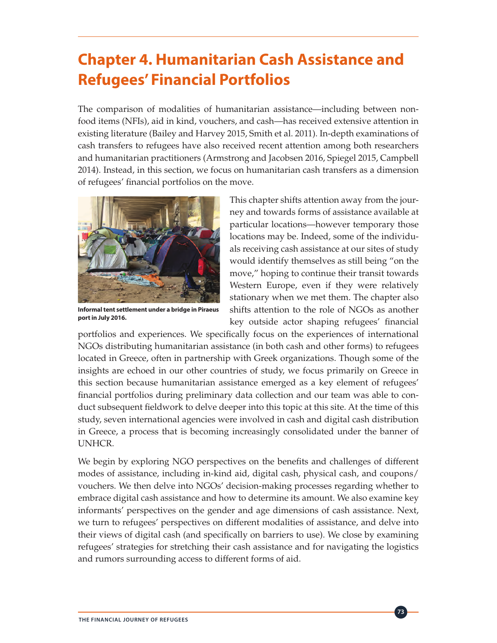# **Chapter 4. Humanitarian Cash Assistance and Refugees' Financial Portfolios**

The comparison of modalities of humanitarian assistance—including between nonfood items (NFIs), aid in kind, vouchers, and cash—has received extensive attention in existing literature (Bailey and Harvey 2015, Smith et al. 2011). In-depth examinations of cash transfers to refugees have also received recent attention among both researchers and humanitarian practitioners (Armstrong and Jacobsen 2016, Spiegel 2015, Campbell 2014). Instead, in this section, we focus on humanitarian cash transfers as a dimension of refugees' financial portfolios on the move.



**Informal tent settlement under a bridge in Piraeus port in July 2016.**

This chapter shifts attention away from the journey and towards forms of assistance available at particular locations—however temporary those locations may be. Indeed, some of the individuals receiving cash assistance at our sites of study would identify themselves as still being "on the move," hoping to continue their transit towards Western Europe, even if they were relatively stationary when we met them. The chapter also shifts attention to the role of NGOs as another key outside actor shaping refugees' financial

**73**

portfolios and experiences. We specifically focus on the experiences of international NGOs distributing humanitarian assistance (in both cash and other forms) to refugees located in Greece, often in partnership with Greek organizations. Though some of the insights are echoed in our other countries of study, we focus primarily on Greece in this section because humanitarian assistance emerged as a key element of refugees' financial portfolios during preliminary data collection and our team was able to conduct subsequent fieldwork to delve deeper into this topic at this site. At the time of this study, seven international agencies were involved in cash and digital cash distribution in Greece, a process that is becoming increasingly consolidated under the banner of UNHCR.

We begin by exploring NGO perspectives on the benefits and challenges of different modes of assistance, including in-kind aid, digital cash, physical cash, and coupons/ vouchers. We then delve into NGOs' decision-making processes regarding whether to embrace digital cash assistance and how to determine its amount. We also examine key informants' perspectives on the gender and age dimensions of cash assistance. Next, we turn to refugees' perspectives on different modalities of assistance, and delve into their views of digital cash (and specifically on barriers to use). We close by examining refugees' strategies for stretching their cash assistance and for navigating the logistics and rumors surrounding access to different forms of aid.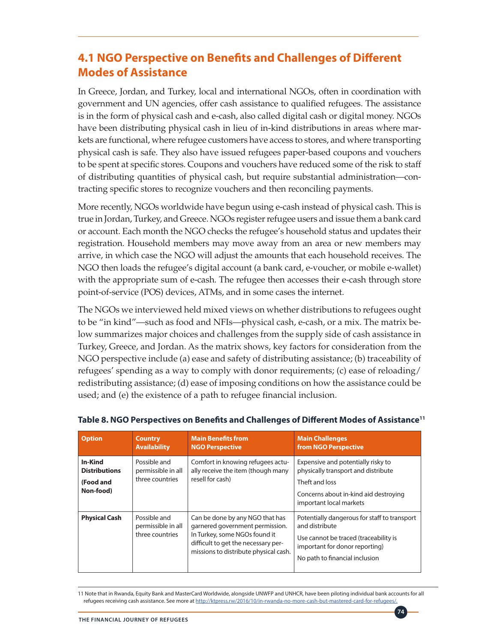### **4.1 NGO Perspective on Benefits and Challenges of Different Modes of Assistance**

In Greece, Jordan, and Turkey, local and international NGOs, often in coordination with government and UN agencies, offer cash assistance to qualified refugees. The assistance is in the form of physical cash and e-cash, also called digital cash or digital money. NGOs have been distributing physical cash in lieu of in-kind distributions in areas where markets are functional, where refugee customers have access to stores, and where transporting physical cash is safe. They also have issued refugees paper-based coupons and vouchers to be spent at specific stores. Coupons and vouchers have reduced some of the risk to staff of distributing quantities of physical cash, but require substantial administration—contracting specific stores to recognize vouchers and then reconciling payments.

More recently, NGOs worldwide have begun using e-cash instead of physical cash. This is true in Jordan, Turkey, and Greece. NGOs register refugee users and issue them a bank card or account. Each month the NGO checks the refugee's household status and updates their registration. Household members may move away from an area or new members may arrive, in which case the NGO will adjust the amounts that each household receives. The NGO then loads the refugee's digital account (a bank card, e-voucher, or mobile e-wallet) with the appropriate sum of e-cash. The refugee then accesses their e-cash through store point-of-service (POS) devices, ATMs, and in some cases the internet.

The NGOs we interviewed held mixed views on whether distributions to refugees ought to be "in kind"—such as food and NFIs—physical cash, e-cash, or a mix. The matrix below summarizes major choices and challenges from the supply side of cash assistance in Turkey, Greece, and Jordan. As the matrix shows, key factors for consideration from the NGO perspective include (a) ease and safety of distributing assistance; (b) traceability of refugees' spending as a way to comply with donor requirements; (c) ease of reloading/ redistributing assistance; (d) ease of imposing conditions on how the assistance could be used; and (e) the existence of a path to refugee financial inclusion.

| <b>Option</b>                                             | <b>Country</b><br><b>Availability</b>                 | <b>Main Benefits from</b><br><b>NGO Perspective</b>                                                                                                                                 | <b>Main Challenges</b><br>from NGO Perspective                                                                                                                              |
|-----------------------------------------------------------|-------------------------------------------------------|-------------------------------------------------------------------------------------------------------------------------------------------------------------------------------------|-----------------------------------------------------------------------------------------------------------------------------------------------------------------------------|
| In-Kind<br><b>Distributions</b><br>(Food and<br>Non-food) | Possible and<br>permissible in all<br>three countries | Comfort in knowing refugees actu-<br>ally receive the item (though many<br>resell for cash)                                                                                         | Expensive and potentially risky to<br>physically transport and distribute<br>Theft and loss<br>Concerns about in-kind aid destroying<br>important local markets             |
| <b>Physical Cash</b>                                      | Possible and<br>permissible in all<br>three countries | Can be done by any NGO that has<br>garnered government permission.<br>In Turkey, some NGOs found it<br>difficult to get the necessary per-<br>missions to distribute physical cash. | Potentially dangerous for staff to transport<br>and distribute<br>Use cannot be traced (traceability is<br>important for donor reporting)<br>No path to financial inclusion |

### **Table 8. NGO Perspectives on Benefits and Challenges of Different Modes of Assistance11**

11 Note that in Rwanda, Equity Bank and MasterCard Worldwide, alongside UNWFP and UNHCR, have been piloting individual bank accounts for all refugees receiving cash assistance. See more at [http://ktpress.rw/2016/10/in-rwanda-no-more-cash-but-mastered-card-for-refugees/.](http://ktpress.rw/2016/10/in-rwanda-no-more-cash-but-mastered-card-for-refugees/)

**74**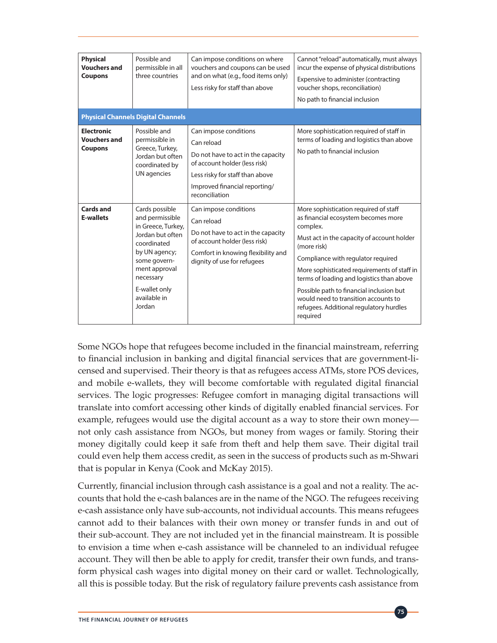| <b>Physical</b><br><b>Vouchers and</b><br><b>Coupons</b>   | Possible and<br>permissible in all<br>three countries                                                                                                                                                | Can impose conditions on where<br>vouchers and coupons can be used<br>and on what (e.g., food items only)<br>Less risky for staff than above                                                     | Cannot "reload" automatically, must always<br>incur the expense of physical distributions<br>Expensive to administer (contracting<br>voucher shops, reconciliation)<br>No path to financial inclusion                                                                                                                                                                                                                              |
|------------------------------------------------------------|------------------------------------------------------------------------------------------------------------------------------------------------------------------------------------------------------|--------------------------------------------------------------------------------------------------------------------------------------------------------------------------------------------------|------------------------------------------------------------------------------------------------------------------------------------------------------------------------------------------------------------------------------------------------------------------------------------------------------------------------------------------------------------------------------------------------------------------------------------|
|                                                            | <b>Physical Channels Digital Channels</b>                                                                                                                                                            |                                                                                                                                                                                                  |                                                                                                                                                                                                                                                                                                                                                                                                                                    |
| <b>Electronic</b><br><b>Vouchers and</b><br><b>Coupons</b> | Possible and<br>permissible in<br>Greece, Turkey,<br>Jordan but often<br>coordinated by<br><b>UN</b> agencies                                                                                        | Can impose conditions<br>Can reload<br>Do not have to act in the capacity<br>of account holder (less risk)<br>Less risky for staff than above<br>Improved financial reporting/<br>reconciliation | More sophistication required of staff in<br>terms of loading and logistics than above<br>No path to financial inclusion                                                                                                                                                                                                                                                                                                            |
| <b>Cards and</b><br><b>E-wallets</b>                       | Cards possible<br>and permissible<br>in Greece, Turkey,<br>Jordan but often<br>coordinated<br>by UN agency;<br>some govern-<br>ment approval<br>necessary<br>E-wallet only<br>available in<br>Jordan | Can impose conditions<br>Can reload<br>Do not have to act in the capacity<br>of account holder (less risk)<br>Comfort in knowing flexibility and<br>dignity of use for refugees                  | More sophistication required of staff<br>as financial ecosystem becomes more<br>complex.<br>Must act in the capacity of account holder<br>(more risk)<br>Compliance with regulator required<br>More sophisticated requirements of staff in<br>terms of loading and logistics than above<br>Possible path to financial inclusion but<br>would need to transition accounts to<br>refugees. Additional regulatory hurdles<br>required |

Some NGOs hope that refugees become included in the financial mainstream, referring to financial inclusion in banking and digital financial services that are government-licensed and supervised. Their theory is that as refugees access ATMs, store POS devices, and mobile e-wallets, they will become comfortable with regulated digital financial services. The logic progresses: Refugee comfort in managing digital transactions will translate into comfort accessing other kinds of digitally enabled financial services. For example, refugees would use the digital account as a way to store their own money not only cash assistance from NGOs, but money from wages or family. Storing their money digitally could keep it safe from theft and help them save. Their digital trail could even help them access credit, as seen in the success of products such as m-Shwari that is popular in Kenya (Cook and McKay 2015).

Currently, financial inclusion through cash assistance is a goal and not a reality. The accounts that hold the e-cash balances are in the name of the NGO. The refugees receiving e-cash assistance only have sub-accounts, not individual accounts. This means refugees cannot add to their balances with their own money or transfer funds in and out of their sub-account. They are not included yet in the financial mainstream. It is possible to envision a time when e-cash assistance will be channeled to an individual refugee account. They will then be able to apply for credit, transfer their own funds, and transform physical cash wages into digital money on their card or wallet. Technologically, all this is possible today. But the risk of regulatory failure prevents cash assistance from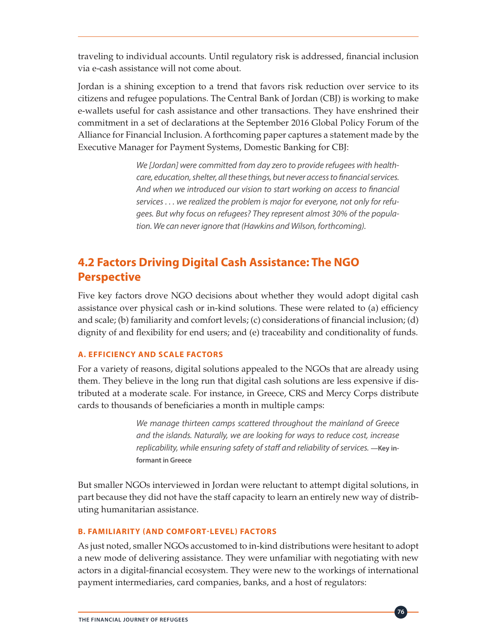traveling to individual accounts. Until regulatory risk is addressed, financial inclusion via e-cash assistance will not come about.

Jordan is a shining exception to a trend that favors risk reduction over service to its citizens and refugee populations. The Central Bank of Jordan (CBJ) is working to make e-wallets useful for cash assistance and other transactions. They have enshrined their commitment in a set of declarations at the September 2016 Global Policy Forum of the Alliance for Financial Inclusion. A forthcoming paper captures a statement made by the Executive Manager for Payment Systems, Domestic Banking for CBJ:

> *We [Jordan] were committed from day zero to provide refugees with healthcare, education, shelter, all these things, but never access to financial services. And when we introduced our vision to start working on access to financial services . . . we realized the problem is major for everyone, not only for refugees. But why focus on refugees? They represent almost 30% of the population. We can never ignore that (Hawkins and Wilson, forthcoming).*

## **4.2 Factors Driving Digital Cash Assistance: The NGO Perspective**

Five key factors drove NGO decisions about whether they would adopt digital cash assistance over physical cash or in-kind solutions. These were related to (a) efficiency and scale; (b) familiarity and comfort levels; (c) considerations of financial inclusion; (d) dignity of and flexibility for end users; and (e) traceability and conditionality of funds.

### **A. EFFICIENCY AND SCALE FACTORS**

For a variety of reasons, digital solutions appealed to the NGOs that are already using them. They believe in the long run that digital cash solutions are less expensive if distributed at a moderate scale. For instance, in Greece, CRS and Mercy Corps distribute cards to thousands of beneficiaries a month in multiple camps:

> *We manage thirteen camps scattered throughout the mainland of Greece and the islands. Naturally, we are looking for ways to reduce cost, increase*  replicability, while ensuring safety of staff and reliability of services. — Key in**formant in Greece**

But smaller NGOs interviewed in Jordan were reluctant to attempt digital solutions, in part because they did not have the staff capacity to learn an entirely new way of distributing humanitarian assistance.

### **B. FAMILIARITY (AND COMFORT-LEVEL) FACTORS**

As just noted, smaller NGOs accustomed to in-kind distributions were hesitant to adopt a new mode of delivering assistance. They were unfamiliar with negotiating with new actors in a digital-financial ecosystem. They were new to the workings of international payment intermediaries, card companies, banks, and a host of regulators: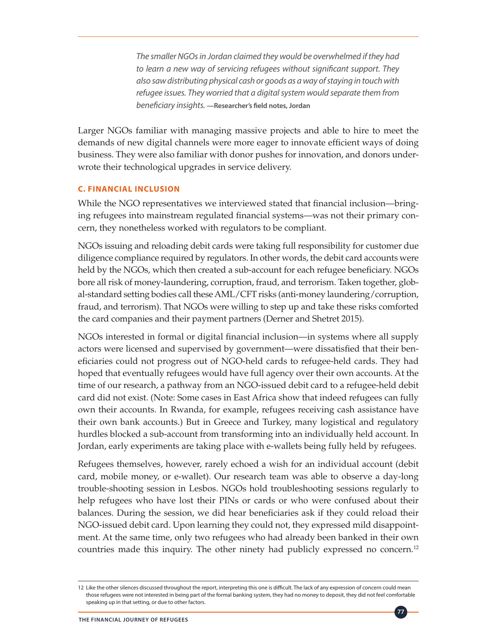*The smaller NGOs in Jordan claimed they would be overwhelmed if they had to learn a new way of servicing refugees without significant support. They also saw distributing physical cash or goods as a way of staying in touch with refugee issues. They worried that a digital system would separate them from beneficiary insights.* **—Researcher's field notes, Jordan** 

Larger NGOs familiar with managing massive projects and able to hire to meet the demands of new digital channels were more eager to innovate efficient ways of doing business. They were also familiar with donor pushes for innovation, and donors underwrote their technological upgrades in service delivery.

### **C. FINANCIAL INCLUSION**

While the NGO representatives we interviewed stated that financial inclusion—bringing refugees into mainstream regulated financial systems—was not their primary concern, they nonetheless worked with regulators to be compliant.

NGOs issuing and reloading debit cards were taking full responsibility for customer due diligence compliance required by regulators. In other words, the debit card accounts were held by the NGOs, which then created a sub-account for each refugee beneficiary. NGOs bore all risk of money-laundering, corruption, fraud, and terrorism. Taken together, global-standard setting bodies call these AML/CFT risks (anti-money laundering/corruption, fraud, and terrorism). That NGOs were willing to step up and take these risks comforted the card companies and their payment partners (Derner and Shetret 2015).

NGOs interested in formal or digital financial inclusion—in systems where all supply actors were licensed and supervised by government—were dissatisfied that their beneficiaries could not progress out of NGO-held cards to refugee-held cards. They had hoped that eventually refugees would have full agency over their own accounts. At the time of our research, a pathway from an NGO-issued debit card to a refugee-held debit card did not exist. (Note: Some cases in East Africa show that indeed refugees can fully own their accounts. In Rwanda, for example, refugees receiving cash assistance have their own bank accounts.) But in Greece and Turkey, many logistical and regulatory hurdles blocked a sub-account from transforming into an individually held account. In Jordan, early experiments are taking place with e-wallets being fully held by refugees.

Refugees themselves, however, rarely echoed a wish for an individual account (debit card, mobile money, or e-wallet). Our research team was able to observe a day-long trouble-shooting session in Lesbos. NGOs hold troubleshooting sessions regularly to help refugees who have lost their PINs or cards or who were confused about their balances. During the session, we did hear beneficiaries ask if they could reload their NGO-issued debit card. Upon learning they could not, they expressed mild disappointment. At the same time, only two refugees who had already been banked in their own countries made this inquiry. The other ninety had publicly expressed no concern.<sup>12</sup>

**77**

<sup>12</sup> Like the other silences discussed throughout the report, interpreting this one is difficult. The lack of any expression of concern could mean those refugees were not interested in being part of the formal banking system, they had no money to deposit, they did not feel comfortable speaking up in that setting, or due to other factors.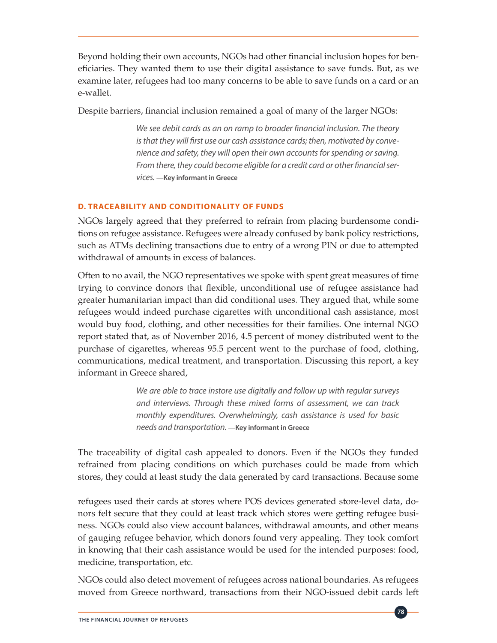Beyond holding their own accounts, NGOs had other financial inclusion hopes for beneficiaries. They wanted them to use their digital assistance to save funds. But, as we examine later, refugees had too many concerns to be able to save funds on a card or an e-wallet.

Despite barriers, financial inclusion remained a goal of many of the larger NGOs:

*We see debit cards as an on ramp to broader financial inclusion. The theory is that they will first use our cash assistance cards; then, motivated by convenience and safety, they will open their own accounts for spending or saving. From there, they could become eligible for a credit card or other financial services.* **—Key informant in Greece**

### **D. TRACEABILITY AND CONDITIONALITY OF FUNDS**

NGOs largely agreed that they preferred to refrain from placing burdensome conditions on refugee assistance. Refugees were already confused by bank policy restrictions, such as ATMs declining transactions due to entry of a wrong PIN or due to attempted withdrawal of amounts in excess of balances.

Often to no avail, the NGO representatives we spoke with spent great measures of time trying to convince donors that flexible, unconditional use of refugee assistance had greater humanitarian impact than did conditional uses. They argued that, while some refugees would indeed purchase cigarettes with unconditional cash assistance, most would buy food, clothing, and other necessities for their families. One internal NGO report stated that, as of November 2016, 4.5 percent of money distributed went to the purchase of cigarettes, whereas 95.5 percent went to the purchase of food, clothing, communications, medical treatment, and transportation. Discussing this report, a key informant in Greece shared,

> *We are able to trace instore use digitally and follow up with regular surveys and interviews. Through these mixed forms of assessment, we can track monthly expenditures. Overwhelmingly, cash assistance is used for basic needs and transportation.* **—Key informant in Greece**

The traceability of digital cash appealed to donors. Even if the NGOs they funded refrained from placing conditions on which purchases could be made from which stores, they could at least study the data generated by card transactions. Because some

refugees used their cards at stores where POS devices generated store-level data, donors felt secure that they could at least track which stores were getting refugee business. NGOs could also view account balances, withdrawal amounts, and other means of gauging refugee behavior, which donors found very appealing. They took comfort in knowing that their cash assistance would be used for the intended purposes: food, medicine, transportation, etc.

NGOs could also detect movement of refugees across national boundaries. As refugees moved from Greece northward, transactions from their NGO-issued debit cards left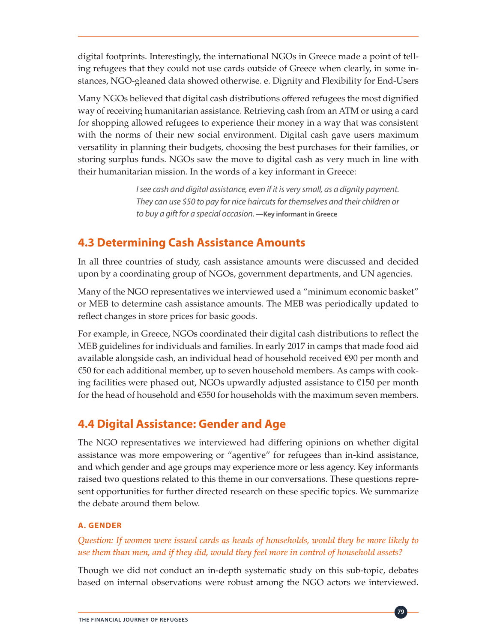digital footprints. Interestingly, the international NGOs in Greece made a point of telling refugees that they could not use cards outside of Greece when clearly, in some instances, NGO-gleaned data showed otherwise. e. Dignity and Flexibility for End-Users

Many NGOs believed that digital cash distributions offered refugees the most dignified way of receiving humanitarian assistance. Retrieving cash from an ATM or using a card for shopping allowed refugees to experience their money in a way that was consistent with the norms of their new social environment. Digital cash gave users maximum versatility in planning their budgets, choosing the best purchases for their families, or storing surplus funds. NGOs saw the move to digital cash as very much in line with their humanitarian mission. In the words of a key informant in Greece:

> *I see cash and digital assistance, even if it is very small, as a dignity payment. They can use \$50 to pay for nice haircuts for themselves and their children or to buy a gift for a special occasion.* **—Key informant in Greece**

### **4.3 Determining Cash Assistance Amounts**

In all three countries of study, cash assistance amounts were discussed and decided upon by a coordinating group of NGOs, government departments, and UN agencies.

Many of the NGO representatives we interviewed used a "minimum economic basket" or MEB to determine cash assistance amounts. The MEB was periodically updated to reflect changes in store prices for basic goods.

For example, in Greece, NGOs coordinated their digital cash distributions to reflect the MEB guidelines for individuals and families. In early 2017 in camps that made food aid available alongside cash, an individual head of household received €90 per month and €50 for each additional member, up to seven household members. As camps with cooking facilities were phased out, NGOs upwardly adjusted assistance to  $\epsilon$ 150 per month for the head of household and  $€550$  for households with the maximum seven members.

### **4.4 Digital Assistance: Gender and Age**

The NGO representatives we interviewed had differing opinions on whether digital assistance was more empowering or "agentive" for refugees than in-kind assistance, and which gender and age groups may experience more or less agency. Key informants raised two questions related to this theme in our conversations. These questions represent opportunities for further directed research on these specific topics. We summarize the debate around them below.

### **A. GENDER**

### *Question: If women were issued cards as heads of households, would they be more likely to use them than men, and if they did, would they feel more in control of household assets?*

Though we did not conduct an in-depth systematic study on this sub-topic, debates based on internal observations were robust among the NGO actors we interviewed.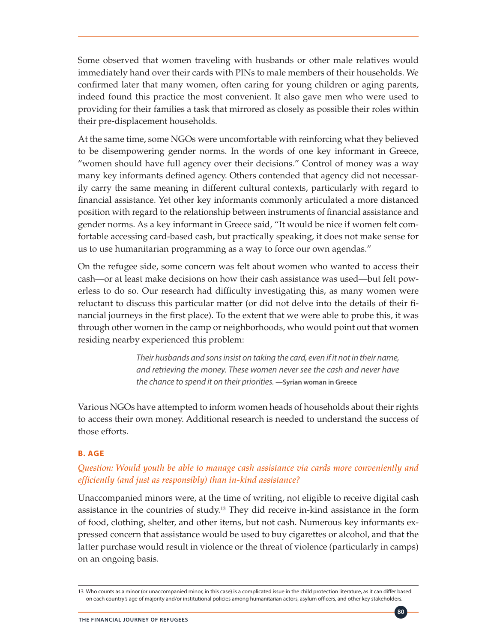Some observed that women traveling with husbands or other male relatives would immediately hand over their cards with PINs to male members of their households. We confirmed later that many women, often caring for young children or aging parents, indeed found this practice the most convenient. It also gave men who were used to providing for their families a task that mirrored as closely as possible their roles within their pre-displacement households.

At the same time, some NGOs were uncomfortable with reinforcing what they believed to be disempowering gender norms. In the words of one key informant in Greece, "women should have full agency over their decisions." Control of money was a way many key informants defined agency. Others contended that agency did not necessarily carry the same meaning in different cultural contexts, particularly with regard to financial assistance. Yet other key informants commonly articulated a more distanced position with regard to the relationship between instruments of financial assistance and gender norms. As a key informant in Greece said, "It would be nice if women felt comfortable accessing card-based cash, but practically speaking, it does not make sense for us to use humanitarian programming as a way to force our own agendas."

On the refugee side, some concern was felt about women who wanted to access their cash—or at least make decisions on how their cash assistance was used—but felt powerless to do so. Our research had difficulty investigating this, as many women were reluctant to discuss this particular matter (or did not delve into the details of their financial journeys in the first place). To the extent that we were able to probe this, it was through other women in the camp or neighborhoods, who would point out that women residing nearby experienced this problem:

> *Their husbands and sons insist on taking the card, even if it not in their name, and retrieving the money. These women never see the cash and never have the chance to spend it on their priorities.* **—Syrian woman in Greece**

Various NGOs have attempted to inform women heads of households about their rights to access their own money. Additional research is needed to understand the success of those efforts.

### **B. AGE**

### *Question: Would youth be able to manage cash assistance via cards more conveniently and efficiently (and just as responsibly) than in-kind assistance?*

Unaccompanied minors were, at the time of writing, not eligible to receive digital cash assistance in the countries of study.<sup>13</sup> They did receive in-kind assistance in the form of food, clothing, shelter, and other items, but not cash. Numerous key informants expressed concern that assistance would be used to buy cigarettes or alcohol, and that the latter purchase would result in violence or the threat of violence (particularly in camps) on an ongoing basis.

<sup>13</sup> Who counts as a minor (or unaccompanied minor, in this case) is a complicated issue in the child protection literature, as it can differ based on each country's age of majority and/or institutional policies among humanitarian actors, asylum officers, and other key stakeholders.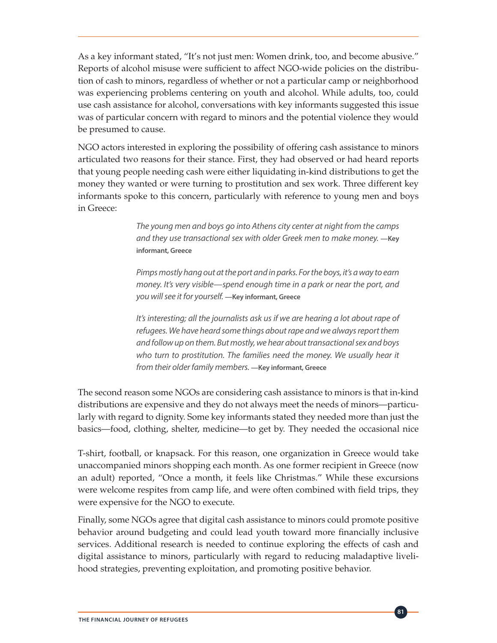As a key informant stated, "It's not just men: Women drink, too, and become abusive." Reports of alcohol misuse were sufficient to affect NGO-wide policies on the distribution of cash to minors, regardless of whether or not a particular camp or neighborhood was experiencing problems centering on youth and alcohol. While adults, too, could use cash assistance for alcohol, conversations with key informants suggested this issue was of particular concern with regard to minors and the potential violence they would be presumed to cause.

NGO actors interested in exploring the possibility of offering cash assistance to minors articulated two reasons for their stance. First, they had observed or had heard reports that young people needing cash were either liquidating in-kind distributions to get the money they wanted or were turning to prostitution and sex work. Three different key informants spoke to this concern, particularly with reference to young men and boys in Greece:

> *The young men and boys go into Athens city center at night from the camps and they use transactional sex with older Greek men to make money.* **—Key informant, Greece**

> *Pimps mostly hang out at the port and in parks. For the boys, it's a way to earn money. It's very visible—spend enough time in a park or near the port, and you will see it for yourself.* **—Key informant, Greece**

> *It's interesting; all the journalists ask us if we are hearing a lot about rape of refugees. We have heard some things about rape and we always report them and follow up on them. But mostly, we hear about transactional sex and boys who turn to prostitution. The families need the money. We usually hear it from their older family members.* **—Key informant, Greece**

The second reason some NGOs are considering cash assistance to minors is that in-kind distributions are expensive and they do not always meet the needs of minors—particularly with regard to dignity. Some key informants stated they needed more than just the basics—food, clothing, shelter, medicine—to get by. They needed the occasional nice

T-shirt, football, or knapsack. For this reason, one organization in Greece would take unaccompanied minors shopping each month. As one former recipient in Greece (now an adult) reported, "Once a month, it feels like Christmas." While these excursions were welcome respites from camp life, and were often combined with field trips, they were expensive for the NGO to execute.

Finally, some NGOs agree that digital cash assistance to minors could promote positive behavior around budgeting and could lead youth toward more financially inclusive services. Additional research is needed to continue exploring the effects of cash and digital assistance to minors, particularly with regard to reducing maladaptive livelihood strategies, preventing exploitation, and promoting positive behavior.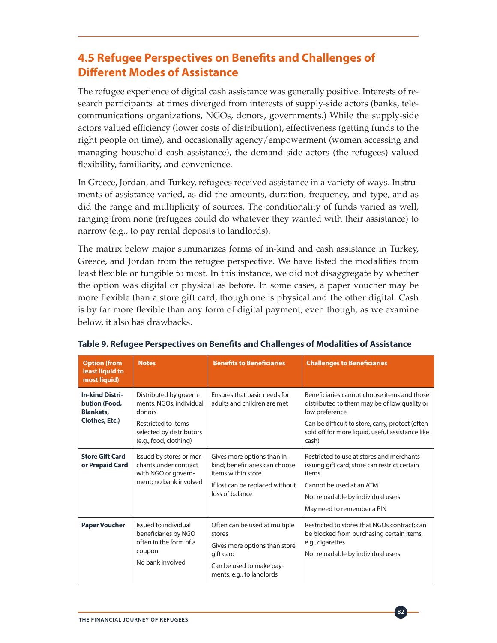### **4.5 Refugee Perspectives on Benefits and Challenges of Different Modes of Assistance**

The refugee experience of digital cash assistance was generally positive. Interests of research participants at times diverged from interests of supply-side actors (banks, telecommunications organizations, NGOs, donors, governments.) While the supply-side actors valued efficiency (lower costs of distribution), effectiveness (getting funds to the right people on time), and occasionally agency/empowerment (women accessing and managing household cash assistance), the demand-side actors (the refugees) valued flexibility, familiarity, and convenience.

In Greece, Jordan, and Turkey, refugees received assistance in a variety of ways. Instruments of assistance varied, as did the amounts, duration, frequency, and type, and as did the range and multiplicity of sources. The conditionality of funds varied as well, ranging from none (refugees could do whatever they wanted with their assistance) to narrow (e.g., to pay rental deposits to landlords).

The matrix below major summarizes forms of in-kind and cash assistance in Turkey, Greece, and Jordan from the refugee perspective. We have listed the modalities from least flexible or fungible to most. In this instance, we did not disaggregate by whether the option was digital or physical as before. In some cases, a paper voucher may be more flexible than a store gift card, though one is physical and the other digital. Cash is by far more flexible than any form of digital payment, even though, as we examine below, it also has drawbacks.

| <b>Option (from</b><br>least liquid to<br>most liquid)                        | <b>Notes</b>                                                                                                                             | <b>Benefits to Beneficiaries</b>                                                                                                               | <b>Challenges to Beneficiaries</b>                                                                                                                                                                                             |
|-------------------------------------------------------------------------------|------------------------------------------------------------------------------------------------------------------------------------------|------------------------------------------------------------------------------------------------------------------------------------------------|--------------------------------------------------------------------------------------------------------------------------------------------------------------------------------------------------------------------------------|
| <b>In-kind Distri-</b><br>bution (Food,<br><b>Blankets,</b><br>Clothes, Etc.) | Distributed by govern-<br>ments, NGOs, individual<br>donors<br>Restricted to items<br>selected by distributors<br>(e.g., food, clothing) | Ensures that basic needs for<br>adults and children are met                                                                                    | Beneficiaries cannot choose items and those<br>distributed to them may be of low quality or<br>low preference<br>Can be difficult to store, carry, protect (often<br>sold off for more liquid, useful assistance like<br>cash) |
| <b>Store Gift Card</b><br>or Prepaid Card                                     | Issued by stores or mer-<br>chants under contract<br>with NGO or govern-<br>ment: no bank involved                                       | Gives more options than in-<br>kind: beneficiaries can choose<br>items within store<br>If lost can be replaced without<br>loss of balance      | Restricted to use at stores and merchants<br>issuing gift card; store can restrict certain<br>items<br>Cannot be used at an ATM<br>Not reloadable by individual users<br>May need to remember a PIN                            |
| <b>Paper Voucher</b>                                                          | Issued to individual<br>beneficiaries by NGO<br>often in the form of a<br>coupon<br>No bank involved                                     | Often can be used at multiple<br>stores<br>Gives more options than store<br>gift card<br>Can be used to make pay-<br>ments, e.g., to landlords | Restricted to stores that NGOs contract: can<br>be blocked from purchasing certain items,<br>e.g., cigarettes<br>Not reloadable by individual users                                                                            |

### **Table 9. Refugee Perspectives on Benefits and Challenges of Modalities of Assistance**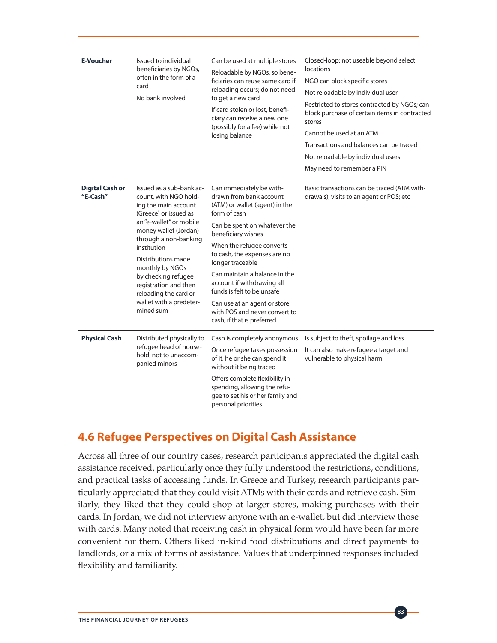| <b>E-Voucher</b>                   | Issued to individual<br>beneficiaries by NGOs,<br>often in the form of a<br>card<br>No bank involved                                                                                                                                                                                                                                                     | Can be used at multiple stores<br>Reloadable by NGOs, so bene-<br>ficiaries can reuse same card if<br>reloading occurs; do not need<br>to get a new card<br>If card stolen or lost, benefi-<br>ciary can receive a new one<br>(possibly for a fee) while not<br>losing balance                                                                                                                                                           | Closed-loop; not useable beyond select<br>locations<br>NGO can block specific stores<br>Not reloadable by individual user<br>Restricted to stores contracted by NGOs; can<br>block purchase of certain items in contracted<br>stores<br>Cannot be used at an ATM<br>Transactions and balances can be traced<br>Not reloadable by individual users<br>May need to remember a PIN |
|------------------------------------|----------------------------------------------------------------------------------------------------------------------------------------------------------------------------------------------------------------------------------------------------------------------------------------------------------------------------------------------------------|------------------------------------------------------------------------------------------------------------------------------------------------------------------------------------------------------------------------------------------------------------------------------------------------------------------------------------------------------------------------------------------------------------------------------------------|---------------------------------------------------------------------------------------------------------------------------------------------------------------------------------------------------------------------------------------------------------------------------------------------------------------------------------------------------------------------------------|
| <b>Digital Cash or</b><br>"E-Cash" | Issued as a sub-bank ac-<br>count, with NGO hold-<br>ing the main account<br>(Greece) or issued as<br>an "e-wallet" or mobile<br>money wallet (Jordan)<br>through a non-banking<br>institution<br>Distributions made<br>monthly by NGOs<br>by checking refugee<br>registration and then<br>reloading the card or<br>wallet with a predeter-<br>mined sum | Can immediately be with-<br>drawn from bank account<br>(ATM) or wallet (agent) in the<br>form of cash<br>Can be spent on whatever the<br>beneficiary wishes<br>When the refugee converts<br>to cash, the expenses are no<br>longer traceable<br>Can maintain a balance in the<br>account if withdrawing all<br>funds is felt to be unsafe<br>Can use at an agent or store<br>with POS and never convert to<br>cash, if that is preferred | Basic transactions can be traced (ATM with-<br>drawals), visits to an agent or POS; etc                                                                                                                                                                                                                                                                                         |
| <b>Physical Cash</b>               | Distributed physically to<br>refugee head of house-<br>hold, not to unaccom-<br>panied minors                                                                                                                                                                                                                                                            | Cash is completely anonymous<br>Once refugee takes possession<br>of it, he or she can spend it<br>without it being traced<br>Offers complete flexibility in<br>spending, allowing the refu-<br>gee to set his or her family and<br>personal priorities                                                                                                                                                                                   | Is subject to theft, spoilage and loss<br>It can also make refugee a target and<br>vulnerable to physical harm                                                                                                                                                                                                                                                                  |

### **4.6 Refugee Perspectives on Digital Cash Assistance**

Across all three of our country cases, research participants appreciated the digital cash assistance received, particularly once they fully understood the restrictions, conditions, and practical tasks of accessing funds. In Greece and Turkey, research participants particularly appreciated that they could visit ATMs with their cards and retrieve cash. Similarly, they liked that they could shop at larger stores, making purchases with their cards. In Jordan, we did not interview anyone with an e-wallet, but did interview those with cards. Many noted that receiving cash in physical form would have been far more convenient for them. Others liked in-kind food distributions and direct payments to landlords, or a mix of forms of assistance. Values that underpinned responses included flexibility and familiarity.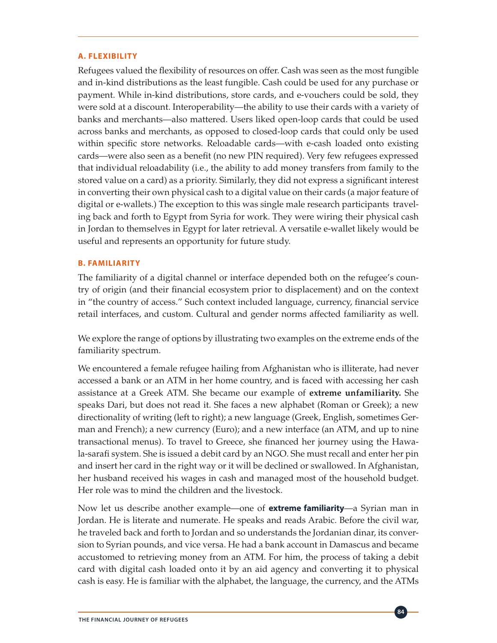#### **A. FLEXIBILITY**

Refugees valued the flexibility of resources on offer. Cash was seen as the most fungible and in-kind distributions as the least fungible. Cash could be used for any purchase or payment. While in-kind distributions, store cards, and e-vouchers could be sold, they were sold at a discount. Interoperability—the ability to use their cards with a variety of banks and merchants—also mattered. Users liked open-loop cards that could be used across banks and merchants, as opposed to closed-loop cards that could only be used within specific store networks. Reloadable cards—with e-cash loaded onto existing cards—were also seen as a benefit (no new PIN required). Very few refugees expressed that individual reloadability (i.e., the ability to add money transfers from family to the stored value on a card) as a priority. Similarly, they did not express a significant interest in converting their own physical cash to a digital value on their cards (a major feature of digital or e-wallets.) The exception to this was single male research participants traveling back and forth to Egypt from Syria for work. They were wiring their physical cash in Jordan to themselves in Egypt for later retrieval. A versatile e-wallet likely would be useful and represents an opportunity for future study.

#### **B. FAMILIARITY**

The familiarity of a digital channel or interface depended both on the refugee's country of origin (and their financial ecosystem prior to displacement) and on the context in "the country of access." Such context included language, currency, financial service retail interfaces, and custom. Cultural and gender norms affected familiarity as well.

We explore the range of options by illustrating two examples on the extreme ends of the familiarity spectrum.

We encountered a female refugee hailing from Afghanistan who is illiterate, had never accessed a bank or an ATM in her home country, and is faced with accessing her cash assistance at a Greek ATM. She became our example of **extreme unfamiliarity.** She speaks Dari, but does not read it. She faces a new alphabet (Roman or Greek); a new directionality of writing (left to right); a new language (Greek, English, sometimes German and French); a new currency (Euro); and a new interface (an ATM, and up to nine transactional menus). To travel to Greece, she financed her journey using the Hawala-sarafi system. She is issued a debit card by an NGO. She must recall and enter her pin and insert her card in the right way or it will be declined or swallowed. In Afghanistan, her husband received his wages in cash and managed most of the household budget. Her role was to mind the children and the livestock.

Now let us describe another example—one of **extreme familiarity**—a Syrian man in Jordan. He is literate and numerate. He speaks and reads Arabic. Before the civil war, he traveled back and forth to Jordan and so understands the Jordanian dinar, its conversion to Syrian pounds, and vice versa. He had a bank account in Damascus and became accustomed to retrieving money from an ATM. For him, the process of taking a debit card with digital cash loaded onto it by an aid agency and converting it to physical cash is easy. He is familiar with the alphabet, the language, the currency, and the ATMs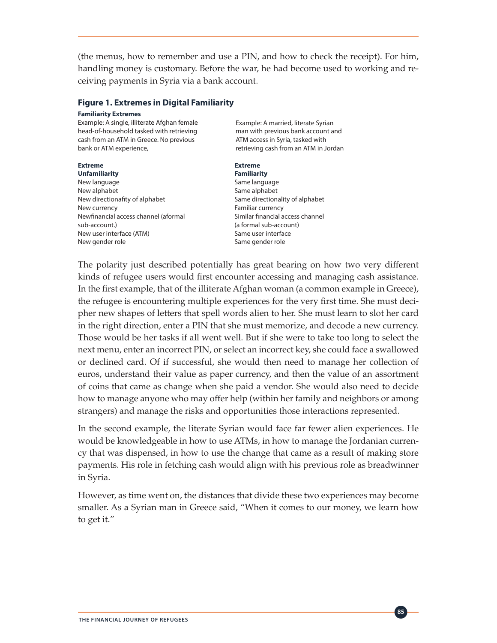(the menus, how to remember and use a PIN, and how to check the receipt). For him, handling money is customary. Before the war, he had become used to working and receiving payments in Syria via a bank account.

#### **Figure 1. Extremes in Digital Familiarity**

#### **Familiarity Extremes**

Example: A single, illiterate Afghan female head-of-household tasked with retrieving cash from an ATM in Greece. No previous bank or ATM experience,

#### **Extreme Extreme**

**Unfamiliarity Familiarity** New language extensive states and some language Same language New alphabet Same alphabet New directionafity of alphabet Same directionality of alphabet New currency **Familiar currency** Newfinancial access channel (aformal Similar financial access channel sub-account.) (a formal sub-account) New user interface (ATM) New user interface New gender role Same gender role

Example: A married, literate Syrian man with previous bank account and ATM access in Syria, tasked with retrieving cash from an ATM in Jordan

The polarity just described potentially has great bearing on how two very different kinds of refugee users would first encounter accessing and managing cash assistance. In the first example, that of the illiterate Afghan woman (a common example in Greece), the refugee is encountering multiple experiences for the very first time. She must decipher new shapes of letters that spell words alien to her. She must learn to slot her card in the right direction, enter a PIN that she must memorize, and decode a new currency. Those would be her tasks if all went well. But if she were to take too long to select the next menu, enter an incorrect PIN, or select an incorrect key, she could face a swallowed or declined card. Of if successful, she would then need to manage her collection of euros, understand their value as paper currency, and then the value of an assortment of coins that came as change when she paid a vendor. She would also need to decide how to manage anyone who may offer help (within her family and neighbors or among strangers) and manage the risks and opportunities those interactions represented.

In the second example, the literate Syrian would face far fewer alien experiences. He would be knowledgeable in how to use ATMs, in how to manage the Jordanian currency that was dispensed, in how to use the change that came as a result of making store payments. His role in fetching cash would align with his previous role as breadwinner in Syria.

However, as time went on, the distances that divide these two experiences may become smaller. As a Syrian man in Greece said, "When it comes to our money, we learn how to get it."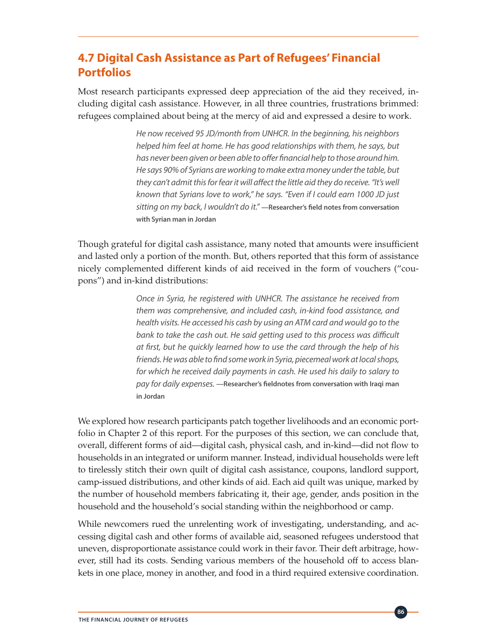## **4.7 Digital Cash Assistance as Part of Refugees' Financial Portfolios**

Most research participants expressed deep appreciation of the aid they received, including digital cash assistance. However, in all three countries, frustrations brimmed: refugees complained about being at the mercy of aid and expressed a desire to work.

> *He now received 95 JD/month from UNHCR. In the beginning, his neighbors helped him feel at home. He has good relationships with them, he says, but has never been given or been able to offer financial help to those around him. He says 90% of Syrians are working to make extra money under the table, but they can't admit this for fear it will affect the little aid they do receive. "It's well known that Syrians love to work," he says. "Even if I could earn 1000 JD just sitting on my back, I wouldn't do it."* **—Researcher's field notes from conversation with Syrian man in Jordan**

Though grateful for digital cash assistance, many noted that amounts were insufficient and lasted only a portion of the month. But, others reported that this form of assistance nicely complemented different kinds of aid received in the form of vouchers ("coupons") and in-kind distributions:

> *Once in Syria, he registered with UNHCR. The assistance he received from them was comprehensive, and included cash, in-kind food assistance, and health visits. He accessed his cash by using an ATM card and would go to the*  bank to take the cash out. He said getting used to this process was difficult *at first, but he quickly learned how to use the card through the help of his friends. He was able to find some work in Syria, piecemeal work at local shops, for which he received daily payments in cash. He used his daily to salary to pay for daily expenses.* **—Researcher's fieldnotes from conversation with Iraqi man in Jordan**

We explored how research participants patch together livelihoods and an economic portfolio in Chapter 2 of this report. For the purposes of this section, we can conclude that, overall, different forms of aid—digital cash, physical cash, and in-kind—did not flow to households in an integrated or uniform manner. Instead, individual households were left to tirelessly stitch their own quilt of digital cash assistance, coupons, landlord support, camp-issued distributions, and other kinds of aid. Each aid quilt was unique, marked by the number of household members fabricating it, their age, gender, ands position in the household and the household's social standing within the neighborhood or camp.

While newcomers rued the unrelenting work of investigating, understanding, and accessing digital cash and other forms of available aid, seasoned refugees understood that uneven, disproportionate assistance could work in their favor. Their deft arbitrage, however, still had its costs. Sending various members of the household off to access blankets in one place, money in another, and food in a third required extensive coordination.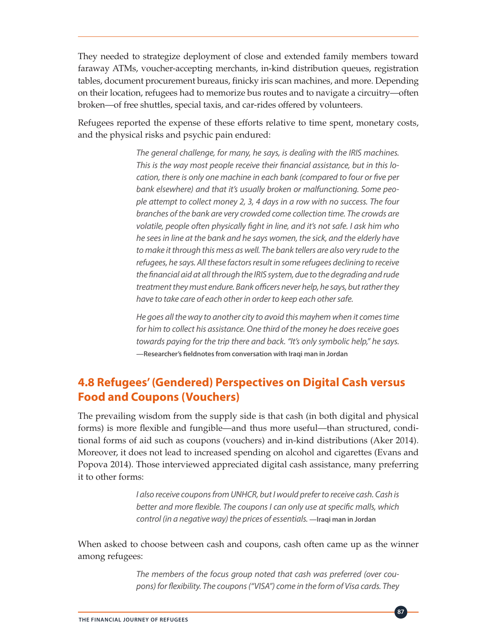They needed to strategize deployment of close and extended family members toward faraway ATMs, voucher-accepting merchants, in-kind distribution queues, registration tables, document procurement bureaus, finicky iris scan machines, and more. Depending on their location, refugees had to memorize bus routes and to navigate a circuitry—often broken—of free shuttles, special taxis, and car-rides offered by volunteers.

Refugees reported the expense of these efforts relative to time spent, monetary costs, and the physical risks and psychic pain endured:

> *The general challenge, for many, he says, is dealing with the IRIS machines. This is the way most people receive their financial assistance, but in this location, there is only one machine in each bank (compared to four or five per bank elsewhere) and that it's usually broken or malfunctioning. Some people attempt to collect money 2, 3, 4 days in a row with no success. The four branches of the bank are very crowded come collection time. The crowds are volatile, people often physically fight in line, and it's not safe. I ask him who he sees in line at the bank and he says women, the sick, and the elderly have to make it through this mess as well. The bank tellers are also very rude to the refugees, he says. All these factors result in some refugees declining to receive the financial aid at all through the IRIS system, due to the degrading and rude treatment they must endure. Bank officers never help, he says, but rather they have to take care of each other in order to keep each other safe.*

> *He goes all the way to another city to avoid this mayhem when it comes time for him to collect his assistance. One third of the money he does receive goes towards paying for the trip there and back. "It's only symbolic help," he says.*  **—Researcher's fieldnotes from conversation with Iraqi man in Jordan**

### **4.8 Refugees' (Gendered) Perspectives on Digital Cash versus Food and Coupons (Vouchers)**

The prevailing wisdom from the supply side is that cash (in both digital and physical forms) is more flexible and fungible—and thus more useful—than structured, conditional forms of aid such as coupons (vouchers) and in-kind distributions (Aker 2014). Moreover, it does not lead to increased spending on alcohol and cigarettes (Evans and Popova 2014). Those interviewed appreciated digital cash assistance, many preferring it to other forms:

> *I also receive coupons from UNHCR, but I would prefer to receive cash. Cash is better and more flexible. The coupons I can only use at specific malls, which control (in a negative way) the prices of essentials.* **—Iraqi man in Jordan**

When asked to choose between cash and coupons, cash often came up as the winner among refugees:

> *The members of the focus group noted that cash was preferred (over coupons) for flexibility. The coupons ("VISA") come in the form of Visa cards. They*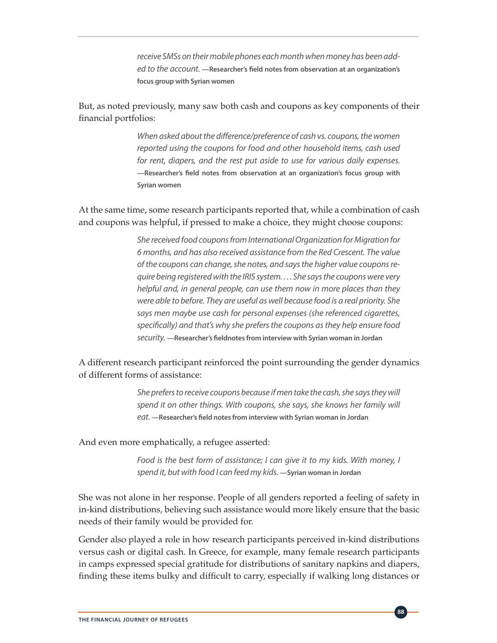*receive SMSs on their mobile phones each month when money has been added to the account.* **—Researcher's field notes from observation at an organization's focus group with Syrian women**

But, as noted previously, many saw both cash and coupons as key components of their financial portfolios:

> *When asked about the difference/preference of cash vs. coupons, the women reported using the coupons for food and other household items, cash used for rent, diapers, and the rest put aside to use for various daily expenses.*  **—Researcher's field notes from observation at an organization's focus group with Syrian women**

At the same time, some research participants reported that, while a combination of cash and coupons was helpful, if pressed to make a choice, they might choose coupons:

> *She received food coupons from International Organization for Migration for 6 months, and has also received assistance from the Red Crescent. The value of the coupons can change, she notes, and says the higher value coupons require being registered with the IRIS system. . . . She says the coupons were very helpful and, in general people, can use them now in more places than they were able to before. They are useful as well because food is a real priority. She says men maybe use cash for personal expenses (she referenced cigarettes, specifically) and that's why she prefers the coupons as they help ensure food security.* **—Researcher's fieldnotes from interview with Syrian woman in Jordan**

A different research participant reinforced the point surrounding the gender dynamics of different forms of assistance:

> *She prefers to receive coupons because if men take the cash, she says they will spend it on other things. With coupons, she says, she knows her family will eat.* **—Researcher's field notes from interview with Syrian woman in Jordan**

And even more emphatically, a refugee asserted:

*Food is the best form of assistance; I can give it to my kids. With money, I spend it, but with food I can feed my kids.* **—Syrian woman in Jordan**

**88**

She was not alone in her response. People of all genders reported a feeling of safety in in-kind distributions, believing such assistance would more likely ensure that the basic needs of their family would be provided for.

Gender also played a role in how research participants perceived in-kind distributions versus cash or digital cash. In Greece, for example, many female research participants in camps expressed special gratitude for distributions of sanitary napkins and diapers, finding these items bulky and difficult to carry, especially if walking long distances or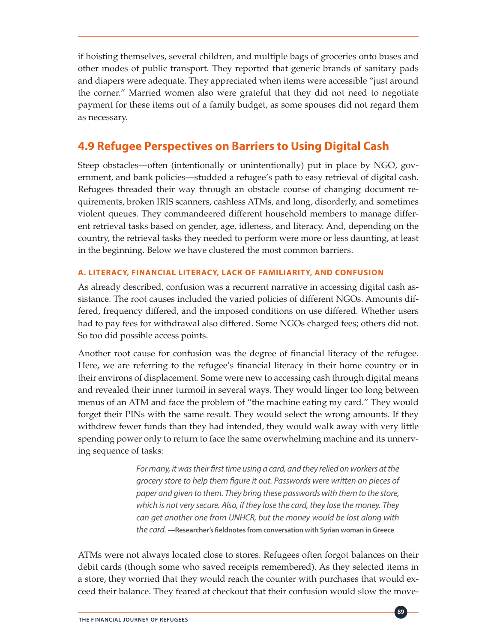if hoisting themselves, several children, and multiple bags of groceries onto buses and other modes of public transport. They reported that generic brands of sanitary pads and diapers were adequate. They appreciated when items were accessible "just around the corner." Married women also were grateful that they did not need to negotiate payment for these items out of a family budget, as some spouses did not regard them as necessary.

### **4.9 Refugee Perspectives on Barriers to Using Digital Cash**

Steep obstacles—often (intentionally or unintentionally) put in place by NGO, government, and bank policies—studded a refugee's path to easy retrieval of digital cash. Refugees threaded their way through an obstacle course of changing document requirements, broken IRIS scanners, cashless ATMs, and long, disorderly, and sometimes violent queues. They commandeered different household members to manage different retrieval tasks based on gender, age, idleness, and literacy. And, depending on the country, the retrieval tasks they needed to perform were more or less daunting, at least in the beginning. Below we have clustered the most common barriers.

### **A. LITERACY, FINANCIAL LITERACY, LACK OF FAMILIARITY, AND CONFUSION**

As already described, confusion was a recurrent narrative in accessing digital cash assistance. The root causes included the varied policies of different NGOs. Amounts differed, frequency differed, and the imposed conditions on use differed. Whether users had to pay fees for withdrawal also differed. Some NGOs charged fees; others did not. So too did possible access points.

Another root cause for confusion was the degree of financial literacy of the refugee. Here, we are referring to the refugee's financial literacy in their home country or in their environs of displacement. Some were new to accessing cash through digital means and revealed their inner turmoil in several ways. They would linger too long between menus of an ATM and face the problem of "the machine eating my card." They would forget their PINs with the same result. They would select the wrong amounts. If they withdrew fewer funds than they had intended, they would walk away with very little spending power only to return to face the same overwhelming machine and its unnerving sequence of tasks:

> *For many, it was their first time using a card, and they relied on workers at the grocery store to help them figure it out. Passwords were written on pieces of paper and given to them. They bring these passwords with them to the store, which is not very secure. Also, if they lose the card, they lose the money. They can get another one from UNHCR, but the money would be lost along with the card.* **—Researcher's fieldnotes from conversation with Syrian woman in Greece**

ATMs were not always located close to stores. Refugees often forgot balances on their debit cards (though some who saved receipts remembered). As they selected items in a store, they worried that they would reach the counter with purchases that would exceed their balance. They feared at checkout that their confusion would slow the move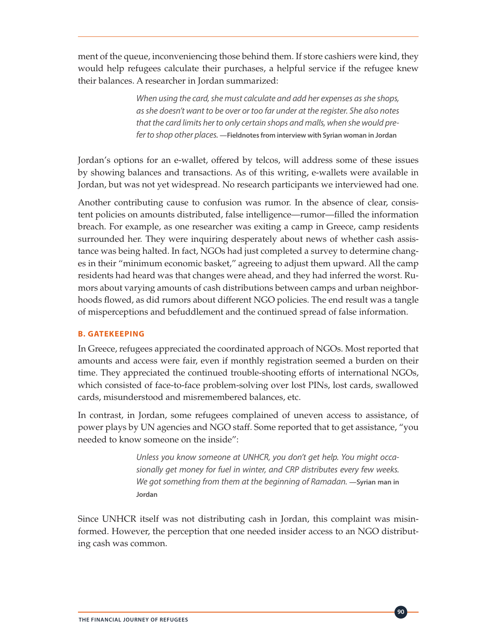ment of the queue, inconveniencing those behind them. If store cashiers were kind, they would help refugees calculate their purchases, a helpful service if the refugee knew their balances. A researcher in Jordan summarized:

> *When using the card, she must calculate and add her expenses as she shops, as she doesn't want to be over or too far under at the register. She also notes that the card limits her to only certain shops and malls, when she would prefer to shop other places.* **—Fieldnotes from interview with Syrian woman in Jordan**

Jordan's options for an e-wallet, offered by telcos, will address some of these issues by showing balances and transactions. As of this writing, e-wallets were available in Jordan, but was not yet widespread. No research participants we interviewed had one.

Another contributing cause to confusion was rumor. In the absence of clear, consistent policies on amounts distributed, false intelligence—rumor—filled the information breach. For example, as one researcher was exiting a camp in Greece, camp residents surrounded her. They were inquiring desperately about news of whether cash assistance was being halted. In fact, NGOs had just completed a survey to determine changes in their "minimum economic basket," agreeing to adjust them upward. All the camp residents had heard was that changes were ahead, and they had inferred the worst. Rumors about varying amounts of cash distributions between camps and urban neighborhoods flowed, as did rumors about different NGO policies. The end result was a tangle of misperceptions and befuddlement and the continued spread of false information.

### **B. GATEKEEPING**

In Greece, refugees appreciated the coordinated approach of NGOs. Most reported that amounts and access were fair, even if monthly registration seemed a burden on their time. They appreciated the continued trouble-shooting efforts of international NGOs, which consisted of face-to-face problem-solving over lost PINs, lost cards, swallowed cards, misunderstood and misremembered balances, etc.

In contrast, in Jordan, some refugees complained of uneven access to assistance, of power plays by UN agencies and NGO staff. Some reported that to get assistance, "you needed to know someone on the inside":

> *Unless you know someone at UNHCR, you don't get help. You might occasionally get money for fuel in winter, and CRP distributes every few weeks. We got something from them at the beginning of Ramadan.* —Syrian man in **Jordan**

Since UNHCR itself was not distributing cash in Jordan, this complaint was misinformed. However, the perception that one needed insider access to an NGO distributing cash was common.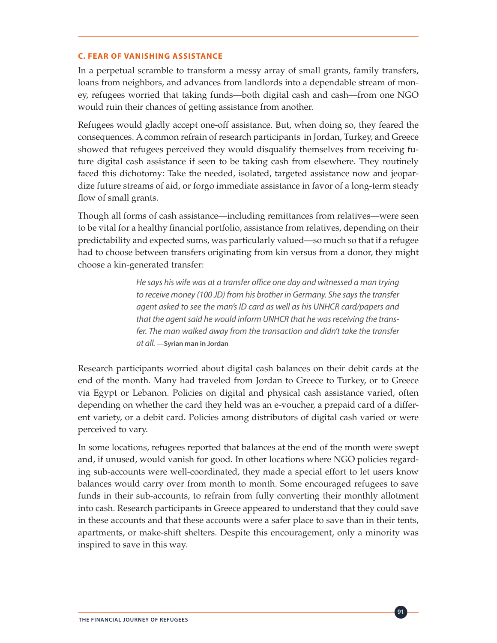#### **C. FEAR OF VANISHING ASSISTANCE**

In a perpetual scramble to transform a messy array of small grants, family transfers, loans from neighbors, and advances from landlords into a dependable stream of money, refugees worried that taking funds—both digital cash and cash—from one NGO would ruin their chances of getting assistance from another.

Refugees would gladly accept one-off assistance. But, when doing so, they feared the consequences. A common refrain of research participants in Jordan, Turkey, and Greece showed that refugees perceived they would disqualify themselves from receiving future digital cash assistance if seen to be taking cash from elsewhere. They routinely faced this dichotomy: Take the needed, isolated, targeted assistance now and jeopardize future streams of aid, or forgo immediate assistance in favor of a long-term steady flow of small grants.

Though all forms of cash assistance—including remittances from relatives—were seen to be vital for a healthy financial portfolio, assistance from relatives, depending on their predictability and expected sums, was particularly valued—so much so that if a refugee had to choose between transfers originating from kin versus from a donor, they might choose a kin-generated transfer:

> *He says his wife was at a transfer office one day and witnessed a man trying to receive money (100 JD) from his brother in Germany. She says the transfer agent asked to see the man's ID card as well as his UNHCR card/papers and that the agent said he would inform UNHCR that he was receiving the transfer. The man walked away from the transaction and didn't take the transfer at all.* **—Syrian man in Jordan**

Research participants worried about digital cash balances on their debit cards at the end of the month. Many had traveled from Jordan to Greece to Turkey, or to Greece via Egypt or Lebanon. Policies on digital and physical cash assistance varied, often depending on whether the card they held was an e-voucher, a prepaid card of a different variety, or a debit card. Policies among distributors of digital cash varied or were perceived to vary.

In some locations, refugees reported that balances at the end of the month were swept and, if unused, would vanish for good. In other locations where NGO policies regarding sub-accounts were well-coordinated, they made a special effort to let users know balances would carry over from month to month. Some encouraged refugees to save funds in their sub-accounts, to refrain from fully converting their monthly allotment into cash. Research participants in Greece appeared to understand that they could save in these accounts and that these accounts were a safer place to save than in their tents, apartments, or make-shift shelters. Despite this encouragement, only a minority was inspired to save in this way.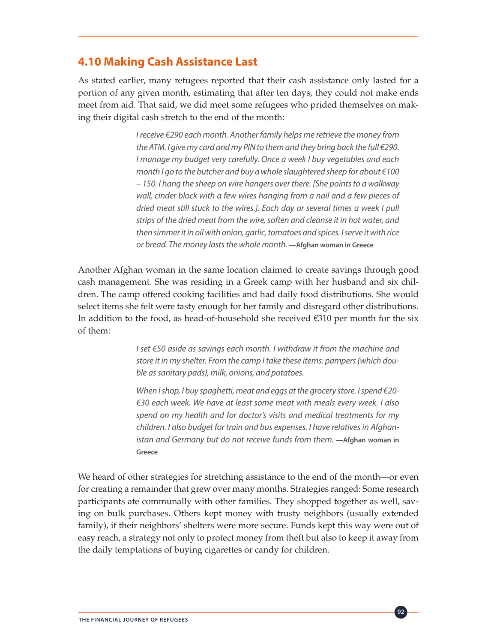### **4.10 Making Cash Assistance Last**

As stated earlier, many refugees reported that their cash assistance only lasted for a portion of any given month, estimating that after ten days, they could not make ends meet from aid. That said, we did meet some refugees who prided themselves on making their digital cash stretch to the end of the month:

> *I receive €290 each month. Another family helps me retrieve the money from the ATM. I give my card and my PIN to them and they bring back the full €290. I manage my budget very carefully. Once a week I buy vegetables and each month I go to the butcher and buy a whole slaughtered sheep for about €100 – 150. I hang the sheep on wire hangers over there. [She points to a walkway wall, cinder block with a few wires hanging from a nail and a few pieces of dried meat still stuck to the wires.]. Each day or several times a week I pull strips of the dried meat from the wire, soften and cleanse it in hot water, and then simmer it in oil with onion, garlic, tomatoes and spices. I serve it with rice or bread. The money lasts the whole month.* **—Afghan woman in Greece**

Another Afghan woman in the same location claimed to create savings through good cash management. She was residing in a Greek camp with her husband and six children. The camp offered cooking facilities and had daily food distributions. She would select items she felt were tasty enough for her family and disregard other distributions. In addition to the food, as head-of-household she received €310 per month for the six of them:

> *I set €50 aside as savings each month. I withdraw it from the machine and store it in my shelter. From the camp I take these items: pampers (which double as sanitary pads), milk, onions, and potatoes.*

> *When I shop, I buy spaghetti, meat and eggs at the grocery store. I spend €20- €30 each week. We have at least some meat with meals every week. I also spend on my health and for doctor's visits and medical treatments for my children. I also budget for train and bus expenses. I have relatives in Afghanistan and Germany but do not receive funds from them.* —Afghan woman in **Greece**

We heard of other strategies for stretching assistance to the end of the month—or even for creating a remainder that grew over many months. Strategies ranged: Some research participants ate communally with other families. They shopped together as well, saving on bulk purchases. Others kept money with trusty neighbors (usually extended family), if their neighbors' shelters were more secure. Funds kept this way were out of easy reach, a strategy not only to protect money from theft but also to keep it away from the daily temptations of buying cigarettes or candy for children.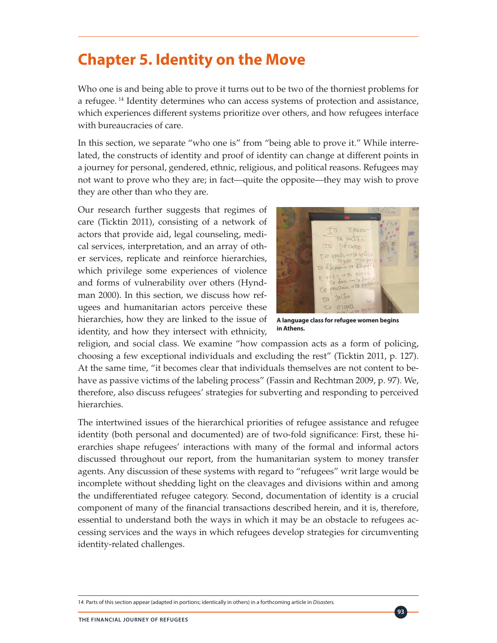# **Chapter 5. Identity on the Move**

Who one is and being able to prove it turns out to be two of the thorniest problems for a refugee.<sup>14</sup> Identity determines who can access systems of protection and assistance, which experiences different systems prioritize over others, and how refugees interface with bureaucracies of care.

In this section, we separate "who one is" from "being able to prove it." While interrelated, the constructs of identity and proof of identity can change at different points in a journey for personal, gendered, ethnic, religious, and political reasons. Refugees may not want to prove who they are; in fact—quite the opposite—they may wish to prove they are other than who they are.

Our research further suggests that regimes of care (Ticktin 2011), consisting of a network of actors that provide aid, legal counseling, medical services, interpretation, and an array of other services, replicate and reinforce hierarchies, which privilege some experiences of violence and forms of vulnerability over others (Hyndman 2000). In this section, we discuss how refugees and humanitarian actors perceive these hierarchies, how they are linked to the issue of identity, and how they intersect with ethnicity,



**A language class for refugee women begins in Athens.**

**93**

religion, and social class. We examine "how compassion acts as a form of policing, choosing a few exceptional individuals and excluding the rest" (Ticktin 2011, p. 127). At the same time, "it becomes clear that individuals themselves are not content to behave as passive victims of the labeling process" (Fassin and Rechtman 2009, p. 97). We, therefore, also discuss refugees' strategies for subverting and responding to perceived hierarchies.

The intertwined issues of the hierarchical priorities of refugee assistance and refugee identity (both personal and documented) are of two-fold significance: First, these hierarchies shape refugees' interactions with many of the formal and informal actors discussed throughout our report, from the humanitarian system to money transfer agents. Any discussion of these systems with regard to "refugees" writ large would be incomplete without shedding light on the cleavages and divisions within and among the undifferentiated refugee category. Second, documentation of identity is a crucial component of many of the financial transactions described herein, and it is, therefore, essential to understand both the ways in which it may be an obstacle to refugees accessing services and the ways in which refugees develop strategies for circumventing identity-related challenges.

<sup>14</sup> Parts of this section appear (adapted in portions; identically in others) in a forthcoming article in *Disasters.*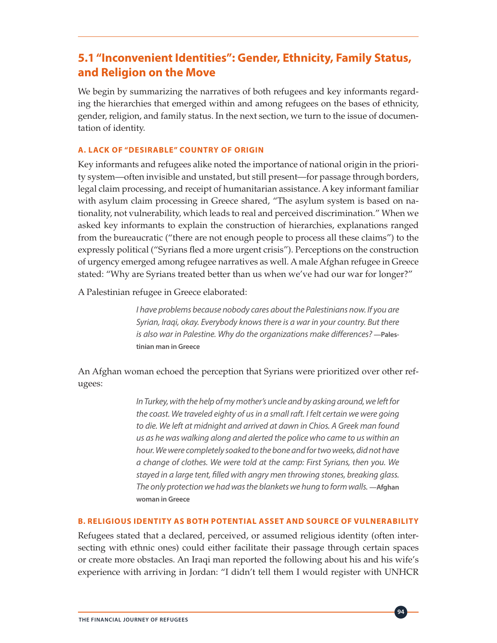### **5.1 "Inconvenient Identities": Gender, Ethnicity, Family Status, and Religion on the Move**

We begin by summarizing the narratives of both refugees and key informants regarding the hierarchies that emerged within and among refugees on the bases of ethnicity, gender, religion, and family status. In the next section, we turn to the issue of documentation of identity.

### **A. LACK OF "DESIRABLE" COUNTRY OF ORIGIN**

Key informants and refugees alike noted the importance of national origin in the priority system—often invisible and unstated, but still present—for passage through borders, legal claim processing, and receipt of humanitarian assistance. A key informant familiar with asylum claim processing in Greece shared, "The asylum system is based on nationality, not vulnerability, which leads to real and perceived discrimination." When we asked key informants to explain the construction of hierarchies, explanations ranged from the bureaucratic ("there are not enough people to process all these claims") to the expressly political ("Syrians fled a more urgent crisis"). Perceptions on the construction of urgency emerged among refugee narratives as well. A male Afghan refugee in Greece stated: "Why are Syrians treated better than us when we've had our war for longer?"

A Palestinian refugee in Greece elaborated:

*I have problems because nobody cares about the Palestinians now. If you are Syrian, Iraqi, okay. Everybody knows there is a war in your country. But there is also war in Palestine. Why do the organizations make differences?* **—Palestinian man in Greece** 

An Afghan woman echoed the perception that Syrians were prioritized over other refugees:

> *In Turkey, with the help of my mother's uncle and by asking around, we left for the coast. We traveled eighty of us in a small raft. I felt certain we were going to die. We left at midnight and arrived at dawn in Chios. A Greek man found us as he was walking along and alerted the police who came to us within an hour. We were completely soaked to the bone and for two weeks, did not have a change of clothes. We were told at the camp: First Syrians, then you. We stayed in a large tent, filled with angry men throwing stones, breaking glass. The only protection we had was the blankets we hung to form walls.* **—Afghan woman in Greece**

#### **B. RELIGIOUS IDENTITY AS BOTH POTENTIAL ASSET AND SOURCE OF VULNERABILITY**

Refugees stated that a declared, perceived, or assumed religious identity (often intersecting with ethnic ones) could either facilitate their passage through certain spaces or create more obstacles. An Iraqi man reported the following about his and his wife's experience with arriving in Jordan: "I didn't tell them I would register with UNHCR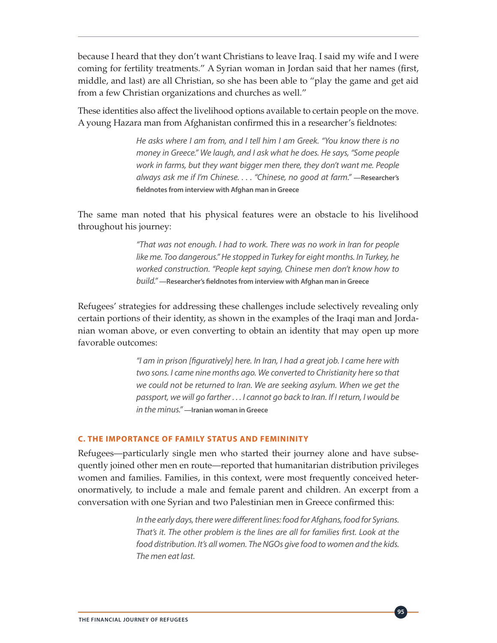because I heard that they don't want Christians to leave Iraq. I said my wife and I were coming for fertility treatments." A Syrian woman in Jordan said that her names (first, middle, and last) are all Christian, so she has been able to "play the game and get aid from a few Christian organizations and churches as well."

These identities also affect the livelihood options available to certain people on the move. A young Hazara man from Afghanistan confirmed this in a researcher's fieldnotes:

> *He asks where I am from, and I tell him I am Greek. "You know there is no money in Greece." We laugh, and I ask what he does. He says, "Some people work in farms, but they want bigger men there, they don't want me. People always ask me if I'm Chinese. . . . "Chinese, no good at farm."* **—Researcher's fieldnotes from interview with Afghan man in Greece**

The same man noted that his physical features were an obstacle to his livelihood throughout his journey:

> *"That was not enough. I had to work. There was no work in Iran for people like me. Too dangerous." He stopped in Turkey for eight months. In Turkey, he worked construction. "People kept saying, Chinese men don't know how to build."* **—Researcher's fieldnotes from interview with Afghan man in Greece**

Refugees' strategies for addressing these challenges include selectively revealing only certain portions of their identity, as shown in the examples of the Iraqi man and Jordanian woman above, or even converting to obtain an identity that may open up more favorable outcomes:

> *"I am in prison [figuratively] here. In Iran, I had a great job. I came here with two sons. I came nine months ago. We converted to Christianity here so that we could not be returned to Iran. We are seeking asylum. When we get the passport, we will go farther . . . I cannot go back to Iran. If I return, I would be in the minus."* **—Iranian woman in Greece**

#### **C. THE IMPORTANCE OF FAMILY STATUS AND FEMININITY**

Refugees—particularly single men who started their journey alone and have subsequently joined other men en route—reported that humanitarian distribution privileges women and families. Families, in this context, were most frequently conceived heteronormatively, to include a male and female parent and children. An excerpt from a conversation with one Syrian and two Palestinian men in Greece confirmed this:

> *In the early days, there were different lines: food for Afghans, food for Syrians. That's it. The other problem is the lines are all for families first. Look at the food distribution. It's all women. The NGOs give food to women and the kids. The men eat last.*

> > **95**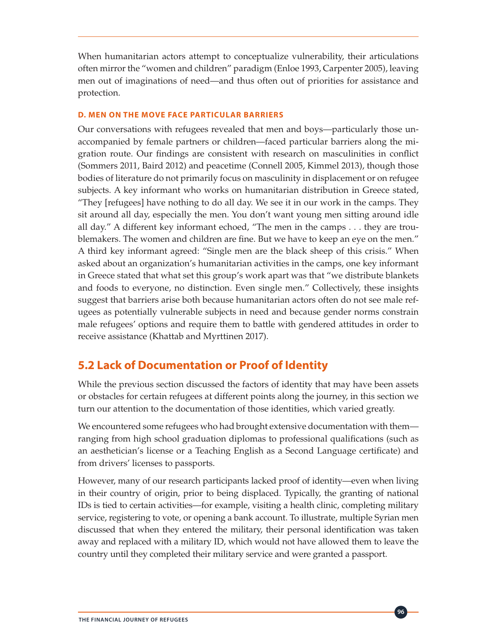When humanitarian actors attempt to conceptualize vulnerability, their articulations often mirror the "women and children" paradigm (Enloe 1993, Carpenter 2005), leaving men out of imaginations of need—and thus often out of priorities for assistance and protection.

### **D. MEN ON THE MOVE FACE PARTICULAR BARRIERS**

Our conversations with refugees revealed that men and boys—particularly those unaccompanied by female partners or children—faced particular barriers along the migration route. Our findings are consistent with research on masculinities in conflict (Sommers 2011, Baird 2012) and peacetime (Connell 2005, Kimmel 2013), though those bodies of literature do not primarily focus on masculinity in displacement or on refugee subjects. A key informant who works on humanitarian distribution in Greece stated, "They [refugees] have nothing to do all day. We see it in our work in the camps. They sit around all day, especially the men. You don't want young men sitting around idle all day." A different key informant echoed, "The men in the camps . . . they are troublemakers. The women and children are fine. But we have to keep an eye on the men." A third key informant agreed: "Single men are the black sheep of this crisis." When asked about an organization's humanitarian activities in the camps, one key informant in Greece stated that what set this group's work apart was that "we distribute blankets and foods to everyone, no distinction. Even single men." Collectively, these insights suggest that barriers arise both because humanitarian actors often do not see male refugees as potentially vulnerable subjects in need and because gender norms constrain male refugees' options and require them to battle with gendered attitudes in order to receive assistance (Khattab and Myrttinen 2017).

### **5.2 Lack of Documentation or Proof of Identity**

While the previous section discussed the factors of identity that may have been assets or obstacles for certain refugees at different points along the journey, in this section we turn our attention to the documentation of those identities, which varied greatly.

We encountered some refugees who had brought extensive documentation with them ranging from high school graduation diplomas to professional qualifications (such as an aesthetician's license or a Teaching English as a Second Language certificate) and from drivers' licenses to passports.

However, many of our research participants lacked proof of identity—even when living in their country of origin, prior to being displaced. Typically, the granting of national IDs is tied to certain activities—for example, visiting a health clinic, completing military service, registering to vote, or opening a bank account. To illustrate, multiple Syrian men discussed that when they entered the military, their personal identification was taken away and replaced with a military ID, which would not have allowed them to leave the country until they completed their military service and were granted a passport.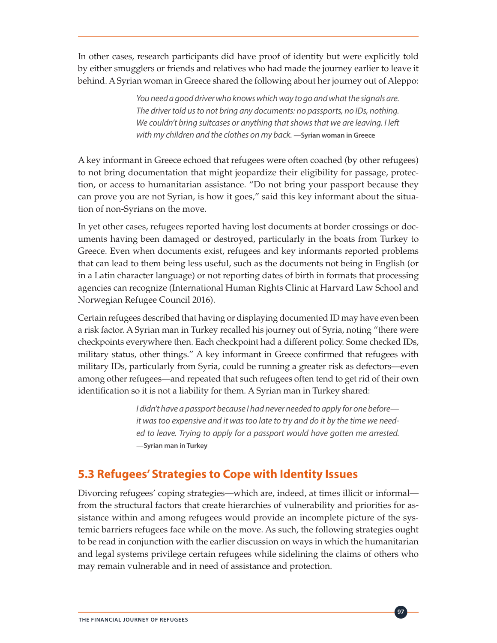In other cases, research participants did have proof of identity but were explicitly told by either smugglers or friends and relatives who had made the journey earlier to leave it behind. A Syrian woman in Greece shared the following about her journey out of Aleppo:

> *You need a good driver who knows which way to go and what the signals are. The driver told us to not bring any documents: no passports, no IDs, nothing. We couldn't bring suitcases or anything that shows that we are leaving. I left with my children and the clothes on my back.* **—Syrian woman in Greece**

A key informant in Greece echoed that refugees were often coached (by other refugees) to not bring documentation that might jeopardize their eligibility for passage, protection, or access to humanitarian assistance. "Do not bring your passport because they can prove you are not Syrian, is how it goes," said this key informant about the situation of non-Syrians on the move.

In yet other cases, refugees reported having lost documents at border crossings or documents having been damaged or destroyed, particularly in the boats from Turkey to Greece. Even when documents exist, refugees and key informants reported problems that can lead to them being less useful, such as the documents not being in English (or in a Latin character language) or not reporting dates of birth in formats that processing agencies can recognize (International Human Rights Clinic at Harvard Law School and Norwegian Refugee Council 2016).

Certain refugees described that having or displaying documented ID may have even been a risk factor. A Syrian man in Turkey recalled his journey out of Syria, noting "there were checkpoints everywhere then. Each checkpoint had a different policy. Some checked IDs, military status, other things." A key informant in Greece confirmed that refugees with military IDs, particularly from Syria, could be running a greater risk as defectors—even among other refugees—and repeated that such refugees often tend to get rid of their own identification so it is not a liability for them. A Syrian man in Turkey shared:

> *I didn't have a passport because I had never needed to apply for one before it was too expensive and it was too late to try and do it by the time we needed to leave. Trying to apply for a passport would have gotten me arrested.*  **—Syrian man in Turkey**

### **5.3 Refugees' Strategies to Cope with Identity Issues**

Divorcing refugees' coping strategies—which are, indeed, at times illicit or informal from the structural factors that create hierarchies of vulnerability and priorities for assistance within and among refugees would provide an incomplete picture of the systemic barriers refugees face while on the move. As such, the following strategies ought to be read in conjunction with the earlier discussion on ways in which the humanitarian and legal systems privilege certain refugees while sidelining the claims of others who may remain vulnerable and in need of assistance and protection.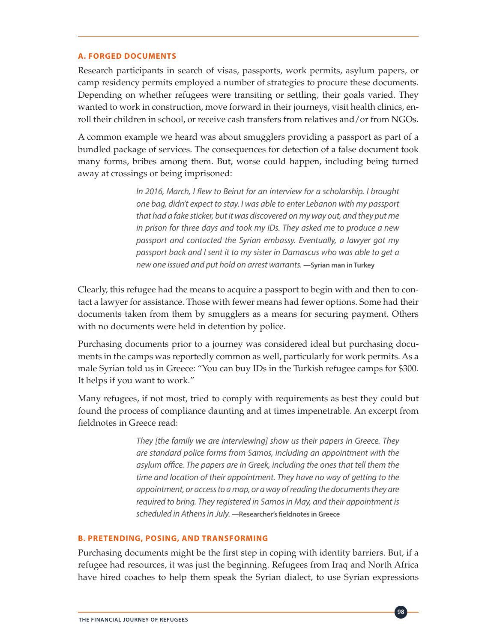#### **A. FORGED DOCUMENTS**

Research participants in search of visas, passports, work permits, asylum papers, or camp residency permits employed a number of strategies to procure these documents. Depending on whether refugees were transiting or settling, their goals varied. They wanted to work in construction, move forward in their journeys, visit health clinics, enroll their children in school, or receive cash transfers from relatives and/or from NGOs.

A common example we heard was about smugglers providing a passport as part of a bundled package of services. The consequences for detection of a false document took many forms, bribes among them. But, worse could happen, including being turned away at crossings or being imprisoned:

> *In 2016, March, I flew to Beirut for an interview for a scholarship. I brought one bag, didn't expect to stay. I was able to enter Lebanon with my passport that had a fake sticker, but it was discovered on my way out, and they put me in prison for three days and took my IDs. They asked me to produce a new passport and contacted the Syrian embassy. Eventually, a lawyer got my passport back and I sent it to my sister in Damascus who was able to get a new one issued and put hold on arrest warrants.* **—Syrian man in Turkey**

Clearly, this refugee had the means to acquire a passport to begin with and then to contact a lawyer for assistance. Those with fewer means had fewer options. Some had their documents taken from them by smugglers as a means for securing payment. Others with no documents were held in detention by police.

Purchasing documents prior to a journey was considered ideal but purchasing documents in the camps was reportedly common as well, particularly for work permits. As a male Syrian told us in Greece: "You can buy IDs in the Turkish refugee camps for \$300. It helps if you want to work."

Many refugees, if not most, tried to comply with requirements as best they could but found the process of compliance daunting and at times impenetrable. An excerpt from fieldnotes in Greece read:

> *They [the family we are interviewing] show us their papers in Greece. They are standard police forms from Samos, including an appointment with the asylum office. The papers are in Greek, including the ones that tell them the time and location of their appointment. They have no way of getting to the appointment, or access to a map, or a way of reading the documents they are required to bring. They registered in Samos in May, and their appointment is scheduled in Athens in July.* **—Researcher's fieldnotes in Greece**

#### **B. PRETENDING, POSING, AND TRANSFORMING**

Purchasing documents might be the first step in coping with identity barriers. But, if a refugee had resources, it was just the beginning. Refugees from Iraq and North Africa have hired coaches to help them speak the Syrian dialect, to use Syrian expressions

**98**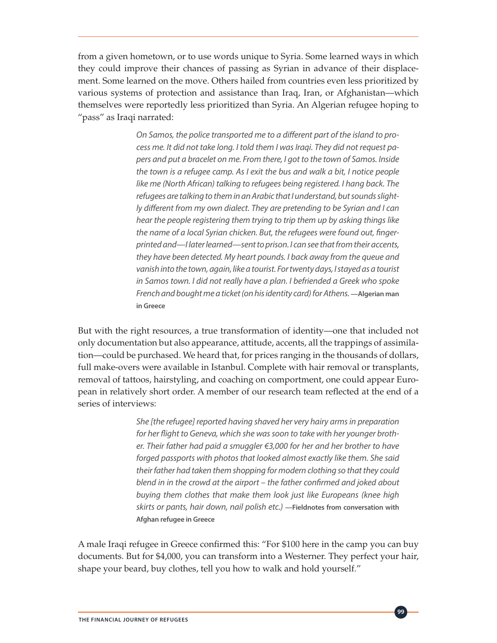from a given hometown, or to use words unique to Syria. Some learned ways in which they could improve their chances of passing as Syrian in advance of their displacement. Some learned on the move. Others hailed from countries even less prioritized by various systems of protection and assistance than Iraq, Iran, or Afghanistan—which themselves were reportedly less prioritized than Syria. An Algerian refugee hoping to "pass" as Iraqi narrated:

> *On Samos, the police transported me to a different part of the island to process me. It did not take long. I told them I was Iraqi. They did not request papers and put a bracelet on me. From there, I got to the town of Samos. Inside the town is a refugee camp. As I exit the bus and walk a bit, I notice people like me (North African) talking to refugees being registered. I hang back. The refugees are talking to them in an Arabic that I understand, but sounds slightly different from my own dialect. They are pretending to be Syrian and I can hear the people registering them trying to trip them up by asking things like the name of a local Syrian chicken. But, the refugees were found out, fingerprinted and—I later learned—sent to prison. I can see that from their accents, they have been detected. My heart pounds. I back away from the queue and vanish into the town, again, like a tourist. For twenty days, I stayed as a tourist in Samos town. I did not really have a plan. I befriended a Greek who spoke French and bought me a ticket (on his identity card) for Athens.***—Algerian man in Greece**

But with the right resources, a true transformation of identity—one that included not only documentation but also appearance, attitude, accents, all the trappings of assimilation—could be purchased. We heard that, for prices ranging in the thousands of dollars, full make-overs were available in Istanbul. Complete with hair removal or transplants, removal of tattoos, hairstyling, and coaching on comportment, one could appear European in relatively short order. A member of our research team reflected at the end of a series of interviews:

> *She [the refugee] reported having shaved her very hairy arms in preparation for her flight to Geneva, which she was soon to take with her younger brother. Their father had paid a smuggler €3,000 for her and her brother to have forged passports with photos that looked almost exactly like them. She said their father had taken them shopping for modern clothing so that they could blend in in the crowd at the airport – the father confirmed and joked about buying them clothes that make them look just like Europeans (knee high skirts or pants, hair down, nail polish etc.)* **—Fieldnotes from conversation with Afghan refugee in Greece**

> > **99**

A male Iraqi refugee in Greece confirmed this: "For \$100 here in the camp you can buy documents. But for \$4,000, you can transform into a Westerner. They perfect your hair, shape your beard, buy clothes, tell you how to walk and hold yourself."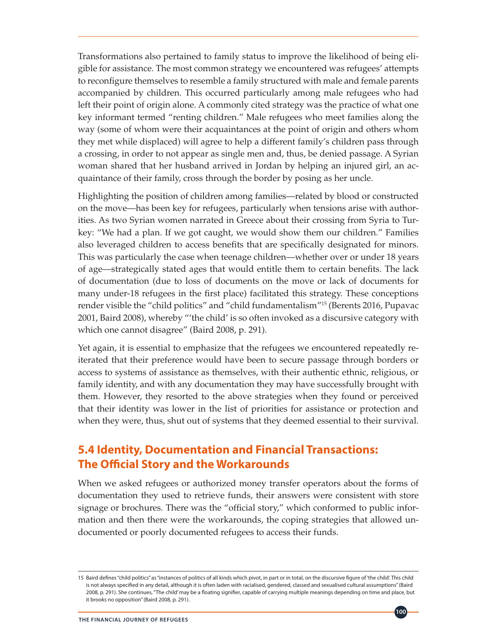Transformations also pertained to family status to improve the likelihood of being eligible for assistance. The most common strategy we encountered was refugees' attempts to reconfigure themselves to resemble a family structured with male and female parents accompanied by children. This occurred particularly among male refugees who had left their point of origin alone. A commonly cited strategy was the practice of what one key informant termed "renting children." Male refugees who meet families along the way (some of whom were their acquaintances at the point of origin and others whom they met while displaced) will agree to help a different family's children pass through a crossing, in order to not appear as single men and, thus, be denied passage. A Syrian woman shared that her husband arrived in Jordan by helping an injured girl, an acquaintance of their family, cross through the border by posing as her uncle.

Highlighting the position of children among families—related by blood or constructed on the move—has been key for refugees, particularly when tensions arise with authorities. As two Syrian women narrated in Greece about their crossing from Syria to Turkey: "We had a plan. If we got caught, we would show them our children." Families also leveraged children to access benefits that are specifically designated for minors. This was particularly the case when teenage children—whether over or under 18 years of age—strategically stated ages that would entitle them to certain benefits. The lack of documentation (due to loss of documents on the move or lack of documents for many under-18 refugees in the first place) facilitated this strategy. These conceptions render visible the "child politics" and "child fundamentalism"15 (Berents 2016, Pupavac 2001, Baird 2008), whereby "'the child' is so often invoked as a discursive category with which one cannot disagree" (Baird 2008, p. 291).

Yet again, it is essential to emphasize that the refugees we encountered repeatedly reiterated that their preference would have been to secure passage through borders or access to systems of assistance as themselves, with their authentic ethnic, religious, or family identity, and with any documentation they may have successfully brought with them. However, they resorted to the above strategies when they found or perceived that their identity was lower in the list of priorities for assistance or protection and when they were, thus, shut out of systems that they deemed essential to their survival.

### **5.4 Identity, Documentation and Financial Transactions: The Official Story and the Workarounds**

When we asked refugees or authorized money transfer operators about the forms of documentation they used to retrieve funds, their answers were consistent with store signage or brochures. There was the "official story," which conformed to public information and then there were the workarounds, the coping strategies that allowed undocumented or poorly documented refugees to access their funds.

<sup>15</sup> Baird defines "child politics" as "instances of politics of all kinds which pivot, in part or in total, on the discursive figure of 'the child'. This child is not always specified in any detail, although it is often laden with racialised, gendered, classed and sexualised cultural assumptions" (Baird 2008, p. 291). She continues, "The child' may be a floating signifier, capable of carrying multiple meanings depending on time and place, but it brooks no opposition" (Baird 2008, p. 291).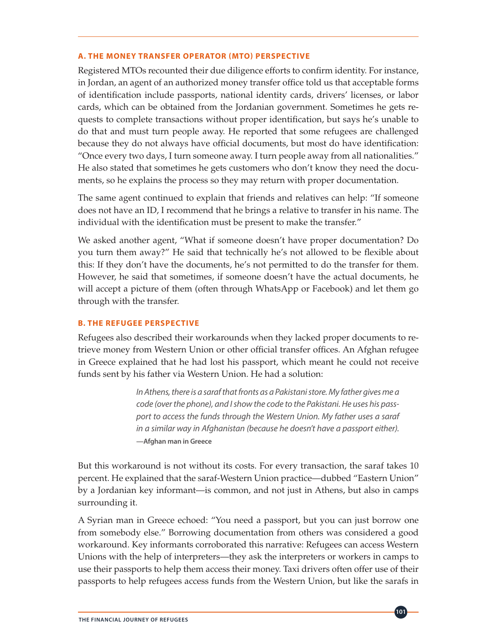#### **A. THE MONEY TRANSFER OPERATOR (MTO) PERSPECTIVE**

Registered MTOs recounted their due diligence efforts to confirm identity. For instance, in Jordan, an agent of an authorized money transfer office told us that acceptable forms of identification include passports, national identity cards, drivers' licenses, or labor cards, which can be obtained from the Jordanian government. Sometimes he gets requests to complete transactions without proper identification, but says he's unable to do that and must turn people away. He reported that some refugees are challenged because they do not always have official documents, but most do have identification: "Once every two days, I turn someone away. I turn people away from all nationalities." He also stated that sometimes he gets customers who don't know they need the documents, so he explains the process so they may return with proper documentation.

The same agent continued to explain that friends and relatives can help: "If someone does not have an ID, I recommend that he brings a relative to transfer in his name. The individual with the identification must be present to make the transfer."

We asked another agent, "What if someone doesn't have proper documentation? Do you turn them away?" He said that technically he's not allowed to be flexible about this: If they don't have the documents, he's not permitted to do the transfer for them. However, he said that sometimes, if someone doesn't have the actual documents, he will accept a picture of them (often through WhatsApp or Facebook) and let them go through with the transfer.

#### **B. THE REFUGEE PERSPECTIVE**

Refugees also described their workarounds when they lacked proper documents to retrieve money from Western Union or other official transfer offices. An Afghan refugee in Greece explained that he had lost his passport, which meant he could not receive funds sent by his father via Western Union. He had a solution:

> *In Athens, there is a saraf that fronts as a Pakistani store. My father gives me a code (over the phone), and I show the code to the Pakistani. He uses his passport to access the funds through the Western Union. My father uses a saraf in a similar way in Afghanistan (because he doesn't have a passport either).*  **—Afghan man in Greece**

But this workaround is not without its costs. For every transaction, the saraf takes 10 percent. He explained that the saraf-Western Union practice—dubbed "Eastern Union" by a Jordanian key informant—is common, and not just in Athens, but also in camps surrounding it.

A Syrian man in Greece echoed: "You need a passport, but you can just borrow one from somebody else." Borrowing documentation from others was considered a good workaround. Key informants corroborated this narrative: Refugees can access Western Unions with the help of interpreters—they ask the interpreters or workers in camps to use their passports to help them access their money. Taxi drivers often offer use of their passports to help refugees access funds from the Western Union, but like the sarafs in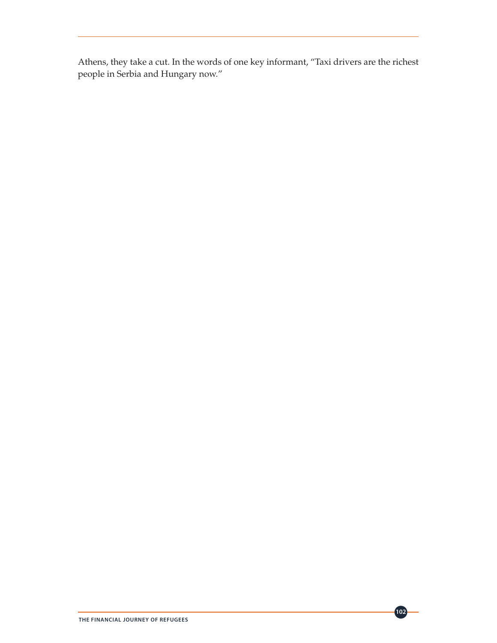Athens, they take a cut. In the words of one key informant, "Taxi drivers are the richest people in Serbia and Hungary now."

**102**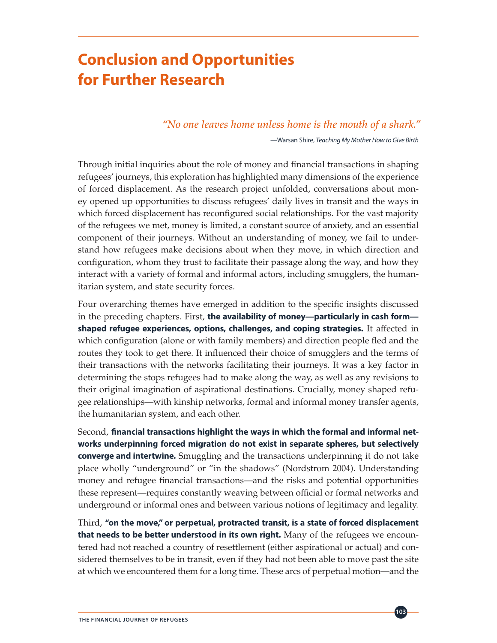# **Conclusion and Opportunities for Further Research**

*"No one leaves home unless home is the mouth of a shark."* 

—Warsan Shire, *Teaching My Mother How to Give Birth*

Through initial inquiries about the role of money and financial transactions in shaping refugees' journeys, this exploration has highlighted many dimensions of the experience of forced displacement. As the research project unfolded, conversations about money opened up opportunities to discuss refugees' daily lives in transit and the ways in which forced displacement has reconfigured social relationships. For the vast majority of the refugees we met, money is limited, a constant source of anxiety, and an essential component of their journeys. Without an understanding of money, we fail to understand how refugees make decisions about when they move, in which direction and configuration, whom they trust to facilitate their passage along the way, and how they interact with a variety of formal and informal actors, including smugglers, the humanitarian system, and state security forces.

Four overarching themes have emerged in addition to the specific insights discussed in the preceding chapters. First, **the availability of money—particularly in cash form shaped refugee experiences, options, challenges, and coping strategies.** It affected in which configuration (alone or with family members) and direction people fled and the routes they took to get there. It influenced their choice of smugglers and the terms of their transactions with the networks facilitating their journeys. It was a key factor in determining the stops refugees had to make along the way, as well as any revisions to their original imagination of aspirational destinations. Crucially, money shaped refugee relationships—with kinship networks, formal and informal money transfer agents, the humanitarian system, and each other.

Second, **financial transactions highlight the ways in which the formal and informal networks underpinning forced migration do not exist in separate spheres, but selectively converge and intertwine.** Smuggling and the transactions underpinning it do not take place wholly "underground" or "in the shadows" (Nordstrom 2004). Understanding money and refugee financial transactions—and the risks and potential opportunities these represent—requires constantly weaving between official or formal networks and underground or informal ones and between various notions of legitimacy and legality.

Third, **"on the move," or perpetual, protracted transit, is a state of forced displacement that needs to be better understood in its own right.** Many of the refugees we encountered had not reached a country of resettlement (either aspirational or actual) and considered themselves to be in transit, even if they had not been able to move past the site at which we encountered them for a long time. These arcs of perpetual motion—and the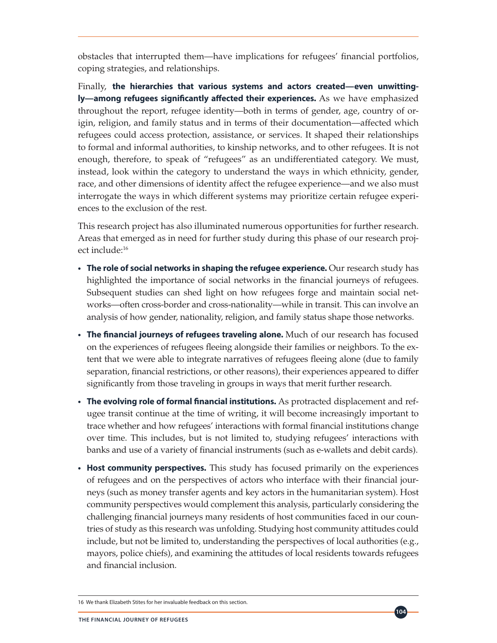obstacles that interrupted them—have implications for refugees' financial portfolios, coping strategies, and relationships.

Finally, **the hierarchies that various systems and actors created—even unwittingly—among refugees significantly affected their experiences.** As we have emphasized throughout the report, refugee identity—both in terms of gender, age, country of origin, religion, and family status and in terms of their documentation—affected which refugees could access protection, assistance, or services. It shaped their relationships to formal and informal authorities, to kinship networks, and to other refugees. It is not enough, therefore, to speak of "refugees" as an undifferentiated category. We must, instead, look within the category to understand the ways in which ethnicity, gender, race, and other dimensions of identity affect the refugee experience—and we also must interrogate the ways in which different systems may prioritize certain refugee experiences to the exclusion of the rest.

This research project has also illuminated numerous opportunities for further research. Areas that emerged as in need for further study during this phase of our research project include:16

- **• The role of social networks in shaping the refugee experience.** Our research study has highlighted the importance of social networks in the financial journeys of refugees. Subsequent studies can shed light on how refugees forge and maintain social networks—often cross-border and cross-nationality—while in transit. This can involve an analysis of how gender, nationality, religion, and family status shape those networks.
- **• The financial journeys of refugees traveling alone.** Much of our research has focused on the experiences of refugees fleeing alongside their families or neighbors. To the extent that we were able to integrate narratives of refugees fleeing alone (due to family separation, financial restrictions, or other reasons), their experiences appeared to differ significantly from those traveling in groups in ways that merit further research.
- **• The evolving role of formal financial institutions.** As protracted displacement and refugee transit continue at the time of writing, it will become increasingly important to trace whether and how refugees' interactions with formal financial institutions change over time. This includes, but is not limited to, studying refugees' interactions with banks and use of a variety of financial instruments (such as e-wallets and debit cards).
- **• Host community perspectives.** This study has focused primarily on the experiences of refugees and on the perspectives of actors who interface with their financial journeys (such as money transfer agents and key actors in the humanitarian system). Host community perspectives would complement this analysis, particularly considering the challenging financial journeys many residents of host communities faced in our countries of study as this research was unfolding. Studying host community attitudes could include, but not be limited to, understanding the perspectives of local authorities (e.g., mayors, police chiefs), and examining the attitudes of local residents towards refugees and financial inclusion.

<sup>16</sup> We thank Elizabeth Stites for her invaluable feedback on this section.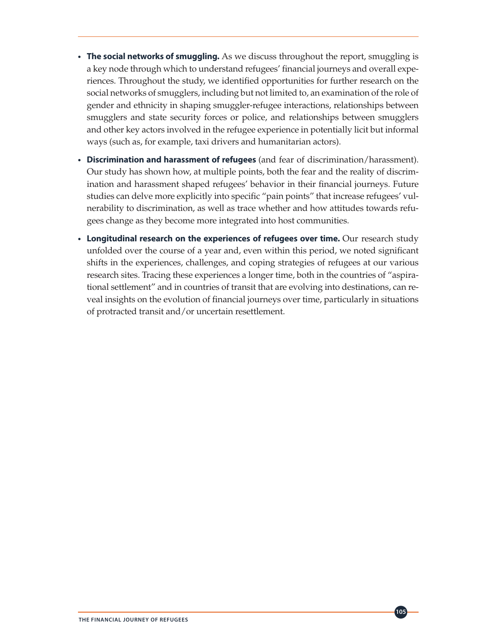- **• The social networks of smuggling.** As we discuss throughout the report, smuggling is a key node through which to understand refugees' financial journeys and overall experiences. Throughout the study, we identified opportunities for further research on the social networks of smugglers, including but not limited to, an examination of the role of gender and ethnicity in shaping smuggler-refugee interactions, relationships between smugglers and state security forces or police, and relationships between smugglers and other key actors involved in the refugee experience in potentially licit but informal ways (such as, for example, taxi drivers and humanitarian actors).
- **• Discrimination and harassment of refugees** (and fear of discrimination/harassment). Our study has shown how, at multiple points, both the fear and the reality of discrimination and harassment shaped refugees' behavior in their financial journeys. Future studies can delve more explicitly into specific "pain points" that increase refugees' vulnerability to discrimination, as well as trace whether and how attitudes towards refugees change as they become more integrated into host communities.
- Longitudinal research on the experiences of refugees over time. Our research study unfolded over the course of a year and, even within this period, we noted significant shifts in the experiences, challenges, and coping strategies of refugees at our various research sites. Tracing these experiences a longer time, both in the countries of "aspirational settlement" and in countries of transit that are evolving into destinations, can reveal insights on the evolution of financial journeys over time, particularly in situations of protracted transit and/or uncertain resettlement.

**105**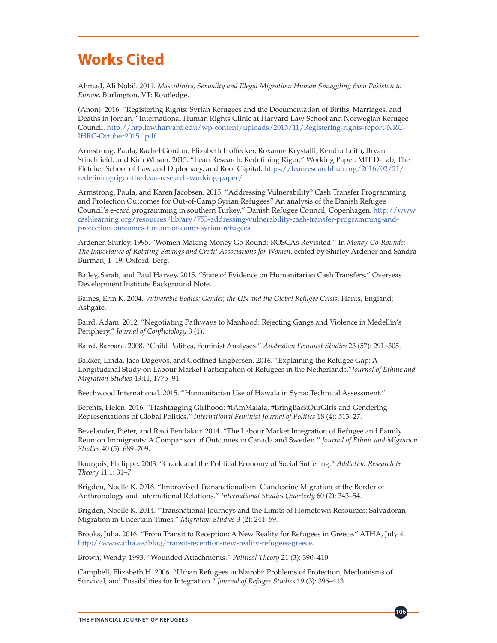# **Works Cited**

Ahmad, Ali Nobil. 2011. *Masculinity, Sexuality and Illegal Migration: Human Smuggling from Pakistan to Europe.* Burlington, VT: Routledge.

(Anon). 2016. "Registering Rights: Syrian Refugees and the Documentation of Births, Marriages, and Deaths in Jordan." International Human Rights Clinic at Harvard Law School and Norwegian Refugee Council. [http://hrp.law.harvard.edu/wp-content/uploads/2015/11/Registering-rights-report-NRC-](http://hrp.law.harvard.edu/wp-content/uploads/2015/11/Registering-rights-report-NRC-IHRC-October20151.pdf)[IHRC-October20151.pdf](http://hrp.law.harvard.edu/wp-content/uploads/2015/11/Registering-rights-report-NRC-IHRC-October20151.pdf)

Armstrong, Paula, Rachel Gordon, Elizabeth Hoffecker, Roxanne Krystalli, Kendra Leith, Bryan Stinchfield, and Kim Wilson. 2015. "Lean Research: Redefining Rigor," Working Paper. MIT D-Lab, The Fletcher School of Law and Diplomacy, and Root Capital. [https://leanresearchhub.org/2016/02/21/](https://leanresearchhub.org/2016/02/21/redefining-rigor-the-lean-research-working-paper/) [redefining-rigor-the-lean-research-working-paper/](https://leanresearchhub.org/2016/02/21/redefining-rigor-the-lean-research-working-paper/)

Armstrong, Paula, and Karen Jacobsen. 2015. "Addressing Vulnerability? Cash Transfer Programming and Protection Outcomes for Out-of-Camp Syrian Refugees" An analysis of the Danish Refugee Council's e-card programming in southern Turkey." Danish Refugee Council, Copenhagen. [http://www.](http://www.cashlearning.org/resources/library/753-addressing-vulnerability-cash-transfer-programming-and-protection-outcomes-for-out-of-camp-syrian-refugees) [cashlearning.org/resources/library/753-addressing-vulnerability-cash-transfer-programming-and](http://www.cashlearning.org/resources/library/753-addressing-vulnerability-cash-transfer-programming-and-protection-outcomes-for-out-of-camp-syrian-refugees)[protection-outcomes-for-out-of-camp-syrian-refugees](http://www.cashlearning.org/resources/library/753-addressing-vulnerability-cash-transfer-programming-and-protection-outcomes-for-out-of-camp-syrian-refugees)

Ardener, Shirley. 1995. "Women Making Money Go Round: ROSCAs Revisited." In *Money-Go-Rounds: The Importance of Rotating Savings and Credit Associations for Women*, edited by Shirley Ardener and Sandra Burman, 1–19. Oxford: Berg.

Bailey, Sarah, and Paul Harvey. 2015. "State of Evidence on Humanitarian Cash Transfers." Overseas Development Institute Background Note.

Baines, Erin K. 2004. *Vulnerable Bodies: Gender, the UN and the Global Refugee Crisis*. Hants, England: Ashgate.

Baird, Adam. 2012. "Negotiating Pathways to Manhood: Rejecting Gangs and Violence in Medellín's Periphery." *Journal of Conflictology* 3 (1).

Baird, Barbara. 2008. "Child Politics, Feminist Analyses." *Australian Feminist Studies* 23 (57): 291–305.

Bakker, Linda, Jaco Dagevos, and Godfried Engbersen. 2016. "Explaining the Refugee Gap: A Longitudinal Study on Labour Market Participation of Refugees in the Netherlands."*Journal of Ethnic and Migration Studies* 43:11, 1775–91.

Beechwood International. 2015. "Humanitarian Use of Hawala in Syria: Technical Assessment."

Berents, Helen. 2016. "Hashtagging Girlhood: #IAmMalala, #BringBackOurGirls and Gendering Representations of Global Politics." *International Feminist Journal of Politics* 18 (4): 513–27.

Bevelander, Pieter, and Ravi Pendakur. 2014. "The Labour Market Integration of Refugee and Family Reunion Immigrants: A Comparison of Outcomes in Canada and Sweden." *Journal of Ethnic and Migration Studies* 40 (5): 689–709.

Bourgois, Philippe. 2003. "Crack and the Political Economy of Social Suffering." *Addiction Research & Theory* 11.1: 31–7.

Brigden, Noelle K. 2016. "Improvised Transnationalism: Clandestine Migration at the Border of Anthropology and International Relations." *International Studies Quarterly* 60 (2): 343–54.

Brigden, Noelle K. 2014. "Transnational Journeys and the Limits of Hometown Resources: Salvadoran Migration in Uncertain Times." *Migration Studies* 3 (2): 241–59.

Brooks, Julia. 2016. "From Transit to Reception: A New Reality for Refugees in Greece." ATHA, July 4. [http://www.atha.se/blog/transit-reception-new-reality-refugees-greece.](http://www.atha.se/blog/transit-reception-new-reality-refugees-greece)

Brown, Wendy. 1993. "Wounded Attachments." *Political Theory* 21 (3): 390–410.

Campbell, Elizabeth H. 2006. "Urban Refugees in Nairobi: Problems of Protection, Mechanisms of Survival, and Possibilities for Integration." *Journal of Refugee Studies* 19 (3): 396–413.

**106**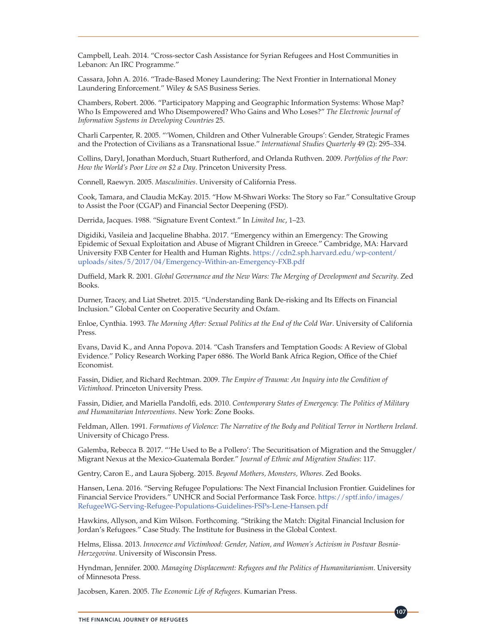Campbell, Leah. 2014. "Cross-sector Cash Assistance for Syrian Refugees and Host Communities in Lebanon: An IRC Programme."

Cassara, John A. 2016. "Trade-Based Money Laundering: The Next Frontier in International Money Laundering Enforcement." Wiley & SAS Business Series.

Chambers, Robert. 2006. "Participatory Mapping and Geographic Information Systems: Whose Map? Who Is Empowered and Who Disempowered? Who Gains and Who Loses?" *The Electronic Journal of Information Systems in Developing Countries* 25.

Charli Carpenter, R. 2005. "'Women, Children and Other Vulnerable Groups': Gender, Strategic Frames and the Protection of Civilians as a Transnational Issue." *International Studies Quarterly* 49 (2): 295–334.

Collins, Daryl, Jonathan Morduch, Stuart Rutherford, and Orlanda Ruthven. 2009. *Portfolios of the Poor: How the World's Poor Live on \$2 a Day*. Princeton University Press.

Connell, Raewyn. 2005. *Masculinities*. University of California Press.

Cook, Tamara, and Claudia McKay. 2015. "How M-Shwari Works: The Story so Far." Consultative Group to Assist the Poor (CGAP) and Financial Sector Deepening (FSD).

Derrida, Jacques. 1988. "Signature Event Context." In *Limited Inc*, 1–23.

Digidiki, Vasileia and Jacqueline Bhabha. 2017. "Emergency within an Emergency: The Growing Epidemic of Sexual Exploitation and Abuse of Migrant Children in Greece*.*" Cambridge, MA: Harvard University FXB Center for Health and Human Rights. [https://cdn2.sph.harvard.edu/wp-content/](https://cdn2.sph.harvard.edu/wp-content/uploads/sites/5/2017/04/Emergency-Within-an-Emergency-FXB.pdf) [uploads/sites/5/2017/04/Emergency-Within-an-Emergency-FXB.pdf](https://cdn2.sph.harvard.edu/wp-content/uploads/sites/5/2017/04/Emergency-Within-an-Emergency-FXB.pdf)

Duffield, Mark R. 2001. *Global Governance and the New Wars: The Merging of Development and Security*. Zed Books.

Durner, Tracey, and Liat Shetret. 2015. "Understanding Bank De-risking and Its Effects on Financial Inclusion." Global Center on Cooperative Security and Oxfam.

Enloe, Cynthia. 1993. *The Morning After: Sexual Politics at the End of the Cold War*. University of California Press.

Evans, David K., and Anna Popova. 2014. "Cash Transfers and Temptation Goods: A Review of Global Evidence." Policy Research Working Paper 6886. The World Bank Africa Region, Office of the Chief Economist.

Fassin, Didier, and Richard Rechtman. 2009. *The Empire of Trauma: An Inquiry into the Condition of Victimhood*. Princeton University Press.

Fassin, Didier, and Mariella Pandolfi, eds. 2010. *Contemporary States of Emergency: The Politics of Military and Humanitarian Interventions*. New York: Zone Books.

Feldman, Allen. 1991. *Formations of Violence: The Narrative of the Body and Political Terror in Northern Ireland*. University of Chicago Press.

Galemba, Rebecca B. 2017. "'He Used to Be a Pollero': The Securitisation of Migration and the Smuggler/ Migrant Nexus at the Mexico-Guatemala Border." *Journal of Ethnic and Migration Studies*: 117.

Gentry, Caron E., and Laura Sjoberg. 2015. *Beyond Mothers, Monsters, Whores*. Zed Books.

Hansen, Lena. 2016. "Serving Refugee Populations: The Next Financial Inclusion Frontier. Guidelines for Financial Service Providers." UNHCR and Social Performance Task Force. [https://sptf.info/images/](https://sptf.info/images/RefugeeWG-Serving-Refugee-Populations-Guidelines-FSPs-Lene-Hansen.pdf) [RefugeeWG-Serving-Refugee-Populations-Guidelines-FSPs-Lene-Hansen.pdf](https://sptf.info/images/RefugeeWG-Serving-Refugee-Populations-Guidelines-FSPs-Lene-Hansen.pdf)

Hawkins, Allyson, and Kim Wilson. Forthcoming. "Striking the Match: Digital Financial Inclusion for Jordan's Refugees." Case Study. The Institute for Business in the Global Context.

Helms, Elissa. 2013. *Innocence and Victimhood: Gender, Nation, and Women's Activism in Postwar Bosnia-Herzegovina*. University of Wisconsin Press.

Hyndman, Jennifer. 2000. *Managing Displacement: Refugees and the Politics of Humanitarianism*. University of Minnesota Press.

**107**

Jacobsen, Karen. 2005. *The Economic Life of Refugees*. Kumarian Press.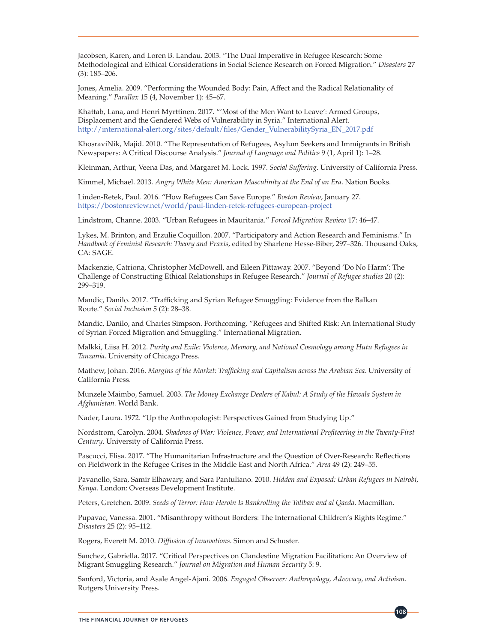Jacobsen, Karen, and Loren B. Landau. 2003. "The Dual Imperative in Refugee Research: Some Methodological and Ethical Considerations in Social Science Research on Forced Migration." *Disasters* 27 (3): 185–206.

Jones, Amelia. 2009. "Performing the Wounded Body: Pain, Affect and the Radical Relationality of Meaning." *Parallax* 15 (4, November 1): 45–67.

Khattab, Lana, and Henri Myrttinen. 2017. "'Most of the Men Want to Leave': Armed Groups, Displacement and the Gendered Webs of Vulnerability in Syria." International Alert. [http://international-alert.org/sites/default/files/Gender\\_VulnerabilitySyria\\_EN\\_2017.pdf](http://international-alert.org/sites/default/files/Gender_VulnerabilitySyria_EN_2017.pdf)

KhosraviNik, Majid. 2010. "The Representation of Refugees, Asylum Seekers and Immigrants in British Newspapers: A Critical Discourse Analysis." *Journal of Language and Politics* 9 (1, April 1): 1–28.

Kleinman, Arthur, Veena Das, and Margaret M. Lock. 1997. *Social Suffering*. University of California Press.

Kimmel, Michael. 2013. *Angry White Men: American Masculinity at the End of an Era*. Nation Books.

Linden-Retek, Paul. 2016. "How Refugees Can Save Europe." *Boston Review*, January 27. <https://bostonreview.net/world/paul-linden-retek-refugees-european-project>

Lindstrom, Channe. 2003. "Urban Refugees in Mauritania." *Forced Migration Review* 17: 46–47.

Lykes, M. Brinton, and Erzulie Coquillon. 2007. "Participatory and Action Research and Feminisms." In *Handbook of Feminist Research: Theory and Praxis*, edited by Sharlene Hesse-Biber, 297–326. Thousand Oaks, CA: SAGE.

Mackenzie, Catriona, Christopher McDowell, and Eileen Pittaway. 2007. "Beyond 'Do No Harm': The Challenge of Constructing Ethical Relationships in Refugee Research." *Journal of Refugee studies* 20 (2): 299–319.

Mandic, Danilo. 2017. "Trafficking and Syrian Refugee Smuggling: Evidence from the Balkan Route." *Social Inclusion* 5 (2): 28–38.

Mandic, Danilo, and Charles Simpson. Forthcoming. "Refugees and Shifted Risk: An International Study of Syrian Forced Migration and Smuggling." International Migration.

Malkki, Liisa H. 2012. *Purity and Exile: Violence, Memory, and National Cosmology among Hutu Refugees in Tanzania*. University of Chicago Press.

Mathew, Johan. 2016. *Margins of the Market: Trafficking and Capitalism across the Arabian Sea*. University of California Press.

Munzele Maimbo, Samuel. 2003. *The Money Exchange Dealers of Kabul: A Study of the Hawala System in Afghanistan.* World Bank.

Nader, Laura. 1972. "Up the Anthropologist: Perspectives Gained from Studying Up."

Nordstrom, Carolyn. 2004. *Shadows of War: Violence, Power, and International Profiteering in the Twenty-First Century*. University of California Press.

Pascucci, Elisa. 2017. "The Humanitarian Infrastructure and the Question of Over-Research: Reflections on Fieldwork in the Refugee Crises in the Middle East and North Africa." *Area* 49 (2): 249–55.

Pavanello, Sara, Samir Elhawary, and Sara Pantuliano. 2010. *Hidden and Exposed: Urban Refugees in Nairobi, Kenya*. London: Overseas Development Institute.

Peters, Gretchen. 2009. *Seeds of Terror: How Heroin Is Bankrolling the Taliban and al Qaeda*. Macmillan.

Pupavac, Vanessa. 2001. "Misanthropy without Borders: The International Children's Rights Regime." *Disasters* 25 (2): 95–112.

Rogers, Everett M. 2010. *Diffusion of Innovations*. Simon and Schuster.

Sanchez, Gabriella. 2017. "Critical Perspectives on Clandestine Migration Facilitation: An Overview of Migrant Smuggling Research." *Journal on Migration and Human Security* 5: 9.

Sanford, Victoria, and Asale Angel-Ajani. 2006. *Engaged Observer: Anthropology, Advocacy, and Activism*. Rutgers University Press.